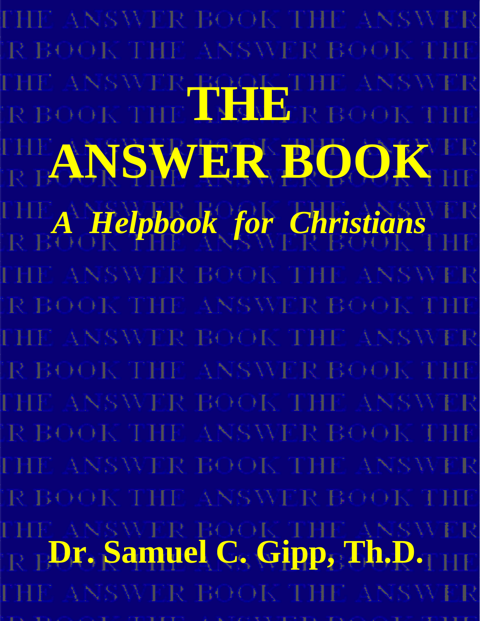THE ANSWER BOOK THE ANSWER OK THE ANSWER BO **ANSWER EQOK THE ANSW<br>DOK THE ANSWER ROOK T EHEANSWER BOOK** *A Helpbook for Christians*  NSWER BOOK THE ANSWER **DOK THE ANSWER BOOK T ANSWER BOOK THE ANS OOK THE ANSWER BOOK T** NSWER BOOK TI IE ANST OOK THE ANSWER BOOK THE **ANSWER** BOOK THE ANSW **OK THE ANSWER BOOK THE HE ANSWER BOOK THE ANSWER BOOK** ANSWER BOOK THE AN!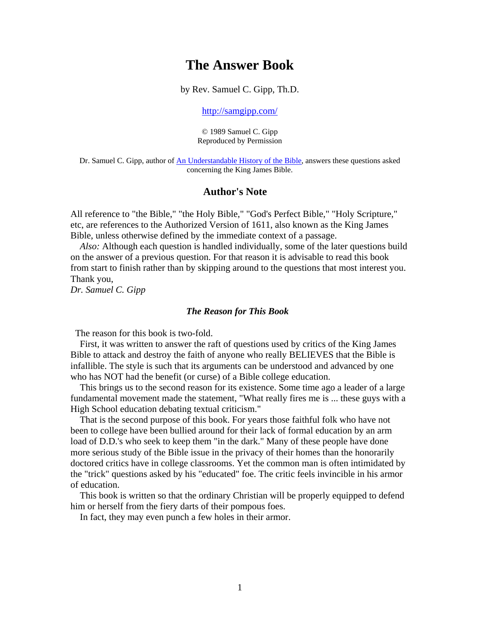## **The Answer Book**

by Rev. Samuel C. Gipp, Th.D.

#### <http://samgipp.com/>

© 1989 Samuel C. Gipp Reproduced by Permission

Dr. Samuel C. Gipp, author of [An Understandable History of the Bible,](http://www.chick.com/catalog/books/0157.asp) answers these questions asked concerning the King James Bible.

### **Author's Note**

All reference to "the Bible," "the Holy Bible," "God's Perfect Bible," "Holy Scripture," etc, are references to the Authorized Version of 1611, also known as the King James Bible, unless otherwise defined by the immediate context of a passage.

 *Also:* Although each question is handled individually, some of the later questions build on the answer of a previous question. For that reason it is advisable to read this book from start to finish rather than by skipping around to the questions that most interest you. Thank you,

*Dr. Samuel C. Gipp*

### *The Reason for This Book*

The reason for this book is two-fold.

 First, it was written to answer the raft of questions used by critics of the King James Bible to attack and destroy the faith of anyone who really BELIEVES that the Bible is infallible. The style is such that its arguments can be understood and advanced by one who has NOT had the benefit (or curse) of a Bible college education.

 This brings us to the second reason for its existence. Some time ago a leader of a large fundamental movement made the statement, "What really fires me is ... these guys with a High School education debating textual criticism."

 That is the second purpose of this book. For years those faithful folk who have not been to college have been bullied around for their lack of formal education by an arm load of D.D.'s who seek to keep them "in the dark." Many of these people have done more serious study of the Bible issue in the privacy of their homes than the honorarily doctored critics have in college classrooms. Yet the common man is often intimidated by the "trick" questions asked by his "educated" foe. The critic feels invincible in his armor of education.

 This book is written so that the ordinary Christian will be properly equipped to defend him or herself from the fiery darts of their pompous foes.

In fact, they may even punch a few holes in their armor.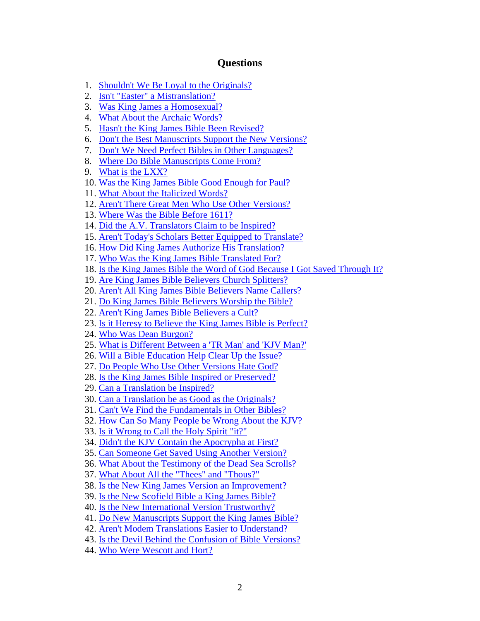## **Questions**

- <span id="page-2-0"></span>1. [Shouldn't We Be Loyal to the Originals?](#page-4-0)
- 2. [Isn't "Easter" a Mistranslation?](#page-5-0)
- 3. [Was King James a Homosexual?](#page-9-0)
- 4. [What About the Archaic Words?](#page-10-0)
- 5. [Hasn't the King James Bible Been Revised?](#page-12-0)
- 6. [Don't the Best Manuscripts Support the New Versions?](#page-22-0)
- 7. [Don't We Need Perfect Bibles in Other Languages?](#page-23-0)
- 8. [Where Do Bible Manuscripts Come From?](#page-25-0)
- 9. [What is the LXX?](#page-32-0)
- 10. [Was the King James Bible Good Enough for Paul?](#page-35-0)
- 11. [What About the Italicized Words?](#page-37-0)
- 12. [Aren't There Great Men Who Use Other Versions?](#page-41-0)
- 13. [Where Was the Bible Before 1611?](#page-42-0)
- 14. [Did the A.V. Translators Claim to be Inspired?](#page-43-0)
- 15. [Aren't Today's Scholars Better Equipped to Translate?](#page-45-0)
- 16. [How Did King James Authorize His Translation?](#page-46-0)
- 17. [Who Was the King James Bible Translated For?](#page-47-0)
- 18. [Is the King James Bible the Word of God Because I Got Saved Through It?](#page-50-0)
- 19. [Are King James Bible Believers Church Splitters?](#page-51-0)
- 20. [Aren't All King James Bible Believers Name Callers?](#page-52-0)
- 21. [Do King James Bible Believers Worship the Bible?](#page-53-0)
- 22. [Aren't King James Bible Believers a Cult?](#page-54-0)
- 23. [Is it Heresy to Believe the King James Bible is Perfect?](#page-55-0)
- 24. [Who Was Dean Burgon?](#page-56-0)
- 25. [What is Different Between a 'TR Man' and 'KJV Man?'](#page-57-0)
- 26. [Will a Bible Education Help Clear Up the Issue?](#page-58-0)
- 27. [Do People Who Use Other Versions Hate God?](#page-59-0)
- 28. [Is the King James Bible Inspired or Preserved?](#page-60-0)
- 29. [Can a Translation be Inspired?](#page-63-0)
- 30. [Can a Translation be as Good as the Originals?](#page-64-0)
- 31. [Can't We Find the Fundamentals in Other Bibles?](#page-66-0)
- 32. [How Can So Many People be Wrong About the KJV?](#page-67-0)
- 33. [Is it Wrong to Call the Holy Spirit "it?"](#page-68-0)
- 34. [Didn't the KJV Contain the Apocrypha at First?](#page-69-0)
- 35. [Can Someone Get Saved Using Another Version?](#page-70-0)
- 36. [What About the Testimony of the Dead Sea Scrolls?](#page-71-0)
- 37. [What About All the "Thees" and "Thous?"](#page-72-0)
- 38. [Is the New King James Version an Improvement?](#page-73-0)
- 39. [Is the New Scofield Bible a King James Bible?](#page-74-0)
- 40. [Is the New International Version Trustworthy?](#page-76-0)
- 41. [Do New Manuscripts Support the King James Bible?](#page-77-0)
- 42. [Aren't Modem Translations Easier to Understand?](#page-78-0)
- 43. [Is the Devil Behind the Confusion of Bible Versions?](#page-80-0)
- 44. [Who Were Wescott and Hort?](#page-82-0)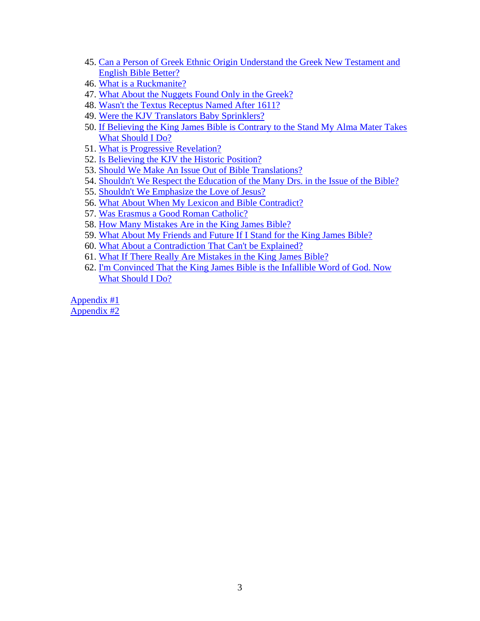- 45. [Can a Person of Greek Ethnic Origin Understand the Greek New Testament and](#page-83-0)  [English Bible Better?](#page-83-0)
- 46. [What is a Ruckmanite?](#page-84-0)
- 47. [What About the Nuggets Found Only in the Greek?](#page-85-0)
- 48. [Wasn't the Textus Receptus Named After 1611?](#page-90-0)
- 49. [Were the KJV Translators Baby Sprinklers?](#page-91-0)
- 50. [If Believing the King James Bible is Contrary to the Stand My Alma Mater Takes](#page-92-0)  [What Should I Do?](#page-92-0)
- 51. [What is Progressive Revelation?](#page-94-0)
- 52. [Is Believing the KJV the Historic Position?](#page-95-0)
- 53. [Should We Make An Issue Out of Bible Translations?](#page-96-0)
- 54. [Shouldn't We Respect the Education of the Many Drs. in the Issue of the Bible?](#page-97-0)
- 55. [Shouldn't We Emphasize the Love of Jesus?](#page-98-0)
- 56. [What About When My Lexicon and Bible Contradict?](#page-100-0)
- 57. [Was Erasmus a Good Roman Catholic?](#page-101-0)
- 58. [How Many Mistakes Are in the King James Bible?](#page-104-0)
- 59. [What About My Friends and Future If I Stand for the King James Bible?](#page-105-0)
- 60. [What About a Contradiction That Can't be Explained?](#page-106-0)
- 61. [What If There Really Are Mistakes in the King James Bible?](#page-107-0)
- 62. [I'm Convinced That the King James Bible is the Infallible Word of God. Now](#page-110-0)  [What Should I Do?](#page-110-0)

[Appendix #1](#page-109-0) [Appendix #2](#page-112-0)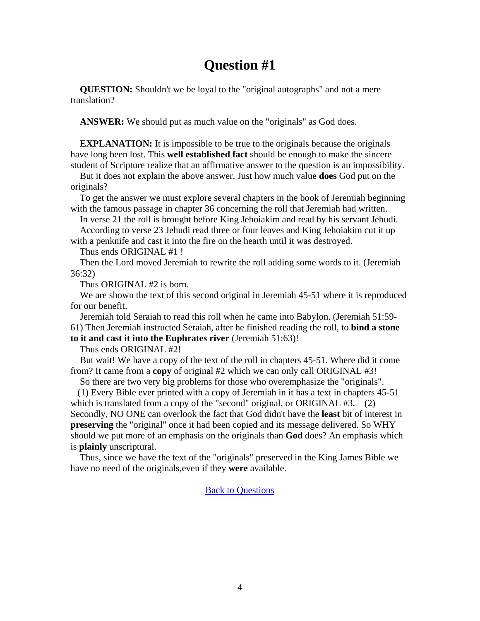<span id="page-4-0"></span> **QUESTION:** Shouldn't we be loyal to the "original autographs" and not a mere translation?

**ANSWER:** We should put as much value on the "originals" as God does.

**EXPLANATION:** It is impossible to be true to the originals because the originals have long been lost. This **well established fact** should be enough to make the sincere student of Scripture realize that an affirmative answer to the question is an impossibility.

 But it does not explain the above answer. Just how much value **does** God put on the originals?

 To get the answer we must explore several chapters in the book of Jeremiah beginning with the famous passage in chapter 36 concerning the roll that Jeremiah had written.

 In verse 21 the roll is brought before King Jehoiakim and read by his servant Jehudi. According to verse 23 Jehudi read three or four leaves and King Jehoiakim cut it up with a penknife and cast it into the fire on the hearth until it was destroyed.

Thus ends ORIGINAL #1 !

 Then the Lord moved Jeremiah to rewrite the roll adding some words to it. (Jeremiah 36:32)

Thus ORIGINAL #2 is born.

We are shown the text of this second original in Jeremiah 45-51 where it is reproduced for our benefit.

 Jeremiah told Seraiah to read this roll when he came into Babylon. (Jeremiah 51:59- 61) Then Jeremiah instructed Seraiah, after he finished reading the roll, to **bind a stone** 

**to it and cast it into the Euphrates river** (Jeremiah 51:63)!

Thus ends ORIGINAL #2!

 But wait! We have a copy of the text of the roll in chapters 45-51. Where did it come from? It came from a **copy** of original #2 which we can only call ORIGINAL #3!

So there are two very big problems for those who overemphasize the "originals".

 (1) Every Bible ever printed with a copy of Jeremiah in it has a text in chapters 45-51 which is translated from a copy of the "second" original, or ORIGINAL #3. (2) Secondly, NO ONE can overlook the fact that God didn't have the **least** bit of interest in **preserving** the "original" once it had been copied and its message delivered. So WHY should we put more of an emphasis on the originals than **God** does? An emphasis which is **plainly** unscriptural.

 Thus, since we have the text of the "originals" preserved in the King James Bible we have no need of the originals,even if they **were** available.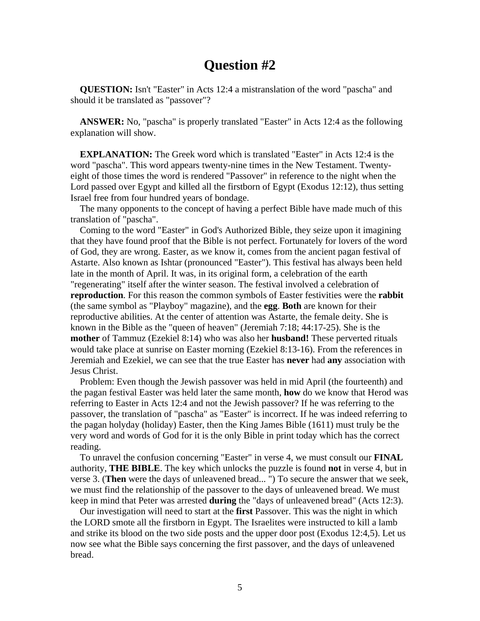<span id="page-5-0"></span> **QUESTION:** Isn't "Easter" in Acts 12:4 a mistranslation of the word "pascha" and should it be translated as "passover"?

 **ANSWER:** No, "pascha" is properly translated "Easter" in Acts 12:4 as the following explanation will show.

 **EXPLANATION:** The Greek word which is translated "Easter" in Acts 12:4 is the word "pascha". This word appears twenty-nine times in the New Testament. Twentyeight of those times the word is rendered "Passover" in reference to the night when the Lord passed over Egypt and killed all the firstborn of Egypt (Exodus 12:12), thus setting Israel free from four hundred years of bondage.

 The many opponents to the concept of having a perfect Bible have made much of this translation of "pascha".

 Coming to the word "Easter" in God's Authorized Bible, they seize upon it imagining that they have found proof that the Bible is not perfect. Fortunately for lovers of the word of God, they are wrong. Easter, as we know it, comes from the ancient pagan festival of Astarte. Also known as Ishtar (pronounced "Easter"). This festival has always been held late in the month of April. It was, in its original form, a celebration of the earth "regenerating" itself after the winter season. The festival involved a celebration of **reproduction**. For this reason the common symbols of Easter festivities were the **rabbit** (the same symbol as "Playboy" magazine), and the **egg**. **Both** are known for their reproductive abilities. At the center of attention was Astarte, the female deity. She is known in the Bible as the "queen of heaven" (Jeremiah 7:18; 44:17-25). She is the **mother** of Tammuz (Ezekiel 8:14) who was also her **husband!** These perverted rituals would take place at sunrise on Easter morning (Ezekiel 8:13-16). From the references in Jeremiah and Ezekiel, we can see that the true Easter has **never** had **any** association with Jesus Christ.

 Problem: Even though the Jewish passover was held in mid April (the fourteenth) and the pagan festival Easter was held later the same month, **how** do we know that Herod was referring to Easter in Acts 12:4 and not the Jewish passover? If he was referring to the passover, the translation of "pascha" as "Easter" is incorrect. If he was indeed referring to the pagan holyday (holiday) Easter, then the King James Bible (1611) must truly be the very word and words of God for it is the only Bible in print today which has the correct reading.

 To unravel the confusion concerning "Easter" in verse 4, we must consult our **FINAL** authority, **THE BIBLE**. The key which unlocks the puzzle is found **not** in verse 4, but in verse 3. (**Then** were the days of unleavened bread... ") To secure the answer that we seek, we must find the relationship of the passover to the days of unleavened bread. We must keep in mind that Peter was arrested **during** the "days of unleavened bread" (Acts 12:3).

 Our investigation will need to start at the **first** Passover. This was the night in which the LORD smote all the firstborn in Egypt. The Israelites were instructed to kill a lamb and strike its blood on the two side posts and the upper door post (Exodus 12:4,5). Let us now see what the Bible says concerning the first passover, and the days of unleavened bread.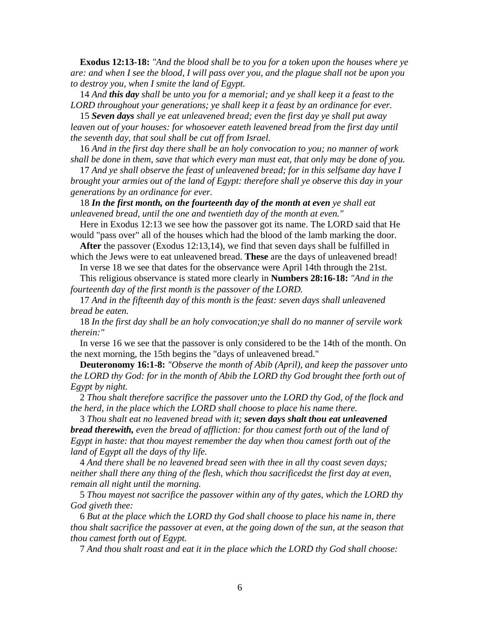**Exodus 12:13-18:** *"And the blood shall be to you for a token upon the houses where ye are: and when I see the blood, I will pass over you, and the plague shall not be upon you to destroy you, when I smite the land of Egypt.* 

 14 *And this day shall be unto you for a memorial; and ye shall keep it a feast to the LORD throughout your generations; ye shall keep it a feast by an ordinance for ever.* 

 15 *Seven days shall ye eat unleavened bread; even the first day ye shall put away*  leaven out of your houses: for whosoever eateth leavened bread from the first day until *the seventh day, that soul shall be cut off from Israel.* 

 16 *And in the first day there shall be an holy convocation to you; no manner of work shall be done in them, save that which every man must eat, that only may be done of you.* 

 17 *And ye shall observe the feast of unleavened bread; for in this selfsame day have I brought your armies out of the land of Egypt: therefore shall ye observe this day in your generations by an ordinance for ever.* 

 18 *In the first month, on the fourteenth day of the month at even ye shall eat unleavened bread, until the one and twentieth day of the month at even."*

 Here in Exodus 12:13 we see how the passover got its name. The LORD said that He would "pass over" all of the houses which had the blood of the lamb marking the door.

 **After** the passover (Exodus 12:13,14), we find that seven days shall be fulfilled in which the Jews were to eat unleavened bread. **These** are the days of unleavened bread!

 In verse 18 we see that dates for the observance were April 14th through the 21st. This religious observance is stated more clearly in **Numbers 28:16-18:** *"And in the* 

*fourteenth day of the first month is the passover of the LORD.* 

 17 *And in the fifteenth day of this month is the feast: seven days shall unleavened bread be eaten.* 

 18 *In the first day shall be an holy convocation;ye shall do no manner of servile work therein:"*

 In verse 16 we see that the passover is only considered to be the 14th of the month. On the next morning, the 15th begins the "days of unleavened bread."

 **Deuteronomy 16:1-8:** *"Observe the month of Abib (April), and keep the passover unto the LORD thy God: for in the month of Abib the LORD thy God brought thee forth out of Egypt by night.* 

 2 *Thou shalt therefore sacrifice the passover unto the LORD thy God, of the flock and the herd, in the place which the LORD shall choose to place his name there.* 

 3 *Thou shalt eat no leavened bread with it; seven days shalt thou eat unleavened bread therewith, even the bread of affliction: for thou camest forth out of the land of Egypt in haste: that thou mayest remember the day when thou camest forth out of the land of Egypt all the days of thy life.* 

 4 *And there shall be no leavened bread seen with thee in all thy coast seven days; neither shall there any thing of the flesh, which thou sacrificedst the first day at even, remain all night until the morning.* 

 5 *Thou mayest not sacrifice the passover within any of thy gates, which the LORD thy God giveth thee:* 

 6 *But at the place which the LORD thy God shall choose to place his name in, there thou shalt sacrifice the passover at even, at the going down of the sun, at the season that thou camest forth out of Egypt.* 

7 *And thou shalt roast and eat it in the place which the LORD thy God shall choose:*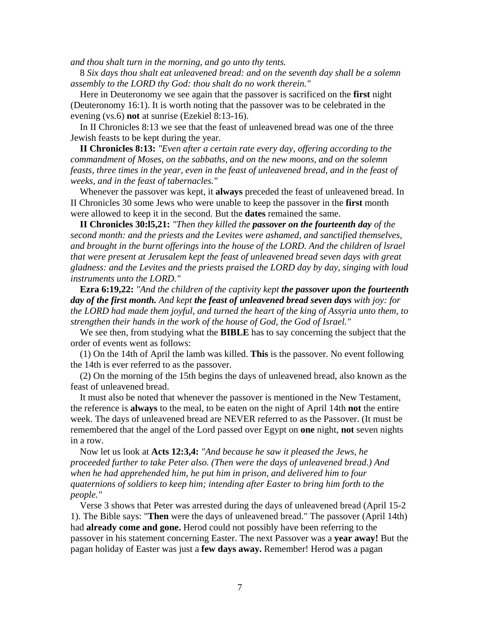*and thou shalt turn in the morning, and go unto thy tents.* 

 8 *Six days thou shalt eat unleavened bread: and on the seventh day shall be a solemn assembly to the LORD thy God: thou shalt do no work therein."*

 Here in Deuteronomy we see again that the passover is sacrificed on the **first** night (Deuteronomy 16:1). It is worth noting that the passover was to be celebrated in the evening (vs.6) **not** at sunrise (Ezekiel 8:13-16).

 In II Chronicles 8:13 we see that the feast of unleavened bread was one of the three Jewish feasts to be kept during the year.

 **II Chronicles 8:13:** *"Even after a certain rate every day, offering according to the commandment of Moses, on the sabbaths, and on the new moons, and on the solemn feasts, three times in the year, even in the feast of unleavened bread, and in the feast of weeks, and in the feast of tabernacles."*

 Whenever the passover was kept, it **always** preceded the feast of unleavened bread. In II Chronicles 30 some Jews who were unable to keep the passover in the **first** month were allowed to keep it in the second. But the **dates** remained the same.

 **II Chronicles 30:l5,21:** *"Then they killed the passover on the fourteenth day of the second month: and the priests and the Levites were ashamed, and sanctified themselves,*  and brought in the burnt offerings into the house of the LORD. And the children of lsrael *that were present at Jerusalem kept the feast of unleavened bread seven days with great gladness: and the Levites and the priests praised the LORD day by day, singing with loud instruments unto the LORD."* 

**Ezra 6:19,22:** *"And the children of the captivity kept the passover upon the fourteenth day of the first month. And kept the feast of unleavened bread seven days with joy: for the LORD had made them joyful, and turned the heart of the king of Assyria unto them, to strengthen their hands in the work of the house of God, the God of Israel."*

 We see then, from studying what the **BIBLE** has to say concerning the subject that the order of events went as follows:

 (1) On the 14th of April the lamb was killed. **This** is the passover. No event following the 14th is ever referred to as the passover.

 (2) On the morning of the 15th begins the days of unleavened bread, also known as the feast of unleavened bread.

 It must also be noted that whenever the passover is mentioned in the New Testament, the reference is **always** to the meal, to be eaten on the night of April 14th **not** the entire week. The days of unleavened bread are NEVER referred to as the Passover. (It must be remembered that the angel of the Lord passed over Egypt on **one** night, **not** seven nights in a row.

 Now let us look at **Acts 12:3,4:** *"And because he saw it pleased the Jews, he proceeded further to take Peter also. (Then were the days of unleavened bread.) And when he had apprehended him, he put him in prison, and delivered him to four quaternions of soldiers to keep him; intending after Easter to bring him forth to the people."* 

Verse 3 shows that Peter was arrested during the days of unleavened bread (April 15-2 1). The Bible says: "**Then** were the days of unleavened bread." The passover (April 14th) had **already come and gone.** Herod could not possibly have been referring to the passover in his statement concerning Easter. The next Passover was a **year away!** But the pagan holiday of Easter was just a **few days away.** Remember! Herod was a pagan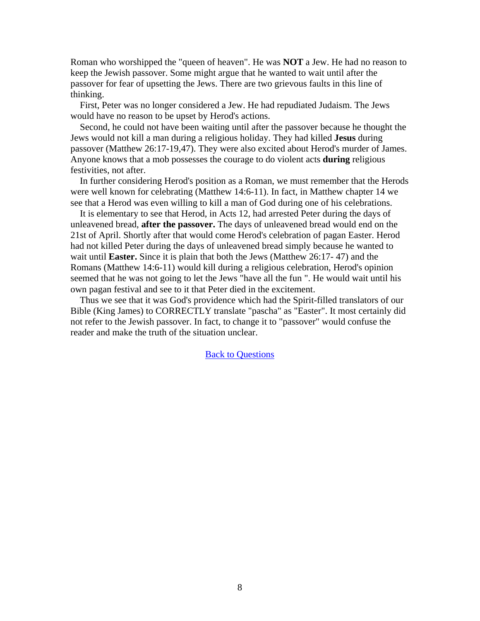Roman who worshipped the "queen of heaven". He was **NOT** a Jew. He had no reason to keep the Jewish passover. Some might argue that he wanted to wait until after the passover for fear of upsetting the Jews. There are two grievous faults in this line of thinking.

 First, Peter was no longer considered a Jew. He had repudiated Judaism. The Jews would have no reason to be upset by Herod's actions.

 Second, he could not have been waiting until after the passover because he thought the Jews would not kill a man during a religious holiday. They had killed **Jesus** during passover (Matthew 26:17-19,47). They were also excited about Herod's murder of James. Anyone knows that a mob possesses the courage to do violent acts **during** religious festivities, not after.

 In further considering Herod's position as a Roman, we must remember that the Herods were well known for celebrating (Matthew 14:6-11). In fact, in Matthew chapter 14 we see that a Herod was even willing to kill a man of God during one of his celebrations.

 It is elementary to see that Herod, in Acts 12, had arrested Peter during the days of unleavened bread, **after the passover.** The days of unleavened bread would end on the 21st of April. Shortly after that would come Herod's celebration of pagan Easter. Herod had not killed Peter during the days of unleavened bread simply because he wanted to wait until **Easter.** Since it is plain that both the Jews (Matthew 26:17- 47) and the Romans (Matthew 14:6-11) would kill during a religious celebration, Herod's opinion seemed that he was not going to let the Jews "have all the fun ". He would wait until his own pagan festival and see to it that Peter died in the excitement.

 Thus we see that it was God's providence which had the Spirit-filled translators of our Bible (King James) to CORRECTLY translate "pascha" as "Easter". It most certainly did not refer to the Jewish passover. In fact, to change it to "passover" would confuse the reader and make the truth of the situation unclear.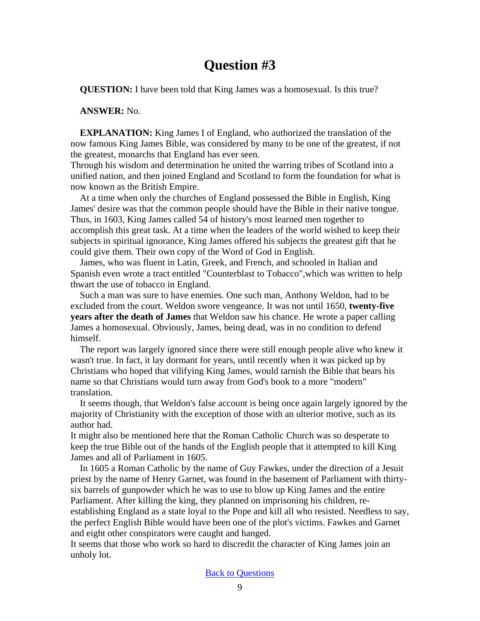<span id="page-9-0"></span> **QUESTION:** I have been told that King James was a homosexual. Is this true?

 **ANSWER:** No.

 **EXPLANATION:** King James I of England, who authorized the translation of the now famous King James Bible, was considered by many to be one of the greatest, if not the greatest, monarchs that England has ever seen.

Through his wisdom and determination he united the warring tribes of Scotland into a unified nation, and then joined England and Scotland to form the foundation for what is now known as the British Empire.

 At a time when only the churches of England possessed the Bible in English, King James' desire was that the common people should have the Bible in their native tongue. Thus, in 1603, King James called 54 of history's most learned men together to accomplish this great task. At a time when the leaders of the world wished to keep their subjects in spiritual ignorance, King James offered his subjects the greatest gift that he could give them. Their own copy of the Word of God in English.

 James, who was fluent in Latin, Greek, and French, and schooled in Italian and Spanish even wrote a tract entitled "Counterblast to Tobacco",which was written to help thwart the use of tobacco in England.

 Such a man was sure to have enemies. One such man, Anthony Weldon, had to be excluded from the court. Weldon swore vengeance. It was not until 1650, **twenty-five years after the death of James** that Weldon saw his chance. He wrote a paper calling James a homosexual. Obviously, James, being dead, was in no condition to defend himself.

 The report was largely ignored since there were still enough people alive who knew it wasn't true. In fact, it lay dormant for years, until recently when it was picked up by Christians who hoped that vilifying King James, would tarnish the Bible that bears his name so that Christians would turn away from God's book to a more "modern" translation.

 It seems though, that Weldon's false account is being once again largely ignored by the majority of Christianity with the exception of those with an ulterior motive, such as its author had.

It might also be mentioned here that the Roman Catholic Church was so desperate to keep the true Bible out of the hands of the English people that it attempted to kill King James and all of Parliament in 1605.

 In 1605 a Roman Catholic by the name of Guy Fawkes, under the direction of a Jesuit priest by the name of Henry Garnet, was found in the basement of Parliament with thirtysix barrels of gunpowder which he was to use to blow up King James and the entire Parliament. After killing the king, they planned on imprisoning his children, reestablishing England as a state loyal to the Pope and kill all who resisted. Needless to say, the perfect English Bible would have been one of the plot's victims. Fawkes and Garnet and eight other conspirators were caught and hanged.

It seems that those who work so hard to discredit the character of King James join an unholy lot.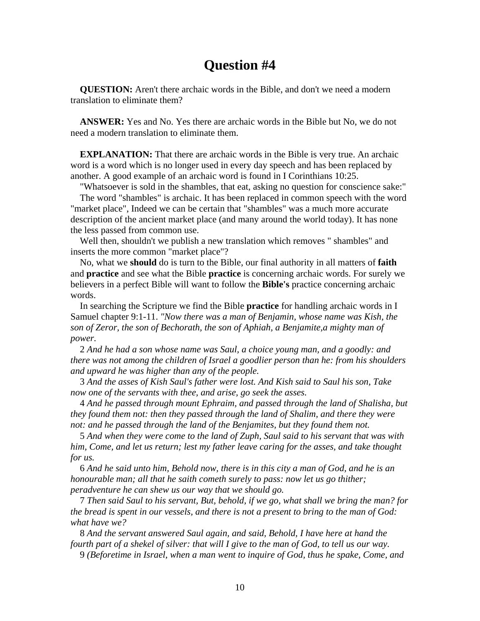<span id="page-10-0"></span> **QUESTION:** Aren't there archaic words in the Bible, and don't we need a modern translation to eliminate them?

 **ANSWER:** Yes and No. Yes there are archaic words in the Bible but No, we do not need a modern translation to eliminate them.

**EXPLANATION:** That there are archaic words in the Bible is very true. An archaic word is a word which is no longer used in every day speech and has been replaced by another. A good example of an archaic word is found in I Corinthians 10:25.

"Whatsoever is sold in the shambles, that eat, asking no question for conscience sake:"

 The word "shambles" is archaic. It has been replaced in common speech with the word "market place", Indeed we can be certain that "shambles" was a much more accurate description of the ancient market place (and many around the world today). It has none the less passed from common use.

 Well then, shouldn't we publish a new translation which removes " shambles" and inserts the more common "market place"?

 No, what we **should** do is turn to the Bible, our final authority in all matters of **faith** and **practice** and see what the Bible **practice** is concerning archaic words. For surely we believers in a perfect Bible will want to follow the **Bible's** practice concerning archaic words.

 In searching the Scripture we find the Bible **practice** for handling archaic words in I Samuel chapter 9:1-11. *"Now there was a man of Benjamin, whose name was Kish, the son of Zeror, the son of Bechorath, the son of Aphiah, a Benjamite,a mighty man of power.* 

2 *And he had a son whose name was Saul, a choice young man, and a goodly: and there was not among the children of Israel a goodlier person than he: from his shoulders and upward he was higher than any of the people.* 

3 *And the asses of Kish Saul's father were lost. And Kish said to Saul his son, Take now one of the servants with thee, and arise, go seek the asses.* 

4 *And he passed through mount Ephraim, and passed through the land of Shalisha, but they found them not: then they passed through the land of Shalim, and there they were*  not: and he passed through the land of the Benjamites, but they found them not.

5 *And when they were come to the land of Zuph, Saul said to his servant that was with him, Come, and let us return; lest my father leave caring for the asses, and take thought for us.* 

6 *And he said unto him, Behold now, there is in this city a man of God, and he is an honourable man; all that he saith cometh surely to pass: now let us go thither; peradventure he can shew us our way that we should go.* 

7 *Then said Saul to his servant, But, behold, if we go, what shall we bring the man? for the bread is spent in our vessels, and there is not a present to bring to the man of God: what have we?* 

8 *And the servant answered Saul again, and said, Behold, I have here at hand the fourth part of a shekel of silver: that will I give to the man of God, to tell us our way.* 

9 *(Beforetime in Israel, when a man went to inquire of God, thus he spake, Come, and*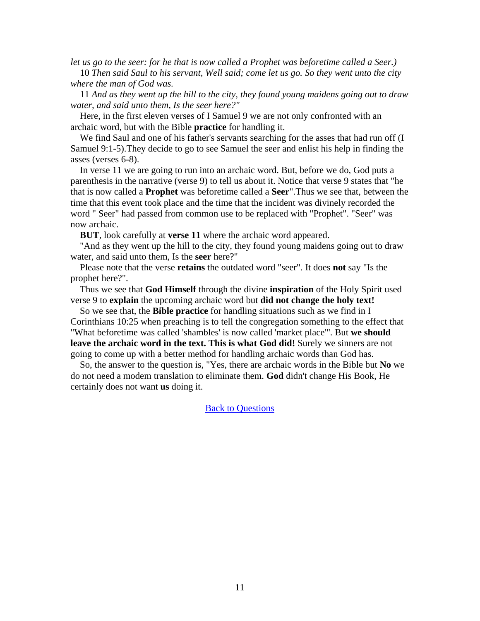*let us go to the seer: for he that is now called a Prophet was beforetime called a Seer.)* 

10 *Then said Saul to his servant, Well said; come let us go. So they went unto the city where the man of God was.* 

11 *And as they went up the hill to the city, they found young maidens going out to draw water, and said unto them, Is the seer here?"*

 Here, in the first eleven verses of I Samuel 9 we are not only confronted with an archaic word, but with the Bible **practice** for handling it.

 We find Saul and one of his father's servants searching for the asses that had run off (I Samuel 9:1-5).They decide to go to see Samuel the seer and enlist his help in finding the asses (verses 6-8).

 In verse 11 we are going to run into an archaic word. But, before we do, God puts a parenthesis in the narrative (verse 9) to tell us about it. Notice that verse 9 states that "he that is now called a **Prophet** was beforetime called a **Seer**".Thus we see that, between the time that this event took place and the time that the incident was divinely recorded the word " Seer" had passed from common use to be replaced with "Prophet". "Seer" was now archaic.

**BUT**, look carefully at **verse 11** where the archaic word appeared.

 "And as they went up the hill to the city, they found young maidens going out to draw water, and said unto them, Is the **seer** here?"

 Please note that the verse **retains** the outdated word "seer". It does **not** say "Is the prophet here?".

 Thus we see that **God Himself** through the divine **inspiration** of the Holy Spirit used verse 9 to **explain** the upcoming archaic word but **did not change the holy text!**

 So we see that, the **Bible practice** for handling situations such as we find in I Corinthians 10:25 when preaching is to tell the congregation something to the effect that "What beforetime was called 'shambles' is now called 'market place"'. But **we should leave the archaic word in the text. This is what God did!** Surely we sinners are not going to come up with a better method for handling archaic words than God has.

 So, the answer to the question is, "Yes, there are archaic words in the Bible but **No** we do not need a modem translation to eliminate them. **God** didn't change His Book, He certainly does not want **us** doing it.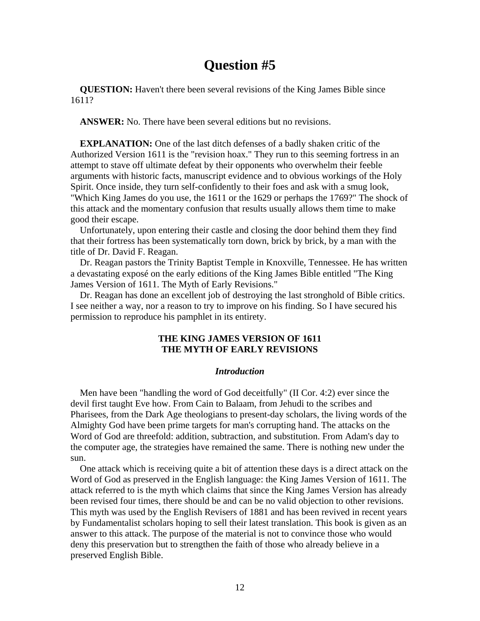<span id="page-12-0"></span> **QUESTION:** Haven't there been several revisions of the King James Bible since 1611?

**ANSWER:** No. There have been several editions but no revisions.

 **EXPLANATION:** One of the last ditch defenses of a badly shaken critic of the Authorized Version 1611 is the "revision hoax." They run to this seeming fortress in an attempt to stave off ultimate defeat by their opponents who overwhelm their feeble arguments with historic facts, manuscript evidence and to obvious workings of the Holy Spirit. Once inside, they turn self-confidently to their foes and ask with a smug look, "Which King James do you use, the 1611 or the 1629 or perhaps the 1769?" The shock of this attack and the momentary confusion that results usually allows them time to make good their escape.

 Unfortunately, upon entering their castle and closing the door behind them they find that their fortress has been systematically torn down, brick by brick, by a man with the title of Dr. David F. Reagan.

 Dr. Reagan pastors the Trinity Baptist Temple in Knoxville, Tennessee. He has written a devastating exposé on the early editions of the King James Bible entitled "The King James Version of 1611. The Myth of Early Revisions."

 Dr. Reagan has done an excellent job of destroying the last stronghold of Bible critics. I see neither a way, nor a reason to try to improve on his finding. So I have secured his permission to reproduce his pamphlet in its entirety.

### **THE KING JAMES VERSION OF 1611 THE MYTH OF EARLY REVISIONS**

#### *Introduction*

 Men have been "handling the word of God deceitfully" (II Cor. 4:2) ever since the devil first taught Eve how. From Cain to Balaam, from Jehudi to the scribes and Pharisees, from the Dark Age theologians to present-day scholars, the living words of the Almighty God have been prime targets for man's corrupting hand. The attacks on the Word of God are threefold: addition, subtraction, and substitution. From Adam's day to the computer age, the strategies have remained the same. There is nothing new under the sun.

 One attack which is receiving quite a bit of attention these days is a direct attack on the Word of God as preserved in the English language: the King James Version of 1611. The attack referred to is the myth which claims that since the King James Version has already been revised four times, there should be and can be no valid objection to other revisions. This myth was used by the English Revisers of 1881 and has been revived in recent years by Fundamentalist scholars hoping to sell their latest translation. This book is given as an answer to this attack. The purpose of the material is not to convince those who would deny this preservation but to strengthen the faith of those who already believe in a preserved English Bible.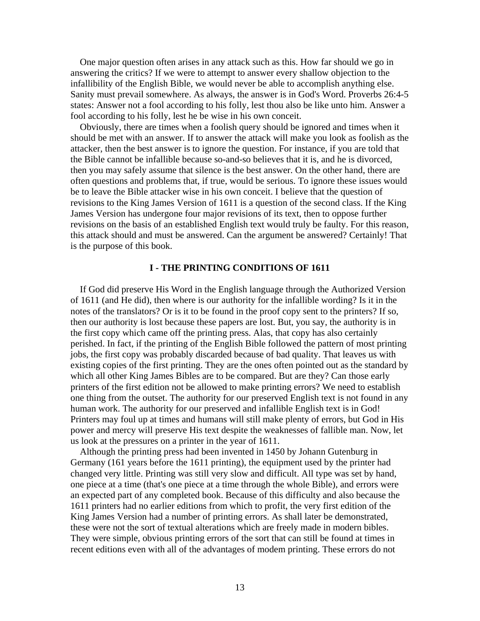One major question often arises in any attack such as this. How far should we go in answering the critics? If we were to attempt to answer every shallow objection to the infallibility of the English Bible, we would never be able to accomplish anything else. Sanity must prevail somewhere. As always, the answer is in God's Word. Proverbs 26:4-5 states: Answer not a fool according to his folly, lest thou also be like unto him. Answer a fool according to his folly, lest he be wise in his own conceit.

 Obviously, there are times when a foolish query should be ignored and times when it should be met with an answer. If to answer the attack will make you look as foolish as the attacker, then the best answer is to ignore the question. For instance, if you are told that the Bible cannot be infallible because so-and-so believes that it is, and he is divorced, then you may safely assume that silence is the best answer. On the other hand, there are often questions and problems that, if true, would be serious. To ignore these issues would be to leave the Bible attacker wise in his own conceit. I believe that the question of revisions to the King James Version of 1611 is a question of the second class. If the King James Version has undergone four major revisions of its text, then to oppose further revisions on the basis of an established English text would truly be faulty. For this reason, this attack should and must be answered. Can the argument be answered? Certainly! That is the purpose of this book.

### **I - THE PRINTING CONDITIONS OF 1611**

 If God did preserve His Word in the English language through the Authorized Version of 1611 (and He did), then where is our authority for the infallible wording? Is it in the notes of the translators? Or is it to be found in the proof copy sent to the printers? If so, then our authority is lost because these papers are lost. But, you say, the authority is in the first copy which came off the printing press. Alas, that copy has also certainly perished. In fact, if the printing of the English Bible followed the pattern of most printing jobs, the first copy was probably discarded because of bad quality. That leaves us with existing copies of the first printing. They are the ones often pointed out as the standard by which all other King James Bibles are to be compared. But are they? Can those early printers of the first edition not be allowed to make printing errors? We need to establish one thing from the outset. The authority for our preserved English text is not found in any human work. The authority for our preserved and infallible English text is in God! Printers may foul up at times and humans will still make plenty of errors, but God in His power and mercy will preserve His text despite the weaknesses of fallible man. Now, let us look at the pressures on a printer in the year of 1611.

 Although the printing press had been invented in 1450 by Johann Gutenburg in Germany (161 years before the 1611 printing), the equipment used by the printer had changed very little. Printing was still very slow and difficult. All type was set by hand, one piece at a time (that's one piece at a time through the whole Bible), and errors were an expected part of any completed book. Because of this difficulty and also because the 1611 printers had no earlier editions from which to profit, the very first edition of the King James Version had a number of printing errors. As shall later be demonstrated, these were not the sort of textual alterations which are freely made in modern bibles. They were simple, obvious printing errors of the sort that can still be found at times in recent editions even with all of the advantages of modem printing. These errors do not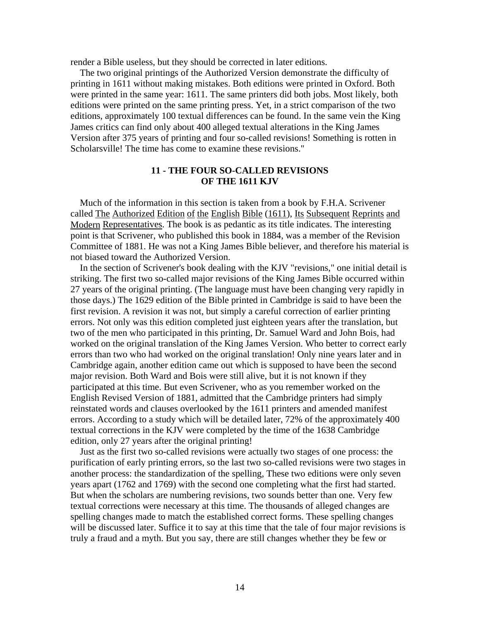render a Bible useless, but they should be corrected in later editions.

 The two original printings of the Authorized Version demonstrate the difficulty of printing in 1611 without making mistakes. Both editions were printed in Oxford. Both were printed in the same year: 1611. The same printers did both jobs. Most likely, both editions were printed on the same printing press. Yet, in a strict comparison of the two editions, approximately 100 textual differences can be found. In the same vein the King James critics can find only about 400 alleged textual alterations in the King James Version after 375 years of printing and four so-called revisions! Something is rotten in Scholarsville! The time has come to examine these revisions."

### **11 - THE FOUR SO-CALLED REVISIONS OF THE 1611 KJV**

 Much of the information in this section is taken from a book by F.H.A. Scrivener called The Authorized Edition of the English Bible (1611), Its Subsequent Reprints and Modern Representatives. The book is as pedantic as its title indicates. The interesting point is that Scrivener, who published this book in 1884, was a member of the Revision Committee of 1881. He was not a King James Bible believer, and therefore his material is not biased toward the Authorized Version.

 In the section of Scrivener's book dealing with the KJV "revisions," one initial detail is striking. The first two so-called major revisions of the King James Bible occurred within 27 years of the original printing. (The language must have been changing very rapidly in those days.) The 1629 edition of the Bible printed in Cambridge is said to have been the first revision. A revision it was not, but simply a careful correction of earlier printing errors. Not only was this edition completed just eighteen years after the translation, but two of the men who participated in this printing, Dr. Samuel Ward and John Bois, had worked on the original translation of the King James Version. Who better to correct early errors than two who had worked on the original translation! Only nine years later and in Cambridge again, another edition came out which is supposed to have been the second major revision. Both Ward and Bois were still alive, but it is not known if they participated at this time. But even Scrivener, who as you remember worked on the English Revised Version of 1881, admitted that the Cambridge printers had simply reinstated words and clauses overlooked by the 1611 printers and amended manifest errors. According to a study which will be detailed later, 72% of the approximately 400 textual corrections in the KJV were completed by the time of the 1638 Cambridge edition, only 27 years after the original printing!

 Just as the first two so-called revisions were actually two stages of one process: the purification of early printing errors, so the last two so-called revisions were two stages in another process: the standardization of the spelling, These two editions were only seven years apart (1762 and 1769) with the second one completing what the first had started. But when the scholars are numbering revisions, two sounds better than one. Very few textual corrections were necessary at this time. The thousands of alleged changes are spelling changes made to match the established correct forms. These spelling changes will be discussed later. Suffice it to say at this time that the tale of four major revisions is truly a fraud and a myth. But you say, there are still changes whether they be few or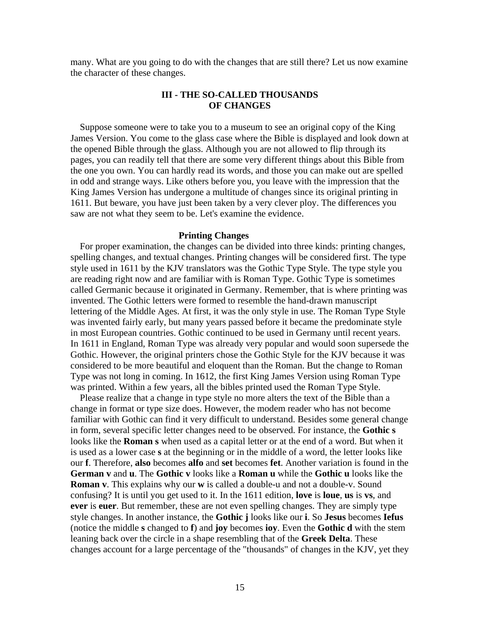many. What are you going to do with the changes that are still there? Let us now examine the character of these changes.

### **III - THE SO-CALLED THOUSANDS OF CHANGES**

 Suppose someone were to take you to a museum to see an original copy of the King James Version. You come to the glass case where the Bible is displayed and look down at the opened Bible through the glass. Although you are not allowed to flip through its pages, you can readily tell that there are some very different things about this Bible from the one you own. You can hardly read its words, and those you can make out are spelled in odd and strange ways. Like others before you, you leave with the impression that the King James Version has undergone a multitude of changes since its original printing in 1611. But beware, you have just been taken by a very clever ploy. The differences you saw are not what they seem to be. Let's examine the evidence.

#### **Printing Changes**

 For proper examination, the changes can be divided into three kinds: printing changes, spelling changes, and textual changes. Printing changes will be considered first. The type style used in 1611 by the KJV translators was the Gothic Type Style. The type style you are reading right now and are familiar with is Roman Type. Gothic Type is sometimes called Germanic because it originated in Germany. Remember, that is where printing was invented. The Gothic letters were formed to resemble the hand-drawn manuscript lettering of the Middle Ages. At first, it was the only style in use. The Roman Type Style was invented fairly early, but many years passed before it became the predominate style in most European countries. Gothic continued to be used in Germany until recent years. In 1611 in England, Roman Type was already very popular and would soon supersede the Gothic. However, the original printers chose the Gothic Style for the KJV because it was considered to be more beautiful and eloquent than the Roman. But the change to Roman Type was not long in coming. In 1612, the first King James Version using Roman Type was printed. Within a few years, all the bibles printed used the Roman Type Style.

 Please realize that a change in type style no more alters the text of the Bible than a change in format or type size does. However, the modem reader who has not become familiar with Gothic can find it very difficult to understand. Besides some general change in form, several specific letter changes need to be observed. For instance, the **Gothic s** looks like the **Roman s** when used as a capital letter or at the end of a word. But when it is used as a lower case **s** at the beginning or in the middle of a word, the letter looks like our **f**. Therefore, **also** becomes **alfo** and **set** becomes **fet**. Another variation is found in the **German v** and **u**. The **Gothic v** looks like a **Roman u** while the **Gothic u** looks like the **Roman v**. This explains why our **w** is called a double-u and not a double-v. Sound confusing? It is until you get used to it. In the 1611 edition, **love** is **loue**, **us** is **vs**, and **ever** is **euer**. But remember, these are not even spelling changes. They are simply type style changes. In another instance, the **Gothic j** looks like our **i**. So **Jesus** becomes **Iefus** (notice the middle **s** changed to **f**) and **joy** becomes **ioy**. Even the **Gothic d** with the stem leaning back over the circle in a shape resembling that of the **Greek Delta**. These changes account for a large percentage of the "thousands" of changes in the KJV, yet they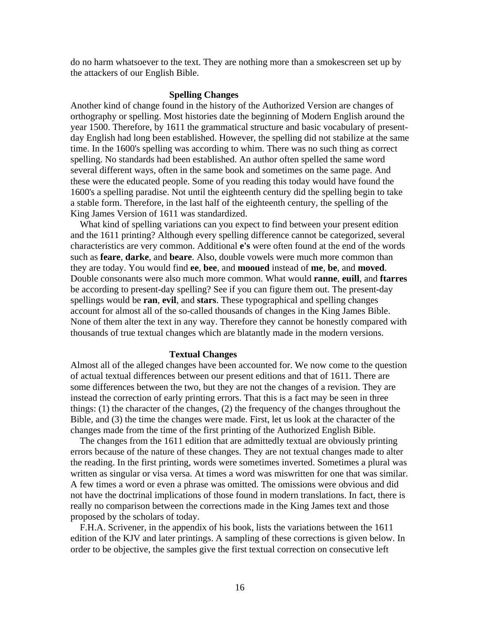do no harm whatsoever to the text. They are nothing more than a smokescreen set up by the attackers of our English Bible.

### **Spelling Changes**

Another kind of change found in the history of the Authorized Version are changes of orthography or spelling. Most histories date the beginning of Modern English around the year 1500. Therefore, by 1611 the grammatical structure and basic vocabulary of presentday English had long been established. However, the spelling did not stabilize at the same time. In the 1600's spelling was according to whim. There was no such thing as correct spelling. No standards had been established. An author often spelled the same word several different ways, often in the same book and sometimes on the same page. And these were the educated people. Some of you reading this today would have found the 1600's a spelling paradise. Not until the eighteenth century did the spelling begin to take a stable form. Therefore, in the last half of the eighteenth century, the spelling of the King James Version of 1611 was standardized.

 What kind of spelling variations can you expect to find between your present edition and the 1611 printing? Although every spelling difference cannot be categorized, several characteristics are very common. Additional **e's** were often found at the end of the words such as **feare**, **darke**, and **beare**. Also, double vowels were much more common than they are today. You would find **ee**, **bee**, and **mooued** instead of **me**, **be**, and **moved**. Double consonants were also much more common. What would **ranne**, **euill**, and **ftarres** be according to present-day spelling? See if you can figure them out. The present-day spellings would be **ran**, **evil**, and **stars**. These typographical and spelling changes account for almost all of the so-called thousands of changes in the King James Bible. None of them alter the text in any way. Therefore they cannot be honestly compared with thousands of true textual changes which are blatantly made in the modern versions.

#### **Textual Changes**

Almost all of the alleged changes have been accounted for. We now come to the question of actual textual differences between our present editions and that of 1611. There are some differences between the two, but they are not the changes of a revision. They are instead the correction of early printing errors. That this is a fact may be seen in three things: (1) the character of the changes, (2) the frequency of the changes throughout the Bible, and (3) the time the changes were made. First, let us look at the character of the changes made from the time of the first printing of the Authorized English Bible.

 The changes from the 1611 edition that are admittedly textual are obviously printing errors because of the nature of these changes. They are not textual changes made to alter the reading. In the first printing, words were sometimes inverted. Sometimes a plural was written as singular or visa versa. At times a word was miswritten for one that was similar. A few times a word or even a phrase was omitted. The omissions were obvious and did not have the doctrinal implications of those found in modern translations. In fact, there is really no comparison between the corrections made in the King James text and those proposed by the scholars of today.

 F.H.A. Scrivener, in the appendix of his book, lists the variations between the 1611 edition of the KJV and later printings. A sampling of these corrections is given below. In order to be objective, the samples give the first textual correction on consecutive left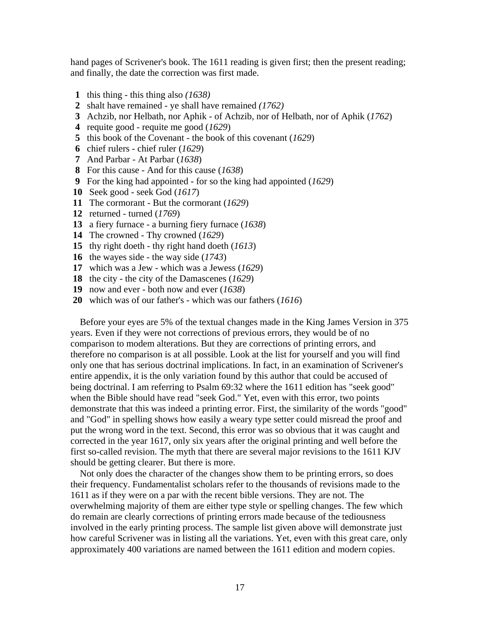hand pages of Scrivener's book. The 1611 reading is given first; then the present reading; and finally, the date the correction was first made.

- **1** this thing this thing also *(1638)*
- **2** shalt have remained ye shall have remained *(1762)*
- **3** Achzib, nor Helbath, nor Aphik of Achzib, nor of Helbath, nor of Aphik (*1762*)
- **4** requite good requite me good (*1629*)
- **5** this book of the Covenant the book of this covenant (*1629*)
- **6** chief rulers chief ruler (*1629*)
- **7** And Parbar At Parbar (*1638*)
- **8** For this cause And for this cause (*1638*)
- **9** For the king had appointed for so the king had appointed (*1629*)
- **10** Seek good seek God (*1617*)
- **11** The cormorant But the cormorant (*1629*)
- **12** returned turned (*1769*)
- **13** a fiery furnace a burning fiery furnace (*1638*)
- **14** The crowned Thy crowned (*1629*)
- **15** thy right doeth thy right hand doeth (*1613*)
- **16** the wayes side the way side (*1743*)
- **17** which was a Jew which was a Jewess (*1629*)
- **18** the city the city of the Damascenes (*1629*)
- **19** now and ever both now and ever (*1638*)
- **20** which was of our father's which was our fathers (*1616*)

 Before your eyes are 5% of the textual changes made in the King James Version in 375 years. Even if they were not corrections of previous errors, they would be of no comparison to modem alterations. But they are corrections of printing errors, and therefore no comparison is at all possible. Look at the list for yourself and you will find only one that has serious doctrinal implications. In fact, in an examination of Scrivener's entire appendix, it is the only variation found by this author that could be accused of being doctrinal. I am referring to Psalm 69:32 where the 1611 edition has "seek good" when the Bible should have read "seek God." Yet, even with this error, two points demonstrate that this was indeed a printing error. First, the similarity of the words "good" and "God" in spelling shows how easily a weary type setter could misread the proof and put the wrong word in the text. Second, this error was so obvious that it was caught and corrected in the year 1617, only six years after the original printing and well before the first so-called revision. The myth that there are several major revisions to the 1611 KJV should be getting clearer. But there is more.

 Not only does the character of the changes show them to be printing errors, so does their frequency. Fundamentalist scholars refer to the thousands of revisions made to the 1611 as if they were on a par with the recent bible versions. They are not. The overwhelming majority of them are either type style or spelling changes. The few which do remain are clearly corrections of printing errors made because of the tediousness involved in the early printing process. The sample list given above will demonstrate just how careful Scrivener was in listing all the variations. Yet, even with this great care, only approximately 400 variations are named between the 1611 edition and modern copies.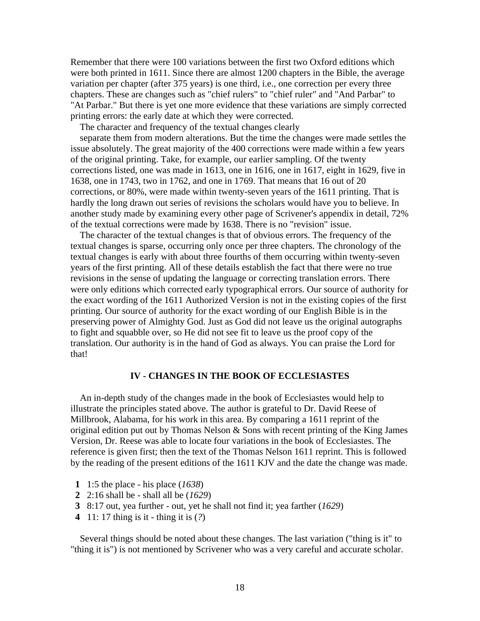Remember that there were 100 variations between the first two Oxford editions which were both printed in 1611. Since there are almost 1200 chapters in the Bible, the average variation per chapter (after 375 years) is one third, i.e., one correction per every three chapters. These are changes such as "chief rulers" to "chief ruler" and "And Parbar" to "At Parbar." But there is yet one more evidence that these variations are simply corrected printing errors: the early date at which they were corrected.

The character and frequency of the textual changes clearly

 separate them from modern alterations. But the time the changes were made settles the issue absolutely. The great majority of the 400 corrections were made within a few years of the original printing. Take, for example, our earlier sampling. Of the twenty corrections listed, one was made in 1613, one in 1616, one in 1617, eight in 1629, five in 1638, one in 1743, two in 1762, and one in 1769. That means that 16 out of 20 corrections, or 80%, were made within twenty-seven years of the 1611 printing. That is hardly the long drawn out series of revisions the scholars would have you to believe. In another study made by examining every other page of Scrivener's appendix in detail, 72% of the textual corrections were made by 1638. There is no "revision" issue.

 The character of the textual changes is that of obvious errors. The frequency of the textual changes is sparse, occurring only once per three chapters. The chronology of the textual changes is early with about three fourths of them occurring within twenty-seven years of the first printing. All of these details establish the fact that there were no true revisions in the sense of updating the language or correcting translation errors. There were only editions which corrected early typographical errors. Our source of authority for the exact wording of the 1611 Authorized Version is not in the existing copies of the first printing. Our source of authority for the exact wording of our English Bible is in the preserving power of Almighty God. Just as God did not leave us the original autographs to fight and squabble over, so He did not see fit to leave us the proof copy of the translation. Our authority is in the hand of God as always. You can praise the Lord for that!

### **IV - CHANGES IN THE BOOK OF ECCLESIASTES**

 An in-depth study of the changes made in the book of Ecclesiastes would help to illustrate the principles stated above. The author is grateful to Dr. David Reese of Millbrook, Alabama, for his work in this area. By comparing a 1611 reprint of the original edition put out by Thomas Nelson  $\&$  Sons with recent printing of the King James Version, Dr. Reese was able to locate four variations in the book of Ecclesiastes. The reference is given first; then the text of the Thomas Nelson 1611 reprint. This is followed by the reading of the present editions of the 1611 KJV and the date the change was made.

- **1** 1:5 the place his place (*1638*)
- **2** 2:16 shall be shall all be (*1629*)
- **3** 8:17 out, yea further out, yet he shall not find it; yea farther (*1629*)
- **4** 11: 17 thing is it thing it is (*?*)

 Several things should be noted about these changes. The last variation ("thing is it" to "thing it is") is not mentioned by Scrivener who was a very careful and accurate scholar.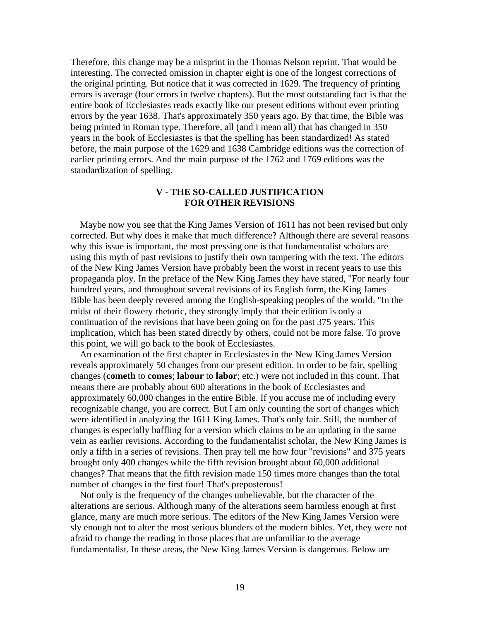Therefore, this change may be a misprint in the Thomas Nelson reprint. That would be interesting. The corrected omission in chapter eight is one of the longest corrections of the original printing. But notice that it was corrected in 1629. The frequency of printing errors is average (four errors in twelve chapters). But the most outstanding fact is that the entire book of Ecclesiastes reads exactly like our present editions without even printing errors by the year 1638. That's approximately 350 years ago. By that time, the Bible was being printed in Roman type. Therefore, all (and I mean all) that has changed in 350 years in the book of Ecclesiastes is that the spelling has been standardized! As stated before, the main purpose of the 1629 and 1638 Cambridge editions was the correction of earlier printing errors. And the main purpose of the 1762 and 1769 editions was the standardization of spelling.

### **V - THE SO-CALLED JUSTIFICATION FOR OTHER REVISIONS**

 Maybe now you see that the King James Version of 1611 has not been revised but only corrected. But why does it make that much difference? Although there are several reasons why this issue is important, the most pressing one is that fundamentalist scholars are using this myth of past revisions to justify their own tampering with the text. The editors of the New King James Version have probably been the worst in recent years to use this propaganda ploy. In the preface of the New King James they have stated, "For nearly four hundred years, and throughout several revisions of its English form, the King James Bible has been deeply revered among the English-speaking peoples of the world. "In the midst of their flowery rhetoric, they strongly imply that their edition is only a continuation of the revisions that have been going on for the past 375 years. This implication, which has been stated directly by others, could not be more false. To prove this point, we will go back to the book of Ecclesiastes.

 An examination of the first chapter in Ecclesiastes in the New King James Version reveals approximately 50 changes from our present edition. In order to be fair, spelling changes (**cometh** to **comes**; **labour** to **labor**; etc.) were not included in this count. That means there are probably about 600 alterations in the book of Ecclesiastes and approximately 60,000 changes in the entire Bible. If you accuse me of including every recognizable change, you are correct. But I am only counting the sort of changes which were identified in analyzing the 1611 King James. That's only fair. Still, the number of changes is especially baffling for a version which claims to be an updating in the same vein as earlier revisions. According to the fundamentalist scholar, the New King James is only a fifth in a series of revisions. Then pray tell me how four "revisions" and 375 years brought only 400 changes while the fifth revision brought about 60,000 additional changes? That means that the fifth revision made 150 times more changes than the total number of changes in the first four! That's preposterous!

 Not only is the frequency of the changes unbelievable, but the character of the alterations are serious. Although many of the alterations seem harmless enough at first glance, many are much more serious. The editors of the New King James Version were sly enough not to alter the most serious blunders of the modern bibles. Yet, they were not afraid to change the reading in those places that are unfamiliar to the average fundamentalist. In these areas, the New King James Version is dangerous. Below are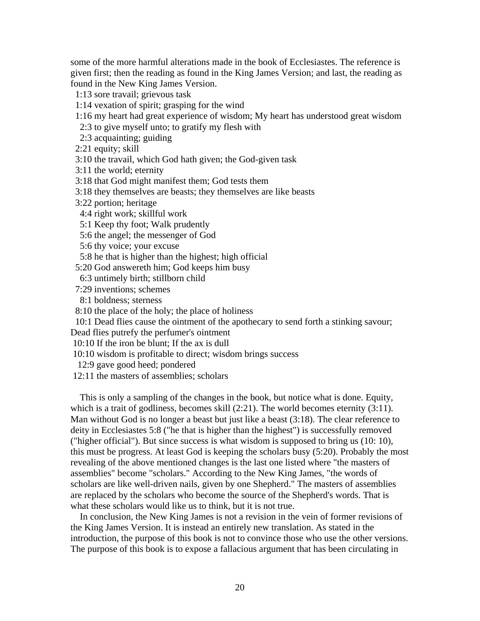some of the more harmful alterations made in the book of Ecclesiastes. The reference is given first; then the reading as found in the King James Version; and last, the reading as found in the New King James Version.

- 1:13 sore travail; grievous task
- 1:14 vexation of spirit; grasping for the wind
- 1:16 my heart had great experience of wisdom; My heart has understood great wisdom 2:3 to give myself unto; to gratify my flesh with
- 2:3 acquainting; guiding
- 2:21 equity; skill
- 3:10 the travail, which God hath given; the God-given task
- 3:11 the world; eternity
- 3:18 that God might manifest them; God tests them
- 3:18 they themselves are beasts; they themselves are like beasts
- 3:22 portion; heritage
- 4:4 right work; skillful work
- 5:1 Keep thy foot; Walk prudently
- 5:6 the angel; the messenger of God
- 5:6 thy voice; your excuse
- 5:8 he that is higher than the highest; high official
- 5:20 God answereth him; God keeps him busy
- 6:3 untimely birth; stillborn child
- 7:29 inventions; schemes
- 8:1 boldness; sterness
- 8:10 the place of the holy; the place of holiness
- 10:1 Dead flies cause the ointment of the apothecary to send forth a stinking savour;
- Dead flies putrefy the perfumer's ointment
- 10:10 If the iron be blunt; If the ax is dull
- 10:10 wisdom is profitable to direct; wisdom brings success
- 12:9 gave good heed; pondered
- 12:11 the masters of assemblies; scholars

 This is only a sampling of the changes in the book, but notice what is done. Equity, which is a trait of godliness, becomes skill  $(2:21)$ . The world becomes eternity  $(3:11)$ . Man without God is no longer a beast but just like a beast (3:18). The clear reference to deity in Ecclesiastes 5:8 ("he that is higher than the highest") is successfully removed ("higher official"). But since success is what wisdom is supposed to bring us (10: 10), this must be progress. At least God is keeping the scholars busy (5:20). Probably the most revealing of the above mentioned changes is the last one listed where "the masters of assemblies" become "scholars." According to the New King James, "the words of scholars are like well-driven nails, given by one Shepherd." The masters of assemblies are replaced by the scholars who become the source of the Shepherd's words. That is what these scholars would like us to think, but it is not true.

 In conclusion, the New King James is not a revision in the vein of former revisions of the King James Version. It is instead an entirely new translation. As stated in the introduction, the purpose of this book is not to convince those who use the other versions. The purpose of this book is to expose a fallacious argument that has been circulating in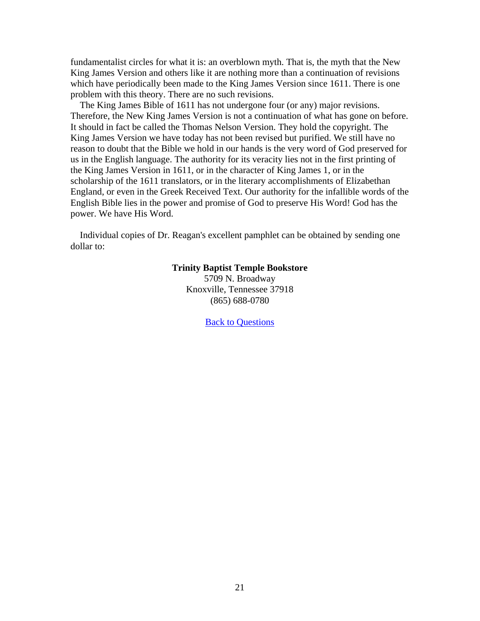fundamentalist circles for what it is: an overblown myth. That is, the myth that the New King James Version and others like it are nothing more than a continuation of revisions which have periodically been made to the King James Version since 1611. There is one problem with this theory. There are no such revisions.

 The King James Bible of 1611 has not undergone four (or any) major revisions. Therefore, the New King James Version is not a continuation of what has gone on before. It should in fact be called the Thomas Nelson Version. They hold the copyright. The King James Version we have today has not been revised but purified. We still have no reason to doubt that the Bible we hold in our hands is the very word of God preserved for us in the English language. The authority for its veracity lies not in the first printing of the King James Version in 1611, or in the character of King James 1, or in the scholarship of the 1611 translators, or in the literary accomplishments of Elizabethan England, or even in the Greek Received Text. Our authority for the infallible words of the English Bible lies in the power and promise of God to preserve His Word! God has the power. We have His Word.

 Individual copies of Dr. Reagan's excellent pamphlet can be obtained by sending one dollar to:

#### **Trinity Baptist Temple Bookstore**

5709 N. Broadway Knoxville, Tennessee 37918 (865) 688-0780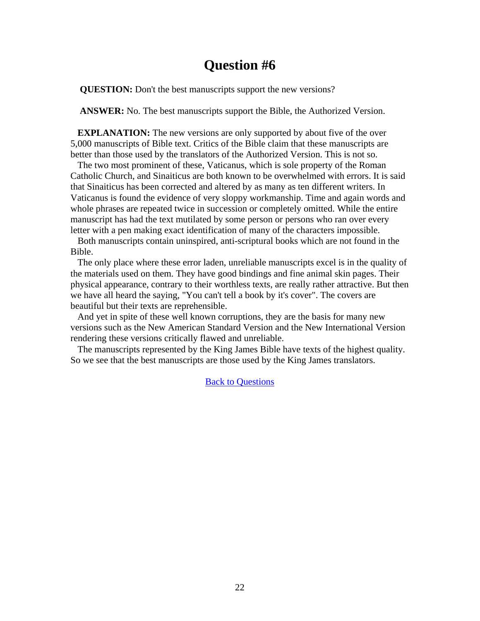<span id="page-22-0"></span>**QUESTION:** Don't the best manuscripts support the new versions?

**ANSWER:** No. The best manuscripts support the Bible, the Authorized Version.

**EXPLANATION:** The new versions are only supported by about five of the over 5,000 manuscripts of Bible text. Critics of the Bible claim that these manuscripts are better than those used by the translators of the Authorized Version. This is not so.

 The two most prominent of these, Vaticanus, which is sole property of the Roman Catholic Church, and Sinaiticus are both known to be overwhelmed with errors. It is said that Sinaiticus has been corrected and altered by as many as ten different writers. In Vaticanus is found the evidence of very sloppy workmanship. Time and again words and whole phrases are repeated twice in succession or completely omitted. While the entire manuscript has had the text mutilated by some person or persons who ran over every letter with a pen making exact identification of many of the characters impossible.

 Both manuscripts contain uninspired, anti-scriptural books which are not found in the Bible.

 The only place where these error laden, unreliable manuscripts excel is in the quality of the materials used on them. They have good bindings and fine animal skin pages. Their physical appearance, contrary to their worthless texts, are really rather attractive. But then we have all heard the saying, "You can't tell a book by it's cover". The covers are beautiful but their texts are reprehensible.

 And yet in spite of these well known corruptions, they are the basis for many new versions such as the New American Standard Version and the New International Version rendering these versions critically flawed and unreliable.

 The manuscripts represented by the King James Bible have texts of the highest quality. So we see that the best manuscripts are those used by the King James translators.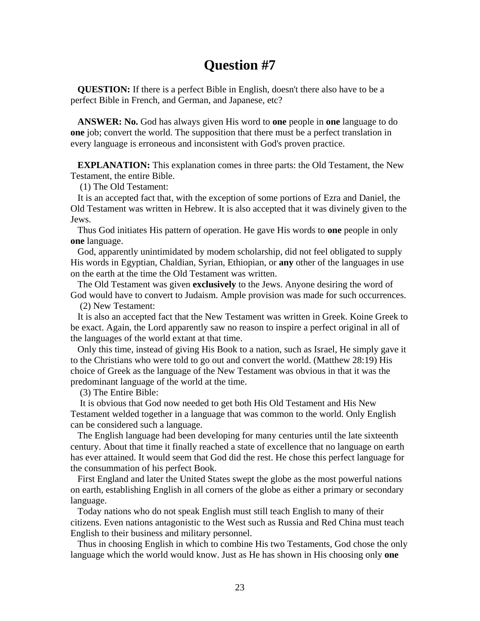<span id="page-23-0"></span> **QUESTION:** If there is a perfect Bible in English, doesn't there also have to be a perfect Bible in French, and German, and Japanese, etc?

 **ANSWER: No.** God has always given His word to **one** people in **one** language to do **one** job; convert the world. The supposition that there must be a perfect translation in every language is erroneous and inconsistent with God's proven practice.

 **EXPLANATION:** This explanation comes in three parts: the Old Testament, the New Testament, the entire Bible.

(1) The Old Testament:

 It is an accepted fact that, with the exception of some portions of Ezra and Daniel, the Old Testament was written in Hebrew. It is also accepted that it was divinely given to the Jews.

 Thus God initiates His pattern of operation. He gave His words to **one** people in only **one** language.

 God, apparently unintimidated by modem scholarship, did not feel obligated to supply His words in Egyptian, Chaldian, Syrian, Ethiopian, or **any** other of the languages in use on the earth at the time the Old Testament was written.

 The Old Testament was given **exclusively** to the Jews. Anyone desiring the word of God would have to convert to Judaism. Ample provision was made for such occurrences.

(2) New Testament:

 It is also an accepted fact that the New Testament was written in Greek. Koine Greek to be exact. Again, the Lord apparently saw no reason to inspire a perfect original in all of the languages of the world extant at that time.

 Only this time, instead of giving His Book to a nation, such as Israel, He simply gave it to the Christians who were told to go out and convert the world. (Matthew 28:19) His choice of Greek as the language of the New Testament was obvious in that it was the predominant language of the world at the time.

(3) The Entire Bible:

 It is obvious that God now needed to get both His Old Testament and His New Testament welded together in a language that was common to the world. Only English can be considered such a language.

 The English language had been developing for many centuries until the late sixteenth century. About that time it finally reached a state of excellence that no language on earth has ever attained. It would seem that God did the rest. He chose this perfect language for the consummation of his perfect Book.

 First England and later the United States swept the globe as the most powerful nations on earth, establishing English in all corners of the globe as either a primary or secondary language.

 Today nations who do not speak English must still teach English to many of their citizens. Even nations antagonistic to the West such as Russia and Red China must teach English to their business and military personnel.

 Thus in choosing English in which to combine His two Testaments, God chose the only language which the world would know. Just as He has shown in His choosing only **one**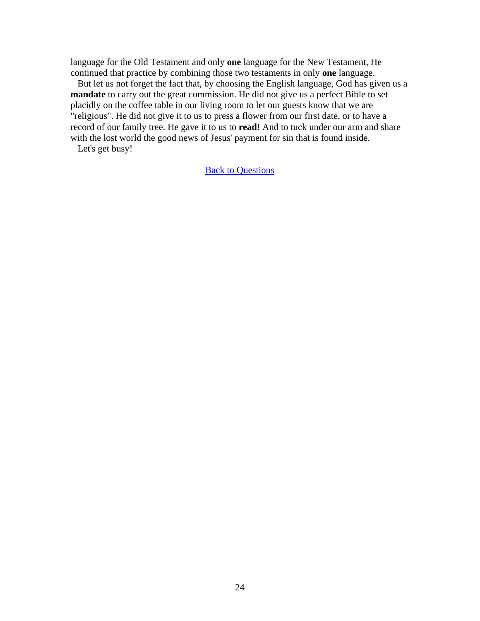language for the Old Testament and only **one** language for the New Testament, He continued that practice by combining those two testaments in only **one** language.

 But let us not forget the fact that, by choosing the English language, God has given us a **mandate** to carry out the great commission. He did not give us a perfect Bible to set placidly on the coffee table in our living room to let our guests know that we are "religious". He did not give it to us to press a flower from our first date, or to have a record of our family tree. He gave it to us to **read!** And to tuck under our arm and share with the lost world the good news of Jesus' payment for sin that is found inside.

Let's get busy!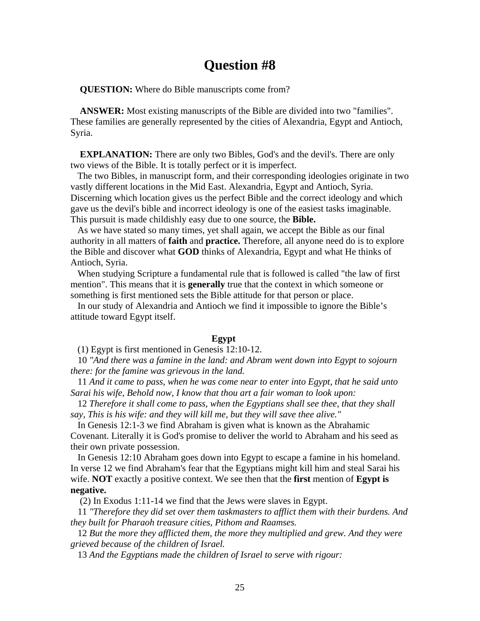<span id="page-25-0"></span>**QUESTION:** Where do Bible manuscripts come from?

 **ANSWER:** Most existing manuscripts of the Bible are divided into two "families". These families are generally represented by the cities of Alexandria, Egypt and Antioch, Syria.

 **EXPLANATION:** There are only two Bibles, God's and the devil's. There are only two views of the Bible. It is totally perfect or it is imperfect.

 The two Bibles, in manuscript form, and their corresponding ideologies originate in two vastly different locations in the Mid East. Alexandria, Egypt and Antioch, Syria. Discerning which location gives us the perfect Bible and the correct ideology and which gave us the devil's bible and incorrect ideology is one of the easiest tasks imaginable. This pursuit is made childishly easy due to one source, the **Bible.**

 As we have stated so many times, yet shall again, we accept the Bible as our final authority in all matters of **faith** and **practice.** Therefore, all anyone need do is to explore the Bible and discover what **GOD** thinks of Alexandria, Egypt and what He thinks of Antioch, Syria.

 When studying Scripture a fundamental rule that is followed is called "the law of first mention". This means that it is **generally** true that the context in which someone or something is first mentioned sets the Bible attitude for that person or place.

 In our study of Alexandria and Antioch we find it impossible to ignore the Bible's attitude toward Egypt itself.

### **Egypt**

(1) Egypt is first mentioned in Genesis 12:10-12.

 10 *"And there was a famine in the land: and Abram went down into Egypt to sojourn there: for the famine was grievous in the land.* 

11 *And it came to pass, when he was come near to enter into Egypt, that he said unto Sarai his wife, Behold now, I know that thou art a fair woman to look upon:* 

12 *Therefore it shall come to pass, when the Egyptians shall see thee, that they shall say, This is his wife: and they will kill me, but they will save thee alive."*

 In Genesis 12:1-3 we find Abraham is given what is known as the Abrahamic Covenant. Literally it is God's promise to deliver the world to Abraham and his seed as their own private possession.

 In Genesis 12:10 Abraham goes down into Egypt to escape a famine in his homeland. In verse 12 we find Abraham's fear that the Egyptians might kill him and steal Sarai his wife. **NOT** exactly a positive context. We see then that the **first** mention of **Egypt is negative.**

(2) In Exodus 1:11-14 we find that the Jews were slaves in Egypt.

 11 *"Therefore they did set over them taskmasters to afflict them with their burdens. And they built for Pharaoh treasure cities, Pithom and Raamses.* 

12 *But the more they afflicted them, the more they multiplied and grew. And they were grieved because of the children of Israel.* 

13 *And the Egyptians made the children of Israel to serve with rigour:*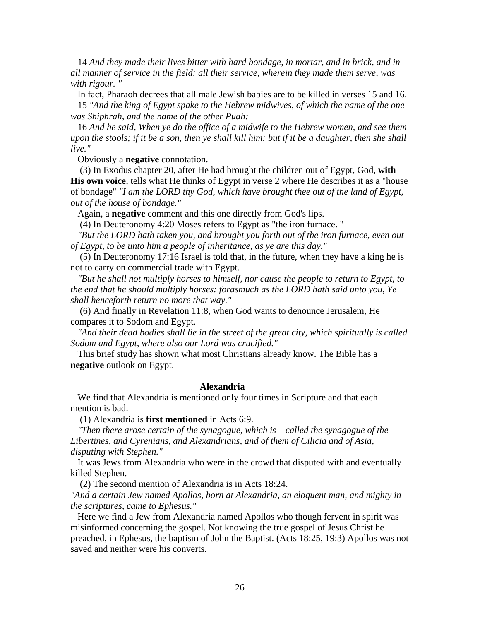14 *And they made their lives bitter with hard bondage, in mortar, and in brick, and in all manner of service in the field: all their service, wherein they made them serve, was with rigour. "*

In fact, Pharaoh decrees that all male Jewish babies are to be killed in verses 15 and 16.

 15 *"And the king of Egypt spake to the Hebrew midwives, of which the name of the one was Shiphrah, and the name of the other Puah:* 

16 *And he said, When ye do the office of a midwife to the Hebrew women, and see them upon the stools; if it be a son, then ye shall kill him: but if it be a daughter, then she shall live."*

Obviously a **negative** connotation.

 (3) In Exodus chapter 20, after He had brought the children out of Egypt, God, **with His own voice**, tells what He thinks of Egypt in verse 2 where He describes it as a "house of bondage" *"I am the LORD thy God, which have brought thee out of the land of Egypt, out of the house of bondage."*

Again, a **negative** comment and this one directly from God's lips.

(4) In Deuteronomy 4:20 Moses refers to Egypt as "the iron furnace. "

 *"But the LORD hath taken you, and brought you forth out of the iron furnace, even out of Egypt, to be unto him a people of inheritance, as ye are this day."*

 (5) In Deuteronomy 17:16 Israel is told that, in the future, when they have a king he is not to carry on commercial trade with Egypt.

 *"But he shall not multiply horses to himself, nor cause the people to return to Egypt, to the end that he should multiply horses: forasmuch as the LORD hath said unto you, Ye shall henceforth return no more that way."*

 (6) And finally in Revelation 11:8, when God wants to denounce Jerusalem, He compares it to Sodom and Egypt.

 *"And their dead bodies shall lie in the street of the great city, which spiritually is called Sodom and Egypt, where also our Lord was crucified."*

 This brief study has shown what most Christians already know. The Bible has a **negative** outlook on Egypt.

#### **Alexandria**

 We find that Alexandria is mentioned only four times in Scripture and that each mention is bad.

(1) Alexandria is **first mentioned** in Acts 6:9.

 *"Then there arose certain of the synagogue, which is called the synagogue of the Libertines, and Cyrenians, and Alexandrians, and of them of Cilicia and of Asia, disputing with Stephen."*

 It was Jews from Alexandria who were in the crowd that disputed with and eventually killed Stephen.

(2) The second mention of Alexandria is in Acts 18:24.

*"And a certain Jew named Apollos, born at Alexandria, an eloquent man, and mighty in the scriptures, came to Ephesus."*

 Here we find a Jew from Alexandria named Apollos who though fervent in spirit was misinformed concerning the gospel. Not knowing the true gospel of Jesus Christ he preached, in Ephesus, the baptism of John the Baptist. (Acts 18:25, 19:3) Apollos was not saved and neither were his converts.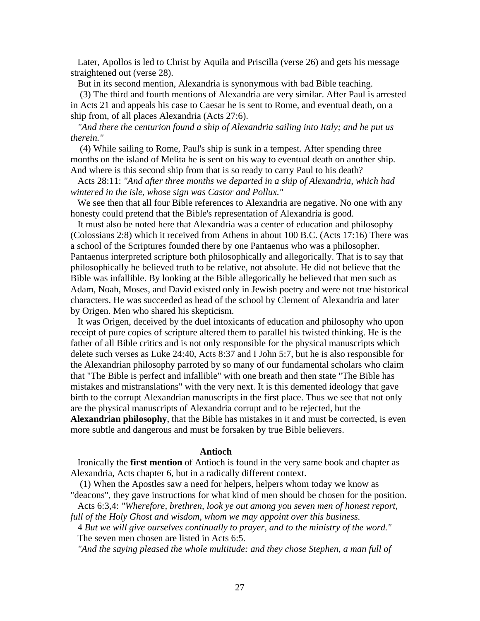Later, Apollos is led to Christ by Aquila and Priscilla (verse 26) and gets his message straightened out (verse 28).

But in its second mention, Alexandria is synonymous with bad Bible teaching.

 (3) The third and fourth mentions of Alexandria are very similar. After Paul is arrested in Acts 21 and appeals his case to Caesar he is sent to Rome, and eventual death, on a ship from, of all places Alexandria (Acts 27:6).

 *"And there the centurion found a ship of Alexandria sailing into Italy; and he put us therein."*

 (4) While sailing to Rome, Paul's ship is sunk in a tempest. After spending three months on the island of Melita he is sent on his way to eventual death on another ship. And where is this second ship from that is so ready to carry Paul to his death?

 Acts 28:11: *"And after three months we departed in a ship of Alexandria, which had wintered in the isle, whose sign was Castor and Pollux."*

We see then that all four Bible references to Alexandria are negative. No one with any honesty could pretend that the Bible's representation of Alexandria is good.

 It must also be noted here that Alexandria was a center of education and philosophy (Colossians 2:8) which it received from Athens in about 100 B.C. (Acts 17:16) There was a school of the Scriptures founded there by one Pantaenus who was a philosopher. Pantaenus interpreted scripture both philosophically and allegorically. That is to say that philosophically he believed truth to be relative, not absolute. He did not believe that the Bible was infallible. By looking at the Bible allegorically he believed that men such as Adam, Noah, Moses, and David existed only in Jewish poetry and were not true historical characters. He was succeeded as head of the school by Clement of Alexandria and later by Origen. Men who shared his skepticism.

 It was Origen, deceived by the duel intoxicants of education and philosophy who upon receipt of pure copies of scripture altered them to parallel his twisted thinking. He is the father of all Bible critics and is not only responsible for the physical manuscripts which delete such verses as Luke 24:40, Acts 8:37 and I John 5:7, but he is also responsible for the Alexandrian philosophy parroted by so many of our fundamental scholars who claim that "The Bible is perfect and infallible" with one breath and then state "The Bible has mistakes and mistranslations" with the very next. It is this demented ideology that gave birth to the corrupt Alexandrian manuscripts in the first place. Thus we see that not only are the physical manuscripts of Alexandria corrupt and to be rejected, but the **Alexandrian philosophy**, that the Bible has mistakes in it and must be corrected, is even more subtle and dangerous and must be forsaken by true Bible believers.

#### **Antioch**

 Ironically the **first mention** of Antioch is found in the very same book and chapter as Alexandria, Acts chapter 6, but in a radically different context.

 (1) When the Apostles saw a need for helpers, helpers whom today we know as "deacons", they gave instructions for what kind of men should be chosen for the position.

 Acts 6:3,4: *"Wherefore, brethren, look ye out among you seven men of honest report, full of the Holy Ghost and wisdom, whom we may appoint over this business.* 

4 *But we will give ourselves continually to prayer, and to the ministry of the word."* The seven men chosen are listed in Acts 6:5.

*"And the saying pleased the whole multitude: and they chose Stephen, a man full of*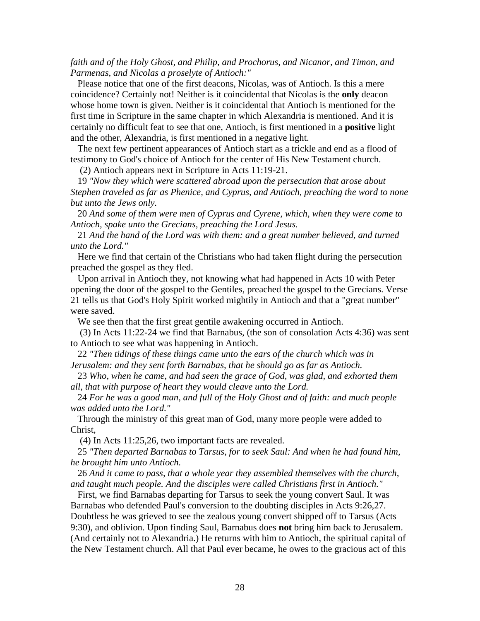*faith and of the Holy Ghost, and Philip, and Prochorus, and Nicanor, and Timon, and Parmenas, and Nicolas a proselyte of Antioch:"*

 Please notice that one of the first deacons, Nicolas, was of Antioch. Is this a mere coincidence? Certainly not! Neither is it coincidental that Nicolas is the **only** deacon whose home town is given. Neither is it coincidental that Antioch is mentioned for the first time in Scripture in the same chapter in which Alexandria is mentioned. And it is certainly no difficult feat to see that one, Antioch, is first mentioned in a **positive** light and the other, Alexandria, is first mentioned in a negative light.

 The next few pertinent appearances of Antioch start as a trickle and end as a flood of testimony to God's choice of Antioch for the center of His New Testament church.

(2) Antioch appears next in Scripture in Acts 11:19-21.

 19 *"Now they which were scattered abroad upon the persecution that arose about Stephen traveled as far as Phenice, and Cyprus, and Antioch, preaching the word to none but unto the Jews only.* 

20 *And some of them were men of Cyprus and Cyrene, which, when they were come to Antioch, spake unto the Grecians, preaching the Lord Jesus.* 

21 *And the hand of the Lord was with them: and a great number believed, and turned unto the Lord."*

 Here we find that certain of the Christians who had taken flight during the persecution preached the gospel as they fled.

 Upon arrival in Antioch they, not knowing what had happened in Acts 10 with Peter opening the door of the gospel to the Gentiles, preached the gospel to the Grecians. Verse 21 tells us that God's Holy Spirit worked mightily in Antioch and that a "great number" were saved.

We see then that the first great gentile awakening occurred in Antioch.

 (3) In Acts 11:22-24 we find that Barnabus, (the son of consolation Acts 4:36) was sent to Antioch to see what was happening in Antioch.

 22 *"Then tidings of these things came unto the ears of the church which was in Jerusalem: and they sent forth Barnabas, that he should go as far as Antioch.* 

23 *Who, when he came, and had seen the grace of God, was glad, and exhorted them all, that with purpose of heart they would cleave unto the Lord.* 

24 *For he was a good man, and full of the Holy Ghost and of faith: and much people was added unto the Lord."*

 Through the ministry of this great man of God, many more people were added to Christ,

(4) In Acts 11:25,26, two important facts are revealed.

 25 *"Then departed Barnabas to Tarsus, for to seek Saul: And when he had found him, he brought him unto Antioch.* 

26 *And it came to pass, that a whole year they assembled themselves with the church, and taught much people. And the disciples were called Christians first in Antioch."*

 First, we find Barnabas departing for Tarsus to seek the young convert Saul. It was Barnabas who defended Paul's conversion to the doubting disciples in Acts 9:26,27. Doubtless he was grieved to see the zealous young convert shipped off to Tarsus (Acts 9:30), and oblivion. Upon finding Saul, Barnabus does **not** bring him back to Jerusalem. (And certainly not to Alexandria.) He returns with him to Antioch, the spiritual capital of the New Testament church. All that Paul ever became, he owes to the gracious act of this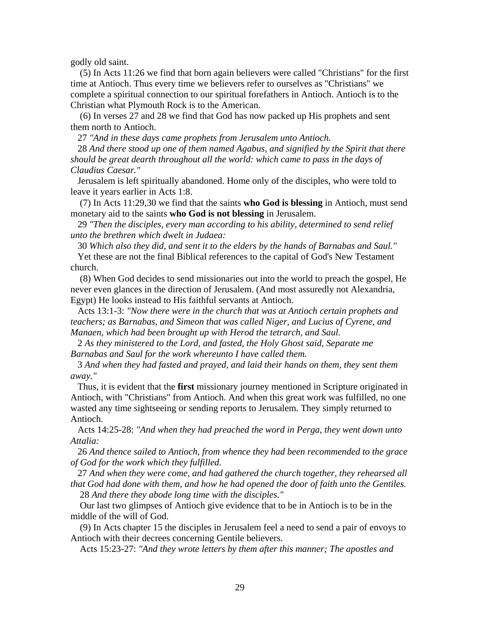godly old saint.

 (5) In Acts 11:26 we find that born again believers were called "Christians" for the first time at Antioch. Thus every time we believers refer to ourselves as "Christians" we complete a spiritual connection to our spiritual forefathers in Antioch. Antioch is to the Christian what Plymouth Rock is to the American.

 (6) In verses 27 and 28 we find that God has now packed up His prophets and sent them north to Antioch.

27 *"And in these days came prophets from Jerusalem unto Antioch.* 

28 *And there stood up one of them named Agabus, and signified by the Spirit that there should be great dearth throughout all the world: which came to pass in the days of Claudius Caesar."*

 Jerusalem is left spiritually abandoned. Home only of the disciples, who were told to leave it years earlier in Acts 1:8.

 (7) In Acts 11:29,30 we find that the saints **who God is blessing** in Antioch, must send monetary aid to the saints **who God is not blessing** in Jerusalem.

 29 *"Then the disciples, every man according to his ability, determined to send relief unto the brethren which dwelt in Judaea:* 

30 *Which also they did, and sent it to the elders by the hands of Barnabas and Saul."*

 Yet these are not the final Biblical references to the capital of God's New Testament church.

 (8) When God decides to send missionaries out into the world to preach the gospel, He never even glances in the direction of Jerusalem. (And most assuredly not Alexandria, Egypt) He looks instead to His faithful servants at Antioch.

 Acts 13:1-3: *"Now there were in the church that was at Antioch certain prophets and teachers; as Barnabas, and Simeon that was called Niger, and Lucius of Cyrene, and Manaen, which had been brought up with Herod the tetrarch, and Saul.* 

2 *As they ministered to the Lord, and fasted, the Holy Ghost said, Separate me Barnabas and Saul for the work whereunto I have called them.* 

3 *And when they had fasted and prayed, and laid their hands on them, they sent them away."*

 Thus, it is evident that the **first** missionary journey mentioned in Scripture originated in Antioch, with "Christians" from Antioch. And when this great work was fulfilled, no one wasted any time sightseeing or sending reports to Jerusalem. They simply returned to Antioch.

 Acts 14:25-28: *"And when they had preached the word in Perga, they went down unto Attalia:* 

26 *And thence sailed to Antioch, from whence they had been recommended to the grace of God for the work which they fulfilled.* 

27 *And when they were come, and had gathered the church together, they rehearsed all that God had done with them, and how he had opened the door of faith unto the Gentiles.* 

28 *And there they abode long time with the disciples."*

 Our last two glimpses of Antioch give evidence that to be in Antioch is to be in the middle of the will of God.

 (9) In Acts chapter 15 the disciples in Jerusalem feel a need to send a pair of envoys to Antioch with their decrees concerning Gentile believers.

Acts 15:23-27: *"And they wrote letters by them after this manner; The apostles and*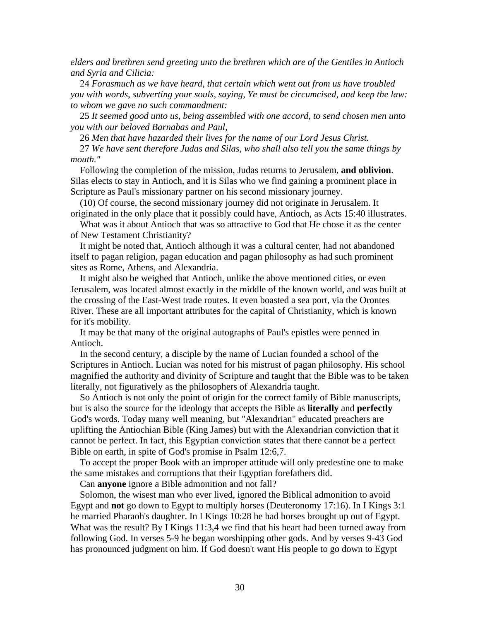*elders and brethren send greeting unto the brethren which are of the Gentiles in Antioch and Syria and Cilicia:* 

24 *Forasmuch as we have heard, that certain which went out from us have troubled you with words, subverting your souls, saying, Ye must be circumcised, and keep the law: to whom we gave no such commandment:* 

25 *It seemed good unto us, being assembled with one accord, to send chosen men unto you with our beloved Barnabas and Paul,* 

26 *Men that have hazarded their lives for the name of our Lord Jesus Christ.* 

27 *We have sent therefore Judas and Silas, who shall also tell you the same things by mouth."*

 Following the completion of the mission, Judas returns to Jerusalem, **and oblivion**. Silas elects to stay in Antioch, and it is Silas who we find gaining a prominent place in Scripture as Paul's missionary partner on his second missionary journey.

 (10) Of course, the second missionary journey did not originate in Jerusalem. It originated in the only place that it possibly could have, Antioch, as Acts 15:40 illustrates.

 What was it about Antioch that was so attractive to God that He chose it as the center of New Testament Christianity?

 It might be noted that, Antioch although it was a cultural center, had not abandoned itself to pagan religion, pagan education and pagan philosophy as had such prominent sites as Rome, Athens, and Alexandria.

 It might also be weighed that Antioch, unlike the above mentioned cities, or even Jerusalem, was located almost exactly in the middle of the known world, and was built at the crossing of the East-West trade routes. It even boasted a sea port, via the Orontes River. These are all important attributes for the capital of Christianity, which is known for it's mobility.

 It may be that many of the original autographs of Paul's epistles were penned in Antioch.

 In the second century, a disciple by the name of Lucian founded a school of the Scriptures in Antioch. Lucian was noted for his mistrust of pagan philosophy. His school magnified the authority and divinity of Scripture and taught that the Bible was to be taken literally, not figuratively as the philosophers of Alexandria taught.

 So Antioch is not only the point of origin for the correct family of Bible manuscripts, but is also the source for the ideology that accepts the Bible as **literally** and **perfectly** God's words. Today many well meaning, but "Alexandrian" educated preachers are uplifting the Antiochian Bible (King James) but with the Alexandrian conviction that it cannot be perfect. In fact, this Egyptian conviction states that there cannot be a perfect Bible on earth, in spite of God's promise in Psalm 12:6,7.

 To accept the proper Book with an improper attitude will only predestine one to make the same mistakes and corruptions that their Egyptian forefathers did.

Can **anyone** ignore a Bible admonition and not fall?

 Solomon, the wisest man who ever lived, ignored the Biblical admonition to avoid Egypt and **not** go down to Egypt to multiply horses (Deuteronomy 17:16). In I Kings 3:1 he married Pharaoh's daughter. In I Kings 10:28 he had horses brought up out of Egypt. What was the result? By I Kings 11:3,4 we find that his heart had been turned away from following God. In verses 5-9 he began worshipping other gods. And by verses 9-43 God has pronounced judgment on him. If God doesn't want His people to go down to Egypt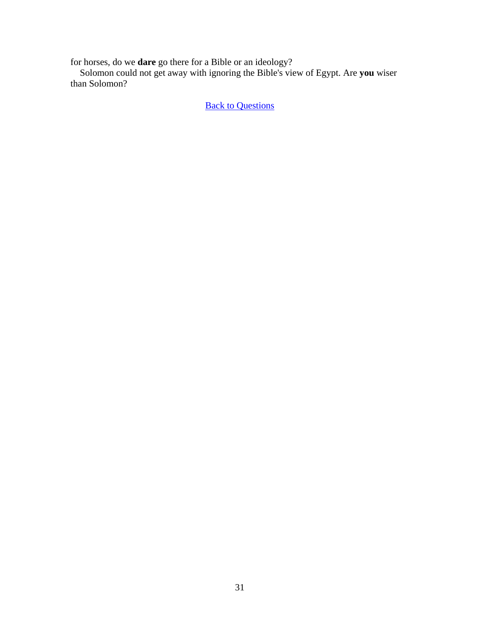for horses, do we **dare** go there for a Bible or an ideology?

 Solomon could not get away with ignoring the Bible's view of Egypt. Are **you** wiser than Solomon?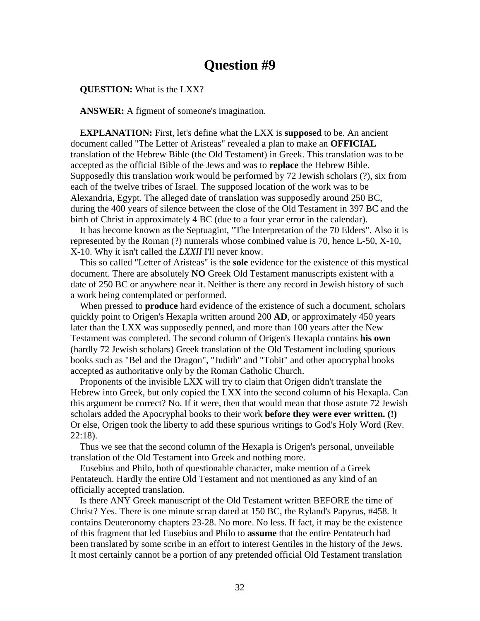<span id="page-32-0"></span>**QUESTION:** What is the LXX?

**ANSWER:** A figment of someone's imagination.

 **EXPLANATION:** First, let's define what the LXX is **supposed** to be. An ancient document called "The Letter of Aristeas" revealed a plan to make an **OFFICIAL** translation of the Hebrew Bible (the Old Testament) in Greek. This translation was to be accepted as the official Bible of the Jews and was to **replace** the Hebrew Bible. Supposedly this translation work would be performed by 72 Jewish scholars (?), six from each of the twelve tribes of Israel. The supposed location of the work was to be Alexandria, Egypt. The alleged date of translation was supposedly around 250 BC, during the 400 years of silence between the close of the Old Testament in 397 BC and the birth of Christ in approximately 4 BC (due to a four year error in the calendar).

 It has become known as the Septuagint, "The Interpretation of the 70 Elders". Also it is represented by the Roman (?) numerals whose combined value is 70, hence L-50, X-10, X-10. Why it isn't called the *LXXII* I'll never know.

 This so called "Letter of Aristeas" is the **sole** evidence for the existence of this mystical document. There are absolutely **NO** Greek Old Testament manuscripts existent with a date of 250 BC or anywhere near it. Neither is there any record in Jewish history of such a work being contemplated or performed.

 When pressed to **produce** hard evidence of the existence of such a document, scholars quickly point to Origen's Hexapla written around 200 **AD**, or approximately 450 years later than the LXX was supposedly penned, and more than 100 years after the New Testament was completed. The second column of Origen's Hexapla contains **his own** (hardly 72 Jewish scholars) Greek translation of the Old Testament including spurious books such as "Bel and the Dragon", "Judith" and "Tobit" and other apocryphal books accepted as authoritative only by the Roman Catholic Church.

 Proponents of the invisible LXX will try to claim that Origen didn't translate the Hebrew into Greek, but only copied the LXX into the second column of his Hexapla. Can this argument be correct? No. If it were, then that would mean that those astute 72 Jewish scholars added the Apocryphal books to their work **before they were ever written. (!)** Or else, Origen took the liberty to add these spurious writings to God's Holy Word (Rev. 22:18).

 Thus we see that the second column of the Hexapla is Origen's personal, unveilable translation of the Old Testament into Greek and nothing more.

 Eusebius and Philo, both of questionable character, make mention of a Greek Pentateuch. Hardly the entire Old Testament and not mentioned as any kind of an officially accepted translation.

 Is there ANY Greek manuscript of the Old Testament written BEFORE the time of Christ? Yes. There is one minute scrap dated at 150 BC, the Ryland's Papyrus, #458. It contains Deuteronomy chapters 23-28. No more. No less. If fact, it may be the existence of this fragment that led Eusebius and Philo to **assume** that the entire Pentateuch had been translated by some scribe in an effort to interest Gentiles in the history of the Jews. It most certainly cannot be a portion of any pretended official Old Testament translation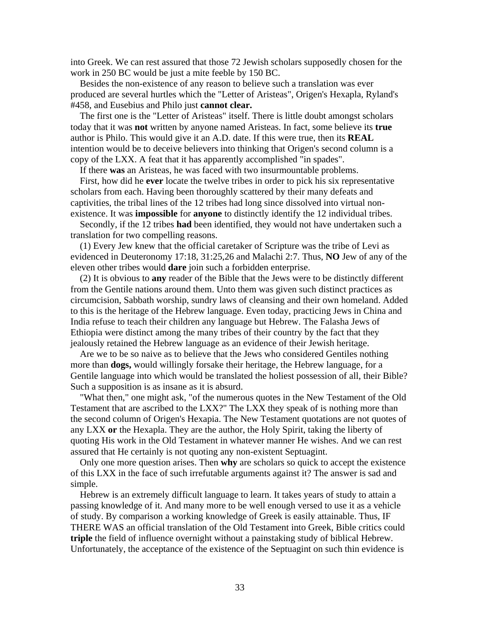into Greek. We can rest assured that those 72 Jewish scholars supposedly chosen for the work in 250 BC would be just a mite feeble by 150 BC.

 Besides the non-existence of any reason to believe such a translation was ever produced are several hurtles which the "Letter of Aristeas", Origen's Hexapla, Ryland's #458, and Eusebius and Philo just **cannot clear.**

 The first one is the "Letter of Aristeas" itself. There is little doubt amongst scholars today that it was **not** written by anyone named Aristeas. In fact, some believe its **true** author is Philo. This would give it an A.D. date. If this were true, then its **REAL** intention would be to deceive believers into thinking that Origen's second column is a copy of the LXX. A feat that it has apparently accomplished "in spades".

If there **was** an Aristeas, he was faced with two insurmountable problems.

 First, how did he **ever** locate the twelve tribes in order to pick his six representative scholars from each. Having been thoroughly scattered by their many defeats and captivities, the tribal lines of the 12 tribes had long since dissolved into virtual nonexistence. It was **impossible** for **anyone** to distinctly identify the 12 individual tribes.

 Secondly, if the 12 tribes **had** been identified, they would not have undertaken such a translation for two compelling reasons.

 (1) Every Jew knew that the official caretaker of Scripture was the tribe of Levi as evidenced in Deuteronomy 17:18, 31:25,26 and Malachi 2:7. Thus, **NO** Jew of any of the eleven other tribes would **dare** join such a forbidden enterprise.

 (2) It is obvious to **any** reader of the Bible that the Jews were to be distinctly different from the Gentile nations around them. Unto them was given such distinct practices as circumcision, Sabbath worship, sundry laws of cleansing and their own homeland. Added to this is the heritage of the Hebrew language. Even today, practicing Jews in China and India refuse to teach their children any language but Hebrew. The Falasha Jews of Ethiopia were distinct among the many tribes of their country by the fact that they jealously retained the Hebrew language as an evidence of their Jewish heritage.

 Are we to be so naive as to believe that the Jews who considered Gentiles nothing more than **dogs,** would willingly forsake their heritage, the Hebrew language, for a Gentile language into which would be translated the holiest possession of all, their Bible? Such a supposition is as insane as it is absurd.

 "What then," one might ask, "of the numerous quotes in the New Testament of the Old Testament that are ascribed to the LXX?" The LXX they speak of is nothing more than the second column of Origen's Hexapia. The New Testament quotations are not quotes of any LXX **or** the Hexapla. They are the author, the Holy Spirit, taking the liberty of quoting His work in the Old Testament in whatever manner He wishes. And we can rest assured that He certainly is not quoting any non-existent Septuagint.

 Only one more question arises. Then **why** are scholars so quick to accept the existence of this LXX in the face of such irrefutable arguments against it? The answer is sad and simple.

 Hebrew is an extremely difficult language to learn. It takes years of study to attain a passing knowledge of it. And many more to be well enough versed to use it as a vehicle of study. By comparison a working knowledge of Greek is easily attainable. Thus, IF THERE WAS an official translation of the Old Testament into Greek, Bible critics could **triple** the field of influence overnight without a painstaking study of biblical Hebrew. Unfortunately, the acceptance of the existence of the Septuagint on such thin evidence is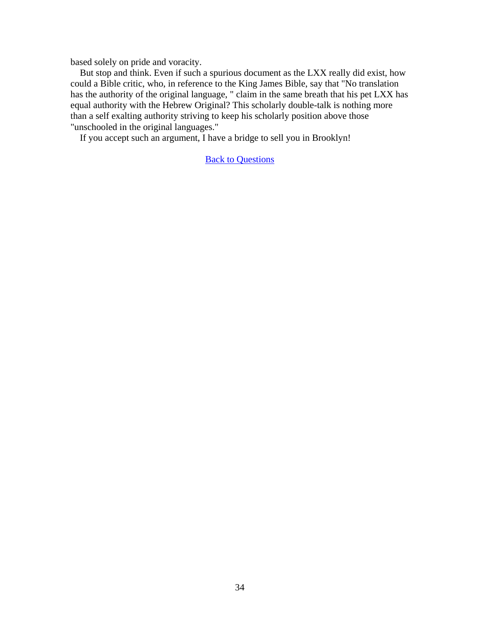based solely on pride and voracity.

 But stop and think. Even if such a spurious document as the LXX really did exist, how could a Bible critic, who, in reference to the King James Bible, say that "No translation has the authority of the original language, " claim in the same breath that his pet LXX has equal authority with the Hebrew Original? This scholarly double-talk is nothing more than a self exalting authority striving to keep his scholarly position above those "unschooled in the original languages."

If you accept such an argument, I have a bridge to sell you in Brooklyn!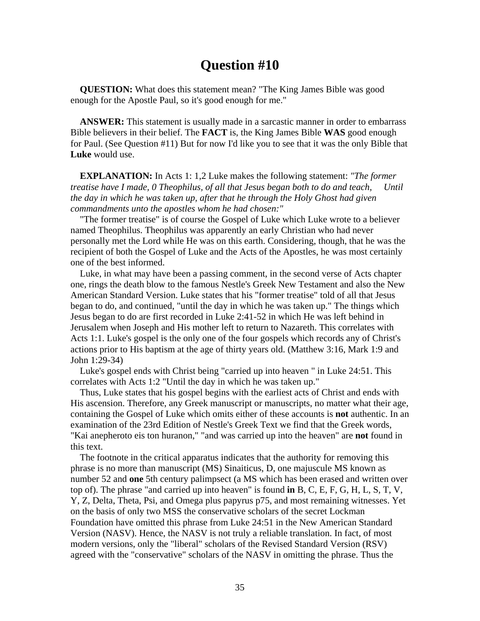<span id="page-35-0"></span> **QUESTION:** What does this statement mean? "The King James Bible was good enough for the Apostle Paul, so it's good enough for me."

 **ANSWER:** This statement is usually made in a sarcastic manner in order to embarrass Bible believers in their belief. The **FACT** is, the King James Bible **WAS** good enough for Paul. (See Question #11) But for now I'd like you to see that it was the only Bible that **Luke** would use.

 **EXPLANATION:** In Acts 1: 1,2 Luke makes the following statement: *"The former treatise have I made, 0 Theophilus, of all that Jesus began both to do and teach, Until the day in which he was taken up, after that he through the Holy Ghost had given commandments unto the apostles whom he had chosen:"*

 "The former treatise" is of course the Gospel of Luke which Luke wrote to a believer named Theophilus. Theophilus was apparently an early Christian who had never personally met the Lord while He was on this earth. Considering, though, that he was the recipient of both the Gospel of Luke and the Acts of the Apostles, he was most certainly one of the best informed.

 Luke, in what may have been a passing comment, in the second verse of Acts chapter one, rings the death blow to the famous Nestle's Greek New Testament and also the New American Standard Version. Luke states that his "former treatise" told of all that Jesus began to do, and continued, "until the day in which he was taken up." The things which Jesus began to do are first recorded in Luke 2:41-52 in which He was left behind in Jerusalem when Joseph and His mother left to return to Nazareth. This correlates with Acts 1:1. Luke's gospel is the only one of the four gospels which records any of Christ's actions prior to His baptism at the age of thirty years old. (Matthew 3:16, Mark 1:9 and John 1:29-34)

 Luke's gospel ends with Christ being "carried up into heaven " in Luke 24:51. This correlates with Acts 1:2 "Until the day in which he was taken up."

 Thus, Luke states that his gospel begins with the earliest acts of Christ and ends with His ascension. Therefore, any Greek manuscript or manuscripts, no matter what their age, containing the Gospel of Luke which omits either of these accounts is **not** authentic. In an examination of the 23rd Edition of Nestle's Greek Text we find that the Greek words, "Kai anepheroto eis ton huranon," "and was carried up into the heaven" are **not** found in this text.

 The footnote in the critical apparatus indicates that the authority for removing this phrase is no more than manuscript (MS) Sinaiticus, D, one majuscule MS known as number 52 and **one** 5th century palimpsect (a MS which has been erased and written over top of). The phrase "and carried up into heaven" is found **in** B, C, E, F, G, H, L, S, T, V, Y, Z, Delta, Theta, Psi, and Omega plus papyrus p75, and most remaining witnesses. Yet on the basis of only two MSS the conservative scholars of the secret Lockman Foundation have omitted this phrase from Luke 24:51 in the New American Standard Version (NASV). Hence, the NASV is not truly a reliable translation. In fact, of most modern versions, only the "liberal" scholars of the Revised Standard Version (RSV) agreed with the "conservative" scholars of the NASV in omitting the phrase. Thus the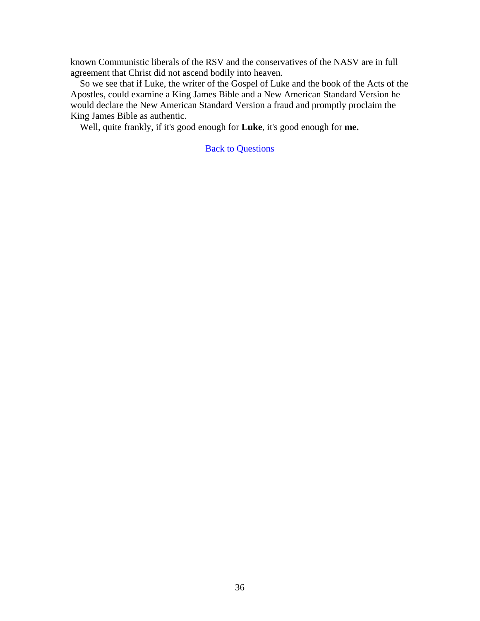known Communistic liberals of the RSV and the conservatives of the NASV are in full agreement that Christ did not ascend bodily into heaven.

 So we see that if Luke, the writer of the Gospel of Luke and the book of the Acts of the Apostles, could examine a King James Bible and a New American Standard Version he would declare the New American Standard Version a fraud and promptly proclaim the King James Bible as authentic.

Well, quite frankly, if it's good enough for **Luke**, it's good enough for **me.**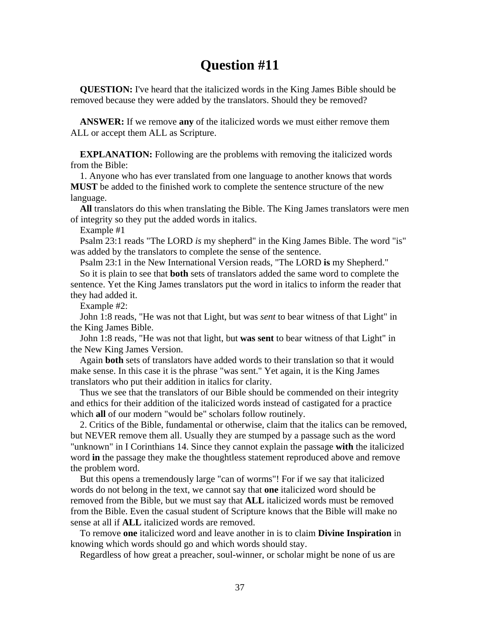**QUESTION:** I've heard that the italicized words in the King James Bible should be removed because they were added by the translators. Should they be removed?

 **ANSWER:** If we remove **any** of the italicized words we must either remove them ALL or accept them ALL as Scripture.

**EXPLANATION:** Following are the problems with removing the italicized words from the Bible:

 1. Anyone who has ever translated from one language to another knows that words **MUST** be added to the finished work to complete the sentence structure of the new language.

 **All** translators do this when translating the Bible. The King James translators were men of integrity so they put the added words in italics.

Example #1

 Psalm 23:1 reads "The LORD *is* my shepherd" in the King James Bible. The word "is" was added by the translators to complete the sense of the sentence.

 Psalm 23:1 in the New International Version reads, "The LORD **is** my Shepherd." So it is plain to see that **both** sets of translators added the same word to complete the sentence. Yet the King James translators put the word in italics to inform the reader that they had added it.

Example #2:

 John 1:8 reads, "He was not that Light, but was *sent* to bear witness of that Light" in the King James Bible.

 John 1:8 reads, "He was not that light, but **was sent** to bear witness of that Light" in the New King James Version.

 Again **both** sets of translators have added words to their translation so that it would make sense. In this case it is the phrase "was sent." Yet again, it is the King James translators who put their addition in italics for clarity.

 Thus we see that the translators of our Bible should be commended on their integrity and ethics for their addition of the italicized words instead of castigated for a practice which **all** of our modern "would be" scholars follow routinely.

 2. Critics of the Bible, fundamental or otherwise, claim that the italics can be removed, but NEVER remove them all. Usually they are stumped by a passage such as the word "unknown" in I Corinthians 14. Since they cannot explain the passage **with** the italicized word **in** the passage they make the thoughtless statement reproduced above and remove the problem word.

 But this opens a tremendously large "can of worms"! For if we say that italicized words do not belong in the text, we cannot say that **one** italicized word should be removed from the Bible, but we must say that **ALL** italicized words must be removed from the Bible. Even the casual student of Scripture knows that the Bible will make no sense at all if **ALL** italicized words are removed.

 To remove **one** italicized word and leave another in is to claim **Divine Inspiration** in knowing which words should go and which words should stay.

Regardless of how great a preacher, soul-winner, or scholar might be none of us are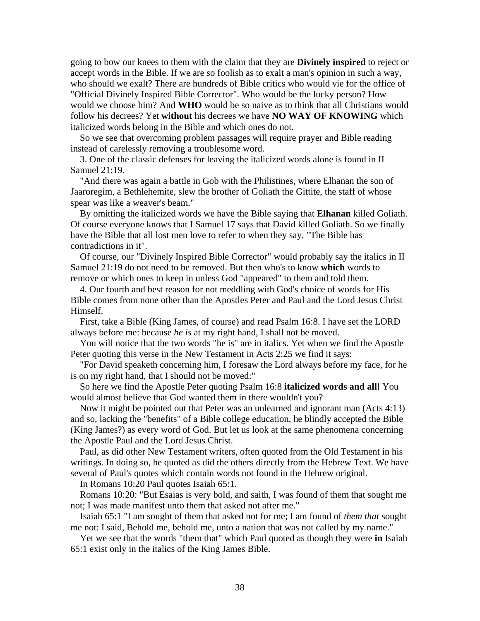going to bow our knees to them with the claim that they are **Divinely inspired** to reject or accept words in the Bible. If we are so foolish as to exalt a man's opinion in such a way, who should we exalt? There are hundreds of Bible critics who would vie for the office of "Official Divinely Inspired Bible Corrector". Who would be the lucky person? How would we choose him? And **WHO** would be so naive as to think that all Christians would follow his decrees? Yet **without** his decrees we have **NO WAY OF KNOWING** which italicized words belong in the Bible and which ones do not.

 So we see that overcoming problem passages will require prayer and Bible reading instead of carelessly removing a troublesome word.

 3. One of the classic defenses for leaving the italicized words alone is found in II Samuel 21:19.

 "And there was again a battle in Gob with the Philistines, where Elhanan the son of Jaaroregim, a Bethlehemite, slew the brother of Goliath the Gittite, the staff of whose spear was like a weaver's beam."

 By omitting the italicized words we have the Bible saying that **Elhanan** killed Goliath. Of course everyone knows that I Samuel 17 says that David killed Goliath. So we finally have the Bible that all lost men love to refer to when they say, "The Bible has contradictions in it".

 Of course, our "Divinely Inspired Bible Corrector" would probably say the italics in II Samuel 21:19 do not need to be removed. But then who's to know **which** words to remove or which ones to keep in unless God "appeared" to them and told them.

 4. Our fourth and best reason for not meddling with God's choice of words for His Bible comes from none other than the Apostles Peter and Paul and the Lord Jesus Christ Himself.

 First, take a Bible (King James, of course) and read Psalm 16:8. I have set the LORD always before me: because *he is* at my right hand, I shall not be moved.

 You will notice that the two words "he is" are in italics. Yet when we find the Apostle Peter quoting this verse in the New Testament in Acts 2:25 we find it says:

 "For David speaketh concerning him, I foresaw the Lord always before my face, for he is on my right hand, that I should not be moved:"

 So here we find the Apostle Peter quoting Psalm 16:8 **italicized words and all!** You would almost believe that God wanted them in there wouldn't you?

 Now it might be pointed out that Peter was an unlearned and ignorant man (Acts 4:13) and so, lacking the "benefits" of a Bible college education, he blindly accepted the Bible (King James?) as every word of God. But let us look at the same phenomena concerning the Apostle Paul and the Lord Jesus Christ.

 Paul, as did other New Testament writers, often quoted from the Old Testament in his writings. In doing so, he quoted as did the others directly from the Hebrew Text. We have several of Paul's quotes which contain words not found in the Hebrew original.

In Romans 10:20 Paul quotes Isaiah 65:1.

 Romans 10:20: "But Esaias is very bold, and saith, I was found of them that sought me not; I was made manifest unto them that asked not after me."

 Isaiah 65:1 "I am sought of them that asked not for me; I am found of *them that* sought me not: I said, Behold me, behold me, unto a nation that was not called by my name."

 Yet we see that the words "them that" which Paul quoted as though they were **in** Isaiah 65:1 exist only in the italics of the King James Bible.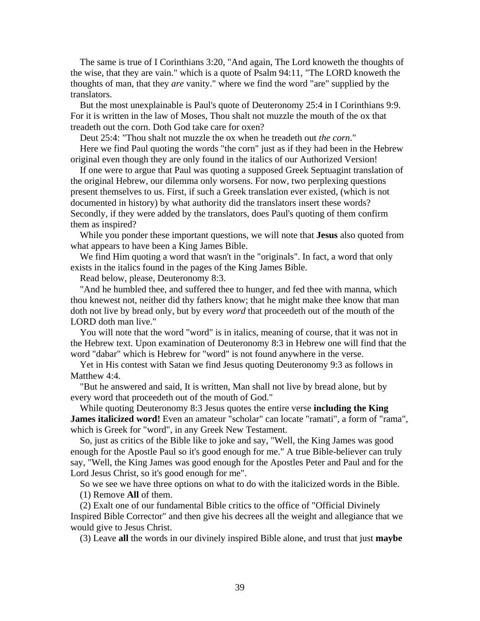The same is true of I Corinthians 3:20, "And again, The Lord knoweth the thoughts of the wise, that they are vain." which is a quote of Psalm 94:11, "The LORD knoweth the thoughts of man, that they *are* vanity." where we find the word "are" supplied by the translators.

 But the most unexplainable is Paul's quote of Deuteronomy 25:4 in I Corinthians 9:9. For it is written in the law of Moses, Thou shalt not muzzle the mouth of the ox that treadeth out the corn. Doth God take care for oxen?

Deut 25:4: "Thou shalt not muzzle the ox when he treadeth out *the corn*."

 Here we find Paul quoting the words "the corn" just as if they had been in the Hebrew original even though they are only found in the italics of our Authorized Version!

 If one were to argue that Paul was quoting a supposed Greek Septuagint translation of the original Hebrew, our dilemma only worsens. For now, two perplexing questions present themselves to us. First, if such a Greek translation ever existed, (which is not documented in history) by what authority did the translators insert these words? Secondly, if they were added by the translators, does Paul's quoting of them confirm them as inspired?

 While you ponder these important questions, we will note that **Jesus** also quoted from what appears to have been a King James Bible.

 We find Him quoting a word that wasn't in the "originals". In fact, a word that only exists in the italics found in the pages of the King James Bible.

Read below, please, Deuteronomy 8:3.

 "And he humbled thee, and suffered thee to hunger, and fed thee with manna, which thou knewest not, neither did thy fathers know; that he might make thee know that man doth not live by bread only, but by every *word* that proceedeth out of the mouth of the LORD doth man live."

 You will note that the word "word" is in italics, meaning of course, that it was not in the Hebrew text. Upon examination of Deuteronomy 8:3 in Hebrew one will find that the word "dabar" which is Hebrew for "word" is not found anywhere in the verse.

 Yet in His contest with Satan we find Jesus quoting Deuteronomy 9:3 as follows in Matthew 4:4.

 "But he answered and said, It is written, Man shall not live by bread alone, but by every word that proceedeth out of the mouth of God."

 While quoting Deuteronomy 8:3 Jesus quotes the entire verse **including the King James italicized word!** Even an amateur "scholar" can locate "ramati", a form of "rama", which is Greek for "word", in any Greek New Testament.

 So, just as critics of the Bible like to joke and say, "Well, the King James was good enough for the Apostle Paul so it's good enough for me." A true Bible-believer can truly say, "Well, the King James was good enough for the Apostles Peter and Paul and for the Lord Jesus Christ, so it's good enough for me".

So we see we have three options on what to do with the italicized words in the Bible.

(1) Remove **All** of them.

 (2) Exalt one of our fundamental Bible critics to the office of "Official Divinely Inspired Bible Corrector" and then give his decrees all the weight and allegiance that we would give to Jesus Christ.

(3) Leave **all** the words in our divinely inspired Bible alone, and trust that just **maybe**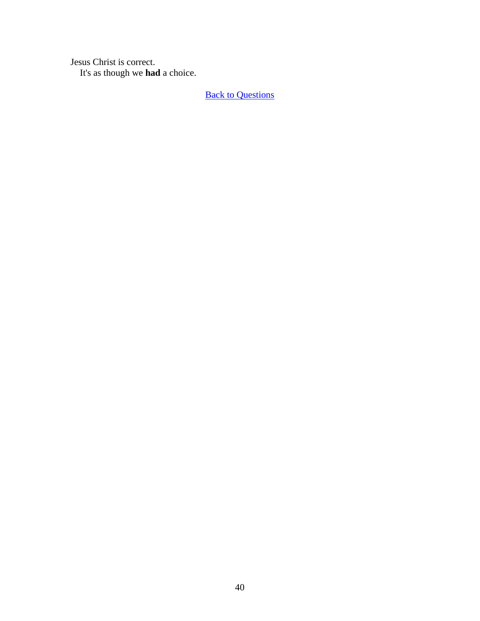Jesus Christ is correct. It's as though we **had** a choice.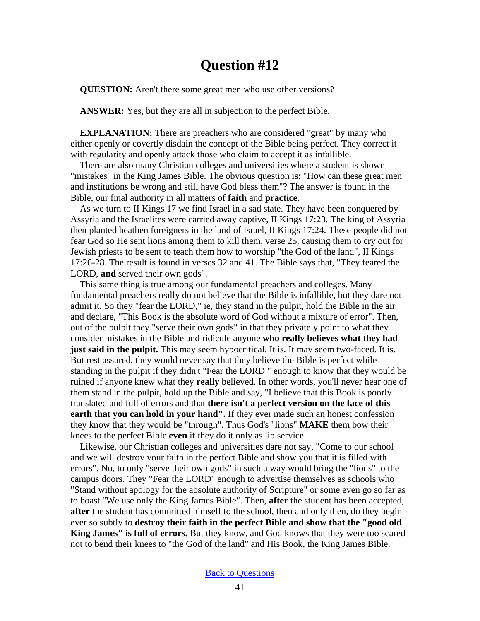**QUESTION:** Aren't there some great men who use other versions?

**ANSWER:** Yes, but they are all in subjection to the perfect Bible.

**EXPLANATION:** There are preachers who are considered "great" by many who either openly or covertly disdain the concept of the Bible being perfect. They correct it with regularity and openly attack those who claim to accept it as infallible.

 There are also many Christian colleges and universities where a student is shown "mistakes" in the King James Bible. The obvious question is: "How can these great men and institutions be wrong and still have God bless them"? The answer is found in the Bible, our final authority in all matters of **faith** and **practice**.

 As we turn to II Kings 17 we find Israel in a sad state. They have been conquered by Assyria and the Israelites were carried away captive, II Kings 17:23. The king of Assyria then planted heathen foreigners in the land of Israel, II Kings 17:24. These people did not fear God so He sent lions among them to kill them, verse 25, causing them to cry out for Jewish priests to be sent to teach them how to worship "the God of the land", II Kings 17:26-28. The result is found in verses 32 and 41. The Bible says that, "They feared the LORD, **and** served their own gods".

 This same thing is true among our fundamental preachers and colleges. Many fundamental preachers really do not believe that the Bible is infallible, but they dare not admit it. So they "fear the LORD," ie, they stand in the pulpit, hold the Bible in the air and declare, "This Book is the absolute word of God without a mixture of error". Then, out of the pulpit they "serve their own gods" in that they privately point to what they consider mistakes in the Bible and ridicule anyone **who really believes what they had just said in the pulpit.** This may seem hypocritical. It is. It may seem two-faced. It is. But rest assured, they would never say that they believe the Bible is perfect while standing in the pulpit if they didn't "Fear the LORD " enough to know that they would be ruined if anyone knew what they **really** believed. In other words, you'll never hear one of them stand in the pulpit, hold up the Bible and say, "I believe that this Book is poorly translated and full of errors and that **there isn't a perfect version on the face of this earth that you can hold in your hand".** If they ever made such an honest confession they know that they would be "through". Thus God's "lions" **MAKE** them bow their knees to the perfect Bible **even** if they do it only as lip service.

 Likewise, our Christian colleges and universities dare not say, "Come to our school and we will destroy your faith in the perfect Bible and show you that it is filled with errors". No, to only "serve their own gods" in such a way would bring the "lions" to the campus doors. They "Fear the LORD" enough to advertise themselves as schools who "Stand without apology for the absolute authority of Scripture" or some even go so far as to boast "We use only the King James Bible". Then, **after** the student has been accepted, **after** the student has committed himself to the school, then and only then, do they begin ever so subtly to **destroy their faith in the perfect Bible and show that the "good old King James" is full of errors.** But they know, and God knows that they were too scared not to bend their knees to "the God of the land" and His Book, the King James Bible.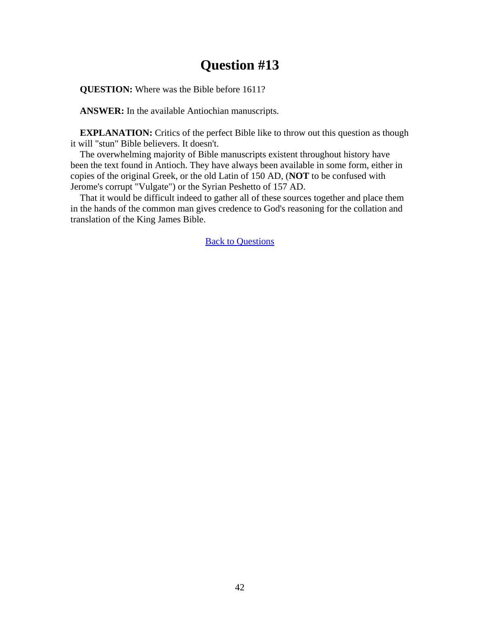**QUESTION:** Where was the Bible before 1611?

**ANSWER:** In the available Antiochian manuscripts.

**EXPLANATION:** Critics of the perfect Bible like to throw out this question as though it will "stun" Bible believers. It doesn't.

 The overwhelming majority of Bible manuscripts existent throughout history have been the text found in Antioch. They have always been available in some form, either in copies of the original Greek, or the old Latin of 150 AD, (**NOT** to be confused with Jerome's corrupt "Vulgate") or the Syrian Peshetto of 157 AD.

 That it would be difficult indeed to gather all of these sources together and place them in the hands of the common man gives credence to God's reasoning for the collation and translation of the King James Bible.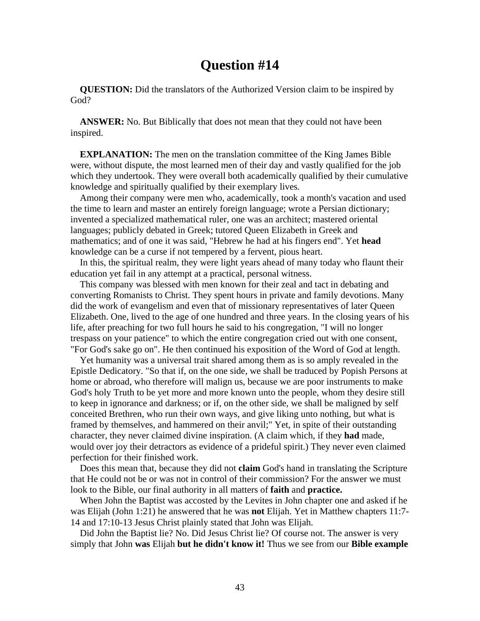**QUESTION:** Did the translators of the Authorized Version claim to be inspired by God?

 **ANSWER:** No. But Biblically that does not mean that they could not have been inspired.

 **EXPLANATION:** The men on the translation committee of the King James Bible were, without dispute, the most learned men of their day and vastly qualified for the job which they undertook. They were overall both academically qualified by their cumulative knowledge and spiritually qualified by their exemplary lives.

 Among their company were men who, academically, took a month's vacation and used the time to learn and master an entirely foreign language; wrote a Persian dictionary; invented a specialized mathematical ruler, one was an architect; mastered oriental languages; publicly debated in Greek; tutored Queen Elizabeth in Greek and mathematics; and of one it was said, "Hebrew he had at his fingers end". Yet **head** knowledge can be a curse if not tempered by a fervent, pious heart.

 In this, the spiritual realm, they were light years ahead of many today who flaunt their education yet fail in any attempt at a practical, personal witness.

 This company was blessed with men known for their zeal and tact in debating and converting Romanists to Christ. They spent hours in private and family devotions. Many did the work of evangelism and even that of missionary representatives of later Queen Elizabeth. One, lived to the age of one hundred and three years. In the closing years of his life, after preaching for two full hours he said to his congregation, "I will no longer trespass on your patience" to which the entire congregation cried out with one consent, "For God's sake go on". He then continued his exposition of the Word of God at length.

 Yet humanity was a universal trait shared among them as is so amply revealed in the Epistle Dedicatory. "So that if, on the one side, we shall be traduced by Popish Persons at home or abroad, who therefore will malign us, because we are poor instruments to make God's holy Truth to be yet more and more known unto the people, whom they desire still to keep in ignorance and darkness; or if, on the other side, we shall be maligned by self conceited Brethren, who run their own ways, and give liking unto nothing, but what is framed by themselves, and hammered on their anvil;" Yet, in spite of their outstanding character, they never claimed divine inspiration. (A claim which, if they **had** made, would over joy their detractors as evidence of a prideful spirit.) They never even claimed perfection for their finished work.

 Does this mean that, because they did not **claim** God's hand in translating the Scripture that He could not be or was not in control of their commission? For the answer we must look to the Bible, our final authority in all matters of **faith** and **practice.**

 When John the Baptist was accosted by the Levites in John chapter one and asked if he was Elijah (John 1:21) he answered that he was **not** Elijah. Yet in Matthew chapters 11:7- 14 and 17:10-13 Jesus Christ plainly stated that John was Elijah.

 Did John the Baptist lie? No. Did Jesus Christ lie? Of course not. The answer is very simply that John **was** Elijah **but he didn't know it!** Thus we see from our **Bible example**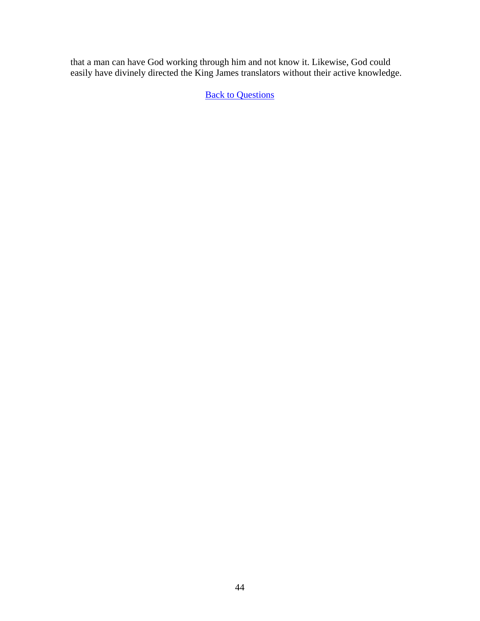that a man can have God working through him and not know it. Likewise, God could easily have divinely directed the King James translators without their active knowledge.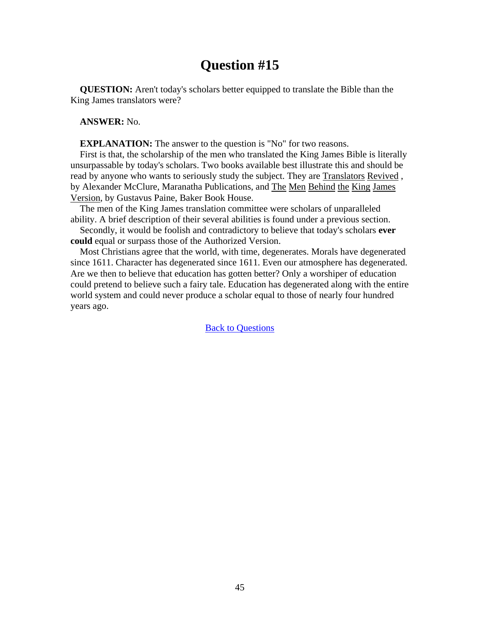**QUESTION:** Aren't today's scholars better equipped to translate the Bible than the King James translators were?

**ANSWER:** No.

**EXPLANATION:** The answer to the question is "No" for two reasons.

 First is that, the scholarship of the men who translated the King James Bible is literally unsurpassable by today's scholars. Two books available best illustrate this and should be read by anyone who wants to seriously study the subject. They are Translators Revived, by Alexander McClure, Maranatha Publications, and The Men Behind the King James Version, by Gustavus Paine, Baker Book House.

 The men of the King James translation committee were scholars of unparalleled ability. A brief description of their several abilities is found under a previous section.

 Secondly, it would be foolish and contradictory to believe that today's scholars **ever could** equal or surpass those of the Authorized Version.

 Most Christians agree that the world, with time, degenerates. Morals have degenerated since 1611. Character has degenerated since 1611. Even our atmosphere has degenerated. Are we then to believe that education has gotten better? Only a worshiper of education could pretend to believe such a fairy tale. Education has degenerated along with the entire world system and could never produce a scholar equal to those of nearly four hundred years ago.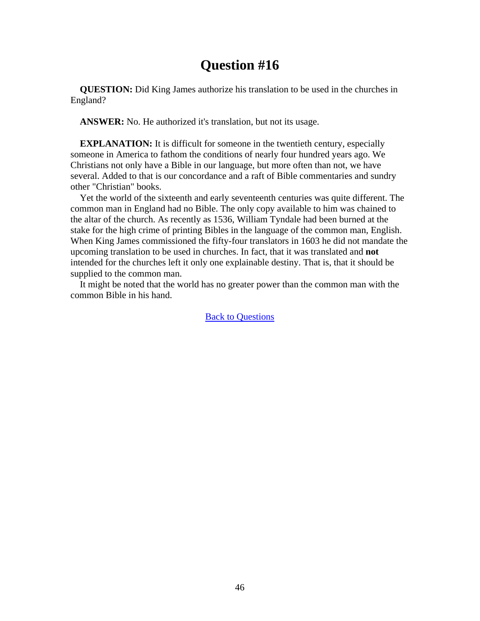**QUESTION:** Did King James authorize his translation to be used in the churches in England?

**ANSWER:** No. He authorized it's translation, but not its usage.

**EXPLANATION:** It is difficult for someone in the twentieth century, especially someone in America to fathom the conditions of nearly four hundred years ago. We Christians not only have a Bible in our language, but more often than not, we have several. Added to that is our concordance and a raft of Bible commentaries and sundry other "Christian" books.

 Yet the world of the sixteenth and early seventeenth centuries was quite different. The common man in England had no Bible. The only copy available to him was chained to the altar of the church. As recently as 1536, William Tyndale had been burned at the stake for the high crime of printing Bibles in the language of the common man, English. When King James commissioned the fifty-four translators in 1603 he did not mandate the upcoming translation to be used in churches. In fact, that it was translated and **not** intended for the churches left it only one explainable destiny. That is, that it should be supplied to the common man.

 It might be noted that the world has no greater power than the common man with the common Bible in his hand.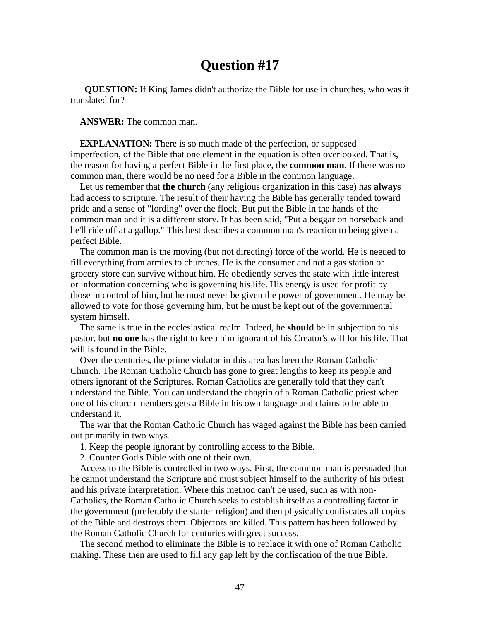**QUESTION:** If King James didn't authorize the Bible for use in churches, who was it translated for?

**ANSWER:** The common man.

 **EXPLANATION:** There is so much made of the perfection, or supposed imperfection, of the Bible that one element in the equation is often overlooked. That is, the reason for having a perfect Bible in the first place, the **common man**. If there was no common man, there would be no need for a Bible in the common language.

 Let us remember that **the church** (any religious organization in this case) has **always** had access to scripture. The result of their having the Bible has generally tended toward pride and a sense of "lording" over the flock. But put the Bible in the hands of the common man and it is a different story. It has been said, "Put a beggar on horseback and he'll ride off at a gallop." This best describes a common man's reaction to being given a perfect Bible.

 The common man is the moving (but not directing) force of the world. He is needed to fill everything from armies to churches. He is the consumer and not a gas station or grocery store can survive without him. He obediently serves the state with little interest or information concerning who is governing his life. His energy is used for profit by those in control of him, but he must never be given the power of government. He may be allowed to vote for those governing him, but he must be kept out of the governmental system himself.

 The same is true in the ecclesiastical realm. Indeed, he **should** be in subjection to his pastor, but **no one** has the right to keep him ignorant of his Creator's will for his life. That will is found in the Bible.

 Over the centuries, the prime violator in this area has been the Roman Catholic Church. The Roman Catholic Church has gone to great lengths to keep its people and others ignorant of the Scriptures. Roman Catholics are generally told that they can't understand the Bible. You can understand the chagrin of a Roman Catholic priest when one of his church members gets a Bible in his own language and claims to be able to understand it.

 The war that the Roman Catholic Church has waged against the Bible has been carried out primarily in two ways.

1. Keep the people ignorant by controlling access to the Bible.

2. Counter God's Bible with one of their own.

 Access to the Bible is controlled in two ways. First, the common man is persuaded that he cannot understand the Scripture and must subject himself to the authority of his priest and his private interpretation. Where this method can't be used, such as with non-Catholics, the Roman Catholic Church seeks to establish itself as a controlling factor in the government (preferably the starter religion) and then physically confiscates all copies of the Bible and destroys them. Objectors are killed. This pattern has been followed by the Roman Catholic Church for centuries with great success.

 The second method to eliminate the Bible is to replace it with one of Roman Catholic making. These then are used to fill any gap left by the confiscation of the true Bible.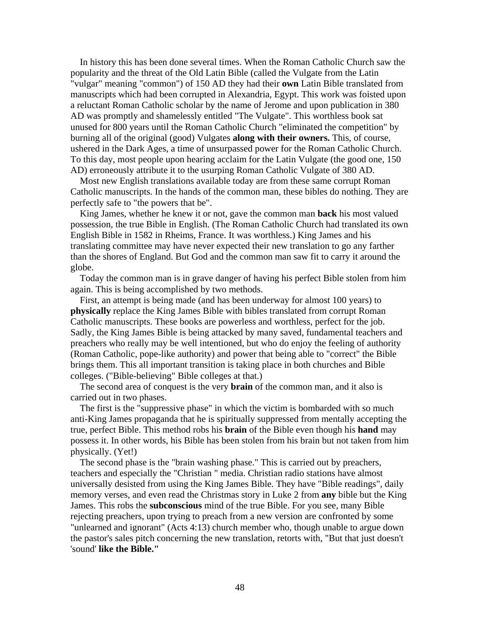In history this has been done several times. When the Roman Catholic Church saw the popularity and the threat of the Old Latin Bible (called the Vulgate from the Latin "vulgar" meaning "common") of 150 AD they had their **own** Latin Bible translated from manuscripts which had been corrupted in Alexandria, Egypt. This work was foisted upon a reluctant Roman Catholic scholar by the name of Jerome and upon publication in 380 AD was promptly and shamelessly entitled "The Vulgate". This worthless book sat unused for 800 years until the Roman Catholic Church "eliminated the competition" by burning all of the original (good) Vulgates **along with their owners.** This, of course, ushered in the Dark Ages, a time of unsurpassed power for the Roman Catholic Church. To this day, most people upon hearing acclaim for the Latin Vulgate (the good one, 150 AD) erroneously attribute it to the usurping Roman Catholic Vulgate of 380 AD.

 Most new English translations available today are from these same corrupt Roman Catholic manuscripts. In the hands of the common man, these bibles do nothing. They are perfectly safe to "the powers that be".

 King James, whether he knew it or not, gave the common man **back** his most valued possession, the true Bible in English. (The Roman Catholic Church had translated its own English Bible in 1582 in Rheims, France. It was worthless.) King James and his translating committee may have never expected their new translation to go any farther than the shores of England. But God and the common man saw fit to carry it around the globe.

 Today the common man is in grave danger of having his perfect Bible stolen from him again. This is being accomplished by two methods.

 First, an attempt is being made (and has been underway for almost 100 years) to **physically** replace the King James Bible with bibles translated from corrupt Roman Catholic manuscripts. These books are powerless and worthless, perfect for the job. Sadly, the King James Bible is being attacked by many saved, fundamental teachers and preachers who really may be well intentioned, but who do enjoy the feeling of authority (Roman Catholic, pope-like authority) and power that being able to "correct" the Bible brings them. This all important transition is taking place in both churches and Bible colleges. ("Bible-believing" Bible colleges at that.)

 The second area of conquest is the very **brain** of the common man, and it also is carried out in two phases.

 The first is the "suppressive phase" in which the victim is bombarded with so much anti-King James propaganda that he is spiritually suppressed from mentally accepting the true, perfect Bible. This method robs his **brain** of the Bible even though his **hand** may possess it. In other words, his Bible has been stolen from his brain but not taken from him physically. (Yet!)

 The second phase is the "brain washing phase." This is carried out by preachers, teachers and especially the "Christian " media. Christian radio stations have almost universally desisted from using the King James Bible. They have "Bible readings", daily memory verses, and even read the Christmas story in Luke 2 from **any** bible but the King James. This robs the **subconscious** mind of the true Bible. For you see, many Bible rejecting preachers, upon trying to preach from a new version are confronted by some "unlearned and ignorant" (Acts 4:13) church member who, though unable to argue down the pastor's sales pitch concerning the new translation, retorts with, "But that just doesn't 'sound' **like the Bible."**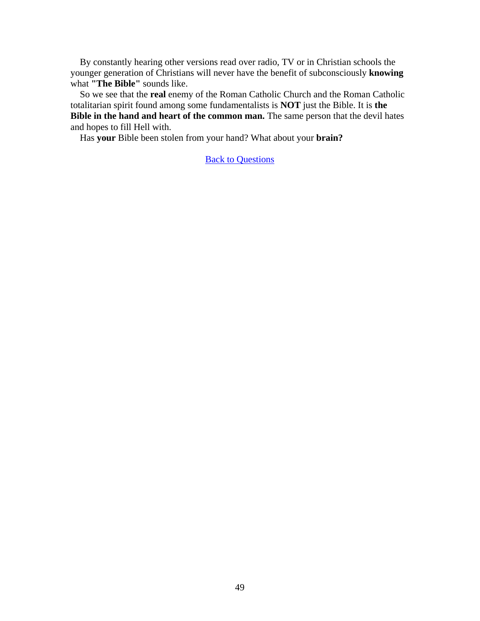By constantly hearing other versions read over radio, TV or in Christian schools the younger generation of Christians will never have the benefit of subconsciously **knowing** what **"The Bible"** sounds like.

 So we see that the **real** enemy of the Roman Catholic Church and the Roman Catholic totalitarian spirit found among some fundamentalists is **NOT** just the Bible. It is **the Bible in the hand and heart of the common man.** The same person that the devil hates and hopes to fill Hell with.

Has **your** Bible been stolen from your hand? What about your **brain?**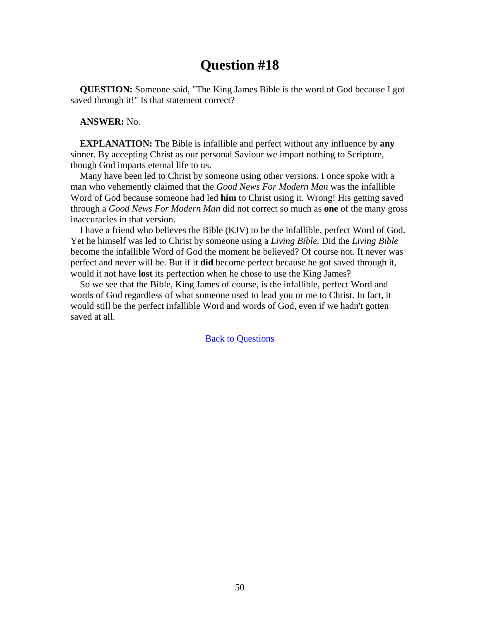**QUESTION:** Someone said, "The King James Bible is the word of God because I got saved through it!" Is that statement correct?

#### **ANSWER:** No.

 **EXPLANATION:** The Bible is infallible and perfect without any influence by **any** sinner. By accepting Christ as our personal Saviour we impart nothing to Scripture, though God imparts eternal life to us.

 Many have been led to Christ by someone using other versions. I once spoke with a man who vehemently claimed that the *Good News For Modern Man* was the infallible Word of God because someone had led **him** to Christ using it. Wrong! His getting saved through a *Good News For Modern Man* did not correct so much as **one** of the many gross inaccuracies in that version.

 I have a friend who believes the Bible (KJV) to be the infallible, perfect Word of God. Yet he himself was led to Christ by someone using a *Living Bible.* Did the *Living Bible* become the infallible Word of God the moment he believed? Of course not. It never was perfect and never will be. But if it **did** become perfect because he got saved through it, would it not have **lost** its perfection when he chose to use the King James?

 So we see that the Bible, King James of course, is the infallible, perfect Word and words of God regardless of what someone used to lead you or me to Christ. In fact, it would still be the perfect infallible Word and words of God, even if we hadn't gotten saved at all.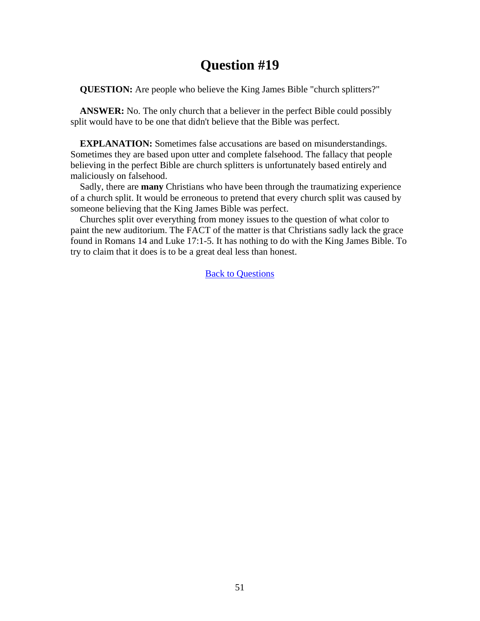**QUESTION:** Are people who believe the King James Bible "church splitters?"

 **ANSWER:** No. The only church that a believer in the perfect Bible could possibly split would have to be one that didn't believe that the Bible was perfect.

 **EXPLANATION:** Sometimes false accusations are based on misunderstandings. Sometimes they are based upon utter and complete falsehood. The fallacy that people believing in the perfect Bible are church splitters is unfortunately based entirely and maliciously on falsehood.

 Sadly, there are **many** Christians who have been through the traumatizing experience of a church split. It would be erroneous to pretend that every church split was caused by someone believing that the King James Bible was perfect.

 Churches split over everything from money issues to the question of what color to paint the new auditorium. The FACT of the matter is that Christians sadly lack the grace found in Romans 14 and Luke 17:1-5. It has nothing to do with the King James Bible. To try to claim that it does is to be a great deal less than honest.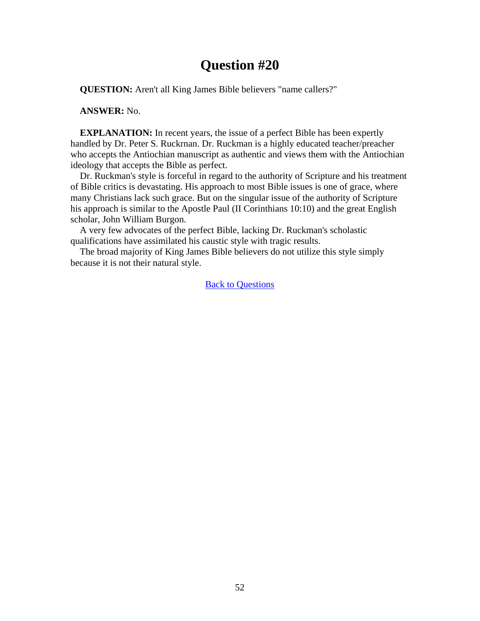**QUESTION:** Aren't all King James Bible believers "name callers?"

**ANSWER:** No.

 **EXPLANATION:** In recent years, the issue of a perfect Bible has been expertly handled by Dr. Peter S. Ruckrnan. Dr. Ruckman is a highly educated teacher/preacher who accepts the Antiochian manuscript as authentic and views them with the Antiochian ideology that accepts the Bible as perfect.

 Dr. Ruckman's style is forceful in regard to the authority of Scripture and his treatment of Bible critics is devastating. His approach to most Bible issues is one of grace, where many Christians lack such grace. But on the singular issue of the authority of Scripture his approach is similar to the Apostle Paul (II Corinthians 10:10) and the great English scholar, John William Burgon.

 A very few advocates of the perfect Bible, lacking Dr. Ruckman's scholastic qualifications have assimilated his caustic style with tragic results.

 The broad majority of King James Bible believers do not utilize this style simply because it is not their natural style.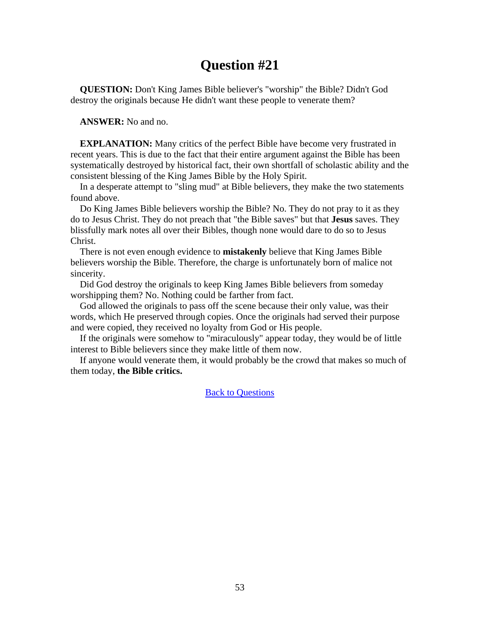**QUESTION:** Don't King James Bible believer's "worship" the Bible? Didn't God destroy the originals because He didn't want these people to venerate them?

**ANSWER:** No and no.

 **EXPLANATION:** Many critics of the perfect Bible have become very frustrated in recent years. This is due to the fact that their entire argument against the Bible has been systematically destroyed by historical fact, their own shortfall of scholastic ability and the consistent blessing of the King James Bible by the Holy Spirit.

 In a desperate attempt to "sling mud" at Bible believers, they make the two statements found above.

 Do King James Bible believers worship the Bible? No. They do not pray to it as they do to Jesus Christ. They do not preach that "the Bible saves" but that **Jesus** saves. They blissfully mark notes all over their Bibles, though none would dare to do so to Jesus Christ.

 There is not even enough evidence to **mistakenly** believe that King James Bible believers worship the Bible. Therefore, the charge is unfortunately born of malice not sincerity.

 Did God destroy the originals to keep King James Bible believers from someday worshipping them? No. Nothing could be farther from fact.

 God allowed the originals to pass off the scene because their only value, was their words, which He preserved through copies. Once the originals had served their purpose and were copied, they received no loyalty from God or His people.

 If the originals were somehow to "miraculously" appear today, they would be of little interest to Bible believers since they make little of them now.

 If anyone would venerate them, it would probably be the crowd that makes so much of them today, **the Bible critics.**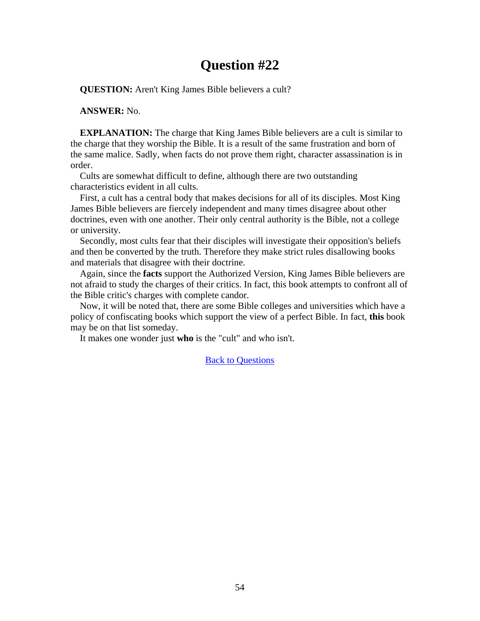**QUESTION:** Aren't King James Bible believers a cult?

**ANSWER:** No.

**EXPLANATION:** The charge that King James Bible believers are a cult is similar to the charge that they worship the Bible. It is a result of the same frustration and born of the same malice. Sadly, when facts do not prove them right, character assassination is in order.

 Cults are somewhat difficult to define, although there are two outstanding characteristics evident in all cults.

 First, a cult has a central body that makes decisions for all of its disciples. Most King James Bible believers are fiercely independent and many times disagree about other doctrines, even with one another. Their only central authority is the Bible, not a college or university.

 Secondly, most cults fear that their disciples will investigate their opposition's beliefs and then be converted by the truth. Therefore they make strict rules disallowing books and materials that disagree with their doctrine.

 Again, since the **facts** support the Authorized Version, King James Bible believers are not afraid to study the charges of their critics. In fact, this book attempts to confront all of the Bible critic's charges with complete candor.

 Now, it will be noted that, there are some Bible colleges and universities which have a policy of confiscating books which support the view of a perfect Bible. In fact, **this** book may be on that list someday.

It makes one wonder just **who** is the "cult" and who isn't.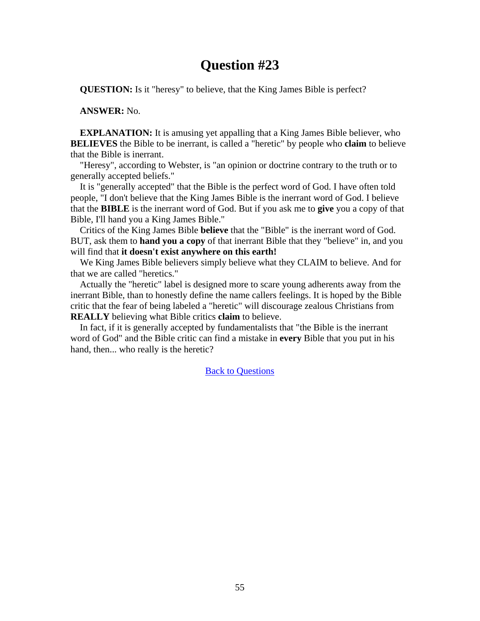**QUESTION:** Is it "heresy" to believe, that the King James Bible is perfect?

 **ANSWER:** No.

**EXPLANATION:** It is amusing yet appalling that a King James Bible believer, who **BELIEVES** the Bible to be inerrant, is called a "heretic" by people who **claim** to believe that the Bible is inerrant.

 "Heresy", according to Webster, is "an opinion or doctrine contrary to the truth or to generally accepted beliefs."

 It is "generally accepted" that the Bible is the perfect word of God. I have often told people, "I don't believe that the King James Bible is the inerrant word of God. I believe that the **BIBLE** is the inerrant word of God. But if you ask me to **give** you a copy of that Bible, I'll hand you a King James Bible."

 Critics of the King James Bible **believe** that the "Bible" is the inerrant word of God. BUT, ask them to **hand you a copy** of that inerrant Bible that they "believe" in, and you will find that **it doesn't exist anywhere on this earth!**

 We King James Bible believers simply believe what they CLAIM to believe. And for that we are called "heretics."

 Actually the "heretic" label is designed more to scare young adherents away from the inerrant Bible, than to honestly define the name callers feelings. It is hoped by the Bible critic that the fear of being labeled a "heretic" will discourage zealous Christians from **REALLY** believing what Bible critics **claim** to believe.

 In fact, if it is generally accepted by fundamentalists that "the Bible is the inerrant word of God" and the Bible critic can find a mistake in **every** Bible that you put in his hand, then... who really is the heretic?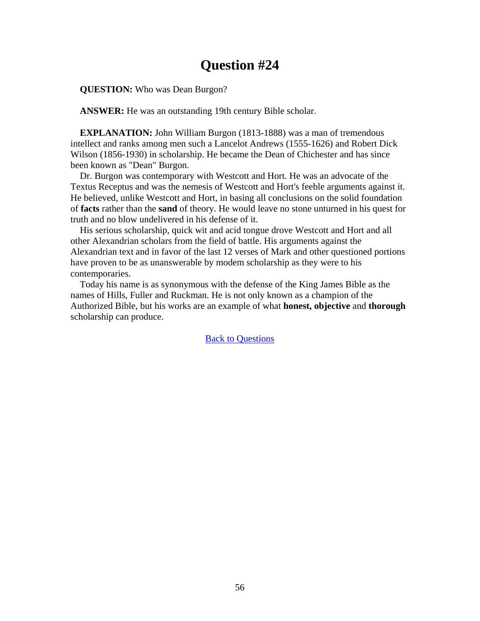**QUESTION:** Who was Dean Burgon?

**ANSWER:** He was an outstanding 19th century Bible scholar.

**EXPLANATION:** John William Burgon (1813-1888) was a man of tremendous intellect and ranks among men such a Lancelot Andrews (1555-1626) and Robert Dick Wilson (1856-1930) in scholarship. He became the Dean of Chichester and has since been known as "Dean" Burgon.

 Dr. Burgon was contemporary with Westcott and Hort. He was an advocate of the Textus Receptus and was the nemesis of Westcott and Hort's feeble arguments against it. He believed, unlike Westcott and Hort, in basing all conclusions on the solid foundation of **facts** rather than the **sand** of theory. He would leave no stone unturned in his quest for truth and no blow undelivered in his defense of it.

 His serious scholarship, quick wit and acid tongue drove Westcott and Hort and all other Alexandrian scholars from the field of battle. His arguments against the Alexandrian text and in favor of the last 12 verses of Mark and other questioned portions have proven to be as unanswerable by modem scholarship as they were to his contemporaries.

 Today his name is as synonymous with the defense of the King James Bible as the names of Hills, Fuller and Ruckman. He is not only known as a champion of the Authorized Bible, but his works are an example of what **honest, objective** and **thorough** scholarship can produce.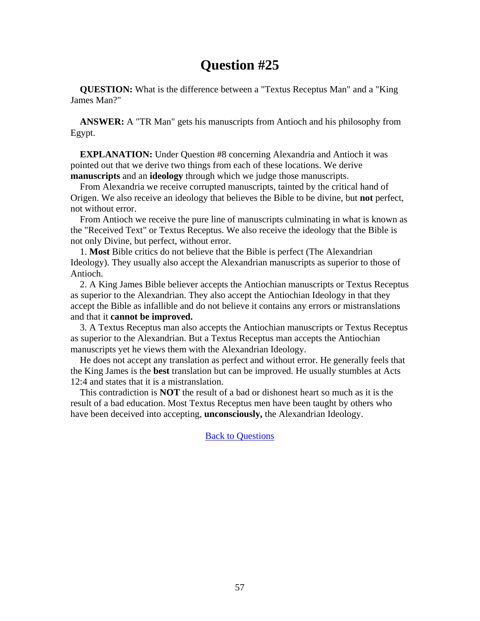**QUESTION:** What is the difference between a "Textus Receptus Man" and a "King James Man?"

 **ANSWER:** A "TR Man" gets his manuscripts from Antioch and his philosophy from Egypt.

 **EXPLANATION:** Under Question #8 concerning Alexandria and Antioch it was pointed out that we derive two things from each of these locations. We derive **manuscripts** and an **ideology** through which we judge those manuscripts.

 From Alexandria we receive corrupted manuscripts, tainted by the critical hand of Origen. We also receive an ideology that believes the Bible to be divine, but **not** perfect, not without error.

 From Antioch we receive the pure line of manuscripts culminating in what is known as the "Received Text" or Textus Receptus. We also receive the ideology that the Bible is not only Divine, but perfect, without error.

 1. **Most** Bible critics do not believe that the Bible is perfect (The Alexandrian Ideology). They usually also accept the Alexandrian manuscripts as superior to those of Antioch.

 2. A King James Bible believer accepts the Antiochian manuscripts or Textus Receptus as superior to the Alexandrian. They also accept the Antiochian Ideology in that they accept the Bible as infallible and do not believe it contains any errors or mistranslations and that it **cannot be improved.**

 3. A Textus Receptus man also accepts the Antiochian manuscripts or Textus Receptus as superior to the Alexandrian. But a Textus Receptus man accepts the Antiochian manuscripts yet he views them with the Alexandrian Ideology.

 He does not accept any translation as perfect and without error. He generally feels that the King James is the **best** translation but can be improved. He usually stumbles at Acts 12:4 and states that it is a mistranslation.

 This contradiction is **NOT** the result of a bad or dishonest heart so much as it is the result of a bad education. Most Textus Receptus men have been taught by others who have been deceived into accepting, **unconsciously,** the Alexandrian Ideology.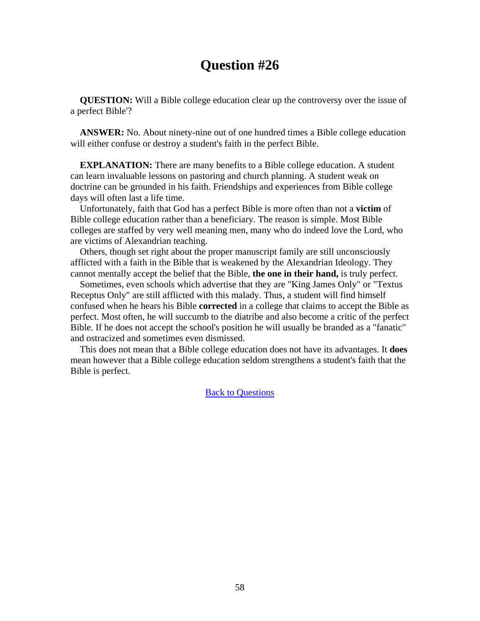**QUESTION:** Will a Bible college education clear up the controversy over the issue of a perfect Bible'?

 **ANSWER:** No. About ninety-nine out of one hundred times a Bible college education will either confuse or destroy a student's faith in the perfect Bible.

**EXPLANATION:** There are many benefits to a Bible college education. A student can learn invaluable lessons on pastoring and church planning. A student weak on doctrine can be grounded in his faith. Friendships and experiences from Bible college days will often last a life time.

 Unfortunately, faith that God has a perfect Bible is more often than not a **victim** of Bible college education rather than a beneficiary. The reason is simple. Most Bible colleges are staffed by very well meaning men, many who do indeed love the Lord, who are victims of Alexandrian teaching.

 Others, though set right about the proper manuscript family are still unconsciously afflicted with a faith in the Bible that is weakened by the Alexandrian Ideology. They cannot mentally accept the belief that the Bible, **the one in their hand,** is truly perfect.

 Sometimes, even schools which advertise that they are "King James Only" or "Textus Receptus Only" are still afflicted with this malady. Thus, a student will find himself confused when he hears his Bible **corrected** in a college that claims to accept the Bible as perfect. Most often, he will succumb to the diatribe and also become a critic of the perfect Bible. If he does not accept the school's position he will usually be branded as a "fanatic" and ostracized and sometimes even dismissed.

 This does not mean that a Bible college education does not have its advantages. It **does** mean however that a Bible college education seldom strengthens a student's faith that the Bible is perfect.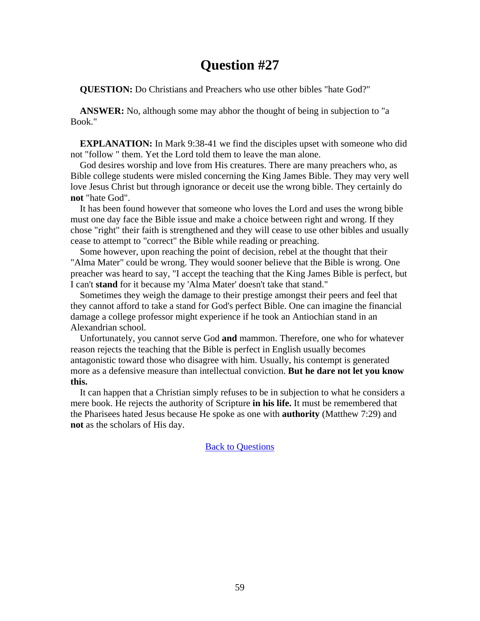**QUESTION:** Do Christians and Preachers who use other bibles "hate God?"

 **ANSWER:** No, although some may abhor the thought of being in subjection to "a Book."

 **EXPLANATION:** In Mark 9:38-41 we find the disciples upset with someone who did not "follow " them. Yet the Lord told them to leave the man alone.

 God desires worship and love from His creatures. There are many preachers who, as Bible college students were misled concerning the King James Bible. They may very well love Jesus Christ but through ignorance or deceit use the wrong bible. They certainly do **not** "hate God".

 It has been found however that someone who loves the Lord and uses the wrong bible must one day face the Bible issue and make a choice between right and wrong. If they chose "right" their faith is strengthened and they will cease to use other bibles and usually cease to attempt to "correct" the Bible while reading or preaching.

 Some however, upon reaching the point of decision, rebel at the thought that their "Alma Mater" could be wrong. They would sooner believe that the Bible is wrong. One preacher was heard to say, "I accept the teaching that the King James Bible is perfect, but I can't **stand** for it because my 'Alma Mater' doesn't take that stand."

 Sometimes they weigh the damage to their prestige amongst their peers and feel that they cannot afford to take a stand for God's perfect Bible. One can imagine the financial damage a college professor might experience if he took an Antiochian stand in an Alexandrian school.

 Unfortunately, you cannot serve God **and** mammon. Therefore, one who for whatever reason rejects the teaching that the Bible is perfect in English usually becomes antagonistic toward those who disagree with him. Usually, his contempt is generated more as a defensive measure than intellectual conviction. **But he dare not let you know this.**

 It can happen that a Christian simply refuses to be in subjection to what he considers a mere book. He rejects the authority of Scripture **in his life.** It must be remembered that the Pharisees hated Jesus because He spoke as one with **authority** (Matthew 7:29) and **not** as the scholars of His day.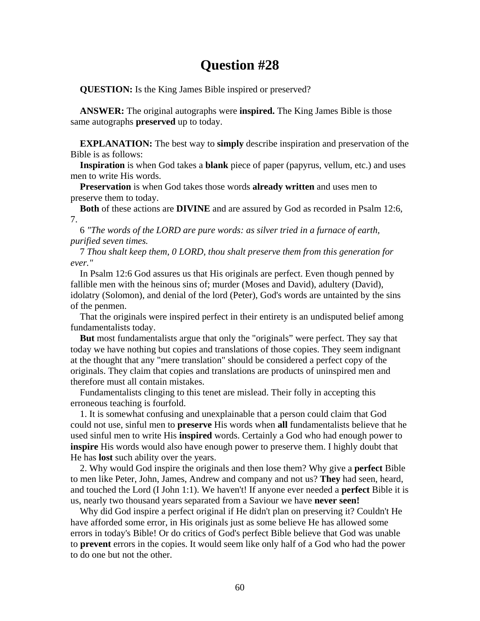**QUESTION:** Is the King James Bible inspired or preserved?

 **ANSWER:** The original autographs were **inspired.** The King James Bible is those same autographs **preserved** up to today.

 **EXPLANATION:** The best way to **simply** describe inspiration and preservation of the Bible is as follows:

 **Inspiration** is when God takes a **blank** piece of paper (papyrus, vellum, etc.) and uses men to write His words.

 **Preservation** is when God takes those words **already written** and uses men to preserve them to today.

 **Both** of these actions are **DIVINE** and are assured by God as recorded in Psalm 12:6, 7.

 6 *"The words of the LORD are pure words: as silver tried in a furnace of earth, purified seven times.* 

7 *Thou shalt keep them, 0 LORD, thou shalt preserve them from this generation for ever."*

 In Psalm 12:6 God assures us that His originals are perfect. Even though penned by fallible men with the heinous sins of; murder (Moses and David), adultery (David), idolatry (Solomon), and denial of the lord (Peter), God's words are untainted by the sins of the penmen.

 That the originals were inspired perfect in their entirety is an undisputed belief among fundamentalists today.

 **But** most fundamentalists argue that only the "originals" were perfect. They say that today we have nothing but copies and translations of those copies. They seem indignant at the thought that any "mere translation" should be considered a perfect copy of the originals. They claim that copies and translations are products of uninspired men and therefore must all contain mistakes.

 Fundamentalists clinging to this tenet are mislead. Their folly in accepting this erroneous teaching is fourfold.

 1. It is somewhat confusing and unexplainable that a person could claim that God could not use, sinful men to **preserve** His words when **all** fundamentalists believe that he used sinful men to write His **inspired** words. Certainly a God who had enough power to **inspire** His words would also have enough power to preserve them. I highly doubt that He has **lost** such ability over the years.

 2. Why would God inspire the originals and then lose them? Why give a **perfect** Bible to men like Peter, John, James, Andrew and company and not us? **They** had seen, heard, and touched the Lord (I John 1:1). We haven't! If anyone ever needed a **perfect** Bible it is us, nearly two thousand years separated from a Saviour we have **never seen!**

 Why did God inspire a perfect original if He didn't plan on preserving it? Couldn't He have afforded some error, in His originals just as some believe He has allowed some errors in today's Bible! Or do critics of God's perfect Bible believe that God was unable to **prevent** errors in the copies. It would seem like only half of a God who had the power to do one but not the other.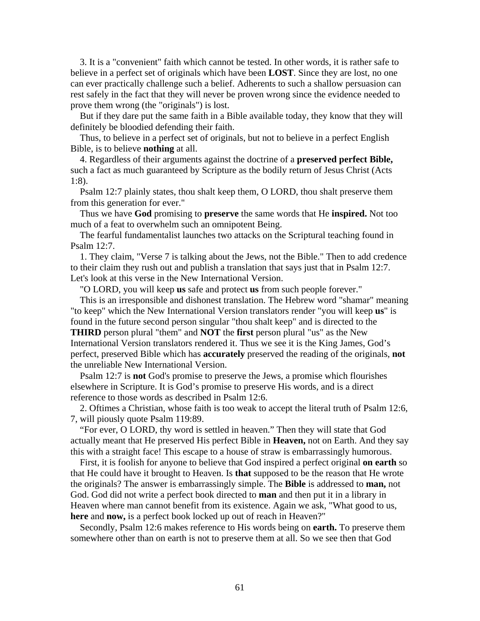3. It is a "convenient" faith which cannot be tested. In other words, it is rather safe to believe in a perfect set of originals which have been **LOST**. Since they are lost, no one can ever practically challenge such a belief. Adherents to such a shallow persuasion can rest safely in the fact that they will never be proven wrong since the evidence needed to prove them wrong (the "originals") is lost.

 But if they dare put the same faith in a Bible available today, they know that they will definitely be bloodied defending their faith.

 Thus, to believe in a perfect set of originals, but not to believe in a perfect English Bible, is to believe **nothing** at all.

 4. Regardless of their arguments against the doctrine of a **preserved perfect Bible,** such a fact as much guaranteed by Scripture as the bodily return of Jesus Christ (Acts 1:8).

 Psalm 12:7 plainly states, thou shalt keep them, O LORD, thou shalt preserve them from this generation for ever."

 Thus we have **God** promising to **preserve** the same words that He **inspired.** Not too much of a feat to overwhelm such an omnipotent Being.

 The fearful fundamentalist launches two attacks on the Scriptural teaching found in Psalm 12:7.

 1. They claim, "Verse 7 is talking about the Jews, not the Bible." Then to add credence to their claim they rush out and publish a translation that says just that in Psalm 12:7. Let's look at this verse in the New International Version.

"O LORD, you will keep **us** safe and protect **us** from such people forever."

 This is an irresponsible and dishonest translation. The Hebrew word "shamar" meaning "to keep" which the New International Version translators render "you will keep **us**" is found in the future second person singular "thou shalt keep" and is directed to the **THIRD** person plural "them" and **NOT** the **first** person plural "us" as the New International Version translators rendered it. Thus we see it is the King James, God's perfect, preserved Bible which has **accurately** preserved the reading of the originals, **not** the unreliable New International Version.

 Psalm 12:7 is **not** God's promise to preserve the Jews, a promise which flourishes elsewhere in Scripture. It is God's promise to preserve His words, and is a direct reference to those words as described in Psalm 12:6.

 2. Oftimes a Christian, whose faith is too weak to accept the literal truth of Psalm 12:6, 7, will piously quote Psalm 119:89.

 "For ever, O LORD, thy word is settled in heaven." Then they will state that God actually meant that He preserved His perfect Bible in **Heaven,** not on Earth. And they say this with a straight face! This escape to a house of straw is embarrassingly humorous.

 First, it is foolish for anyone to believe that God inspired a perfect original **on earth** so that He could have it brought to Heaven. Is **that** supposed to be the reason that He wrote the originals? The answer is embarrassingly simple. The **Bible** is addressed to **man,** not God. God did not write a perfect book directed to **man** and then put it in a library in Heaven where man cannot benefit from its existence. Again we ask, "What good to us, **here** and **now,** is a perfect book locked up out of reach in Heaven?"

 Secondly, Psalm 12:6 makes reference to His words being on **earth.** To preserve them somewhere other than on earth is not to preserve them at all. So we see then that God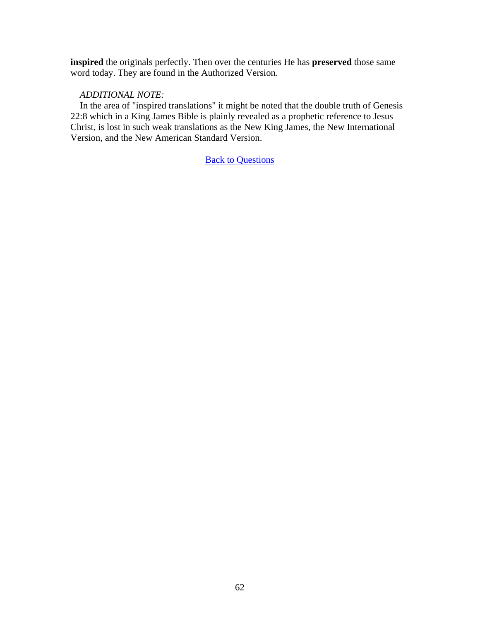**inspired** the originals perfectly. Then over the centuries He has **preserved** those same word today. They are found in the Authorized Version.

#### *ADDITIONAL NOTE:*

 In the area of "inspired translations" it might be noted that the double truth of Genesis 22:8 which in a King James Bible is plainly revealed as a prophetic reference to Jesus Christ, is lost in such weak translations as the New King James, the New International Version, and the New American Standard Version.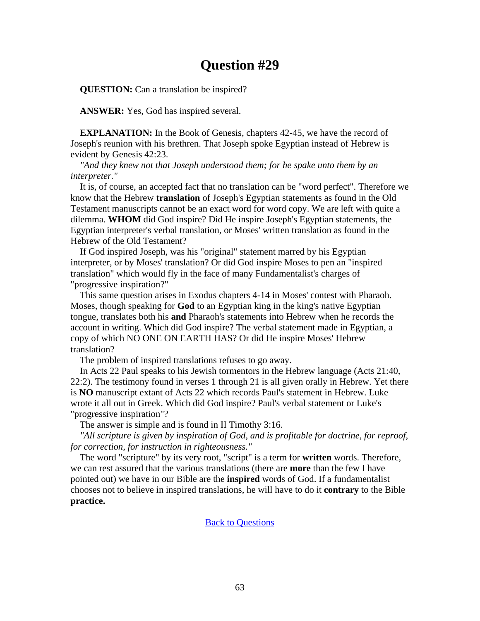**QUESTION:** Can a translation be inspired?

**ANSWER:** Yes, God has inspired several.

**EXPLANATION:** In the Book of Genesis, chapters 42-45, we have the record of Joseph's reunion with his brethren. That Joseph spoke Egyptian instead of Hebrew is evident by Genesis 42:23.

 *"And they knew not that Joseph understood them; for he spake unto them by an interpreter."*

 It is, of course, an accepted fact that no translation can be "word perfect". Therefore we know that the Hebrew **translation** of Joseph's Egyptian statements as found in the Old Testament manuscripts cannot be an exact word for word copy. We are left with quite a dilemma. **WHOM** did God inspire? Did He inspire Joseph's Egyptian statements, the Egyptian interpreter's verbal translation, or Moses' written translation as found in the Hebrew of the Old Testament?

 If God inspired Joseph, was his "original" statement marred by his Egyptian interpreter, or by Moses' translation? Or did God inspire Moses to pen an "inspired translation" which would fly in the face of many Fundamentalist's charges of "progressive inspiration?"

 This same question arises in Exodus chapters 4-14 in Moses' contest with Pharaoh. Moses, though speaking for **God** to an Egyptian king in the king's native Egyptian tongue, translates both his **and** Pharaoh's statements into Hebrew when he records the account in writing. Which did God inspire? The verbal statement made in Egyptian, a copy of which NO ONE ON EARTH HAS? Or did He inspire Moses' Hebrew translation?

The problem of inspired translations refuses to go away.

 In Acts 22 Paul speaks to his Jewish tormentors in the Hebrew language (Acts 21:40, 22:2). The testimony found in verses 1 through 21 is all given orally in Hebrew. Yet there is **NO** manuscript extant of Acts 22 which records Paul's statement in Hebrew. Luke wrote it all out in Greek. Which did God inspire? Paul's verbal statement or Luke's "progressive inspiration"?

The answer is simple and is found in II Timothy 3:16.

 *"All scripture is given by inspiration of God, and is profitable for doctrine, for reproof, for correction, for instruction in righteousness."*

 The word "scripture" by its very root, "script" is a term for **written** words. Therefore, we can rest assured that the various translations (there are **more** than the few I have pointed out) we have in our Bible are the **inspired** words of God. If a fundamentalist chooses not to believe in inspired translations, he will have to do it **contrary** to the Bible **practice.**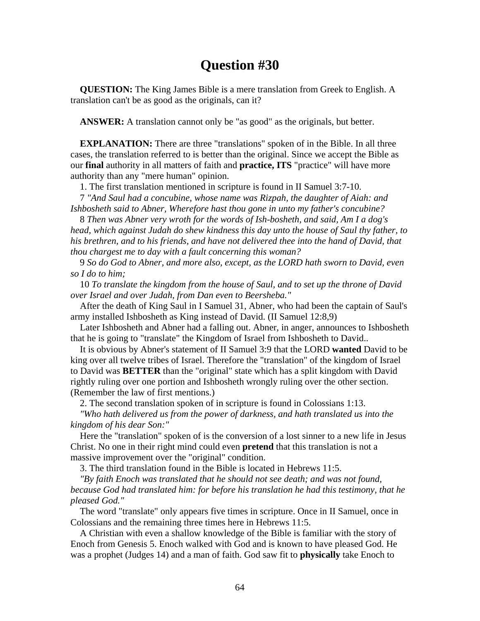**QUESTION:** The King James Bible is a mere translation from Greek to English. A translation can't be as good as the originals, can it?

**ANSWER:** A translation cannot only be "as good" as the originals, but better.

**EXPLANATION:** There are three "translations" spoken of in the Bible. In all three cases, the translation referred to is better than the original. Since we accept the Bible as our **final** authority in all matters of faith and **practice, ITS** "practice" will have more authority than any "mere human" opinion.

1. The first translation mentioned in scripture is found in II Samuel 3:7-10.

 7 *"And Saul had a concubine, whose name was Rizpah, the daughter of Aiah: and Ishbosheth said to Abner, Wherefore hast thou gone in unto my father's concubine?* 

8 *Then was Abner very wroth for the words of Ish-bosheth, and said, Am I a dog's head, which against Judah do shew kindness this day unto the house of Saul thy father, to his brethren, and to his friends, and have not delivered thee into the hand of David, that thou chargest me to day with a fault concerning this woman?* 

9 *So do God to Abner, and more also, except, as the LORD hath sworn to David, even so I do to him;* 

10 *To translate the kingdom from the house of Saul, and to set up the throne of David over Israel and over Judah, from Dan even to Beersheba."*

 After the death of King Saul in I Samuel 31, Abner, who had been the captain of Saul's army installed Ishbosheth as King instead of David. (II Samuel 12:8,9)

 Later Ishbosheth and Abner had a falling out. Abner, in anger, announces to Ishbosheth that he is going to "translate" the Kingdom of Israel from Ishbosheth to David..

 It is obvious by Abner's statement of II Samuel 3:9 that the LORD **wanted** David to be king over all twelve tribes of Israel. Therefore the "translation" of the kingdom of Israel to David was **BETTER** than the "original" state which has a split kingdom with David rightly ruling over one portion and Ishbosheth wrongly ruling over the other section. (Remember the law of first mentions.)

2. The second translation spoken of in scripture is found in Colossians 1:13.

 *"Who hath delivered us from the power of darkness, and hath translated us into the kingdom of his dear Son:"*

 Here the "translation" spoken of is the conversion of a lost sinner to a new life in Jesus Christ. No one in their right mind could even **pretend** that this translation is not a massive improvement over the "original" condition.

3. The third translation found in the Bible is located in Hebrews 11:5.

 *"By faith Enoch was translated that he should not see death; and was not found, because God had translated him: for before his translation he had this testimony, that he pleased God."*

 The word "translate" only appears five times in scripture. Once in II Samuel, once in Colossians and the remaining three times here in Hebrews 11:5.

 A Christian with even a shallow knowledge of the Bible is familiar with the story of Enoch from Genesis 5. Enoch walked with God and is known to have pleased God. He was a prophet (Judges 14) and a man of faith. God saw fit to **physically** take Enoch to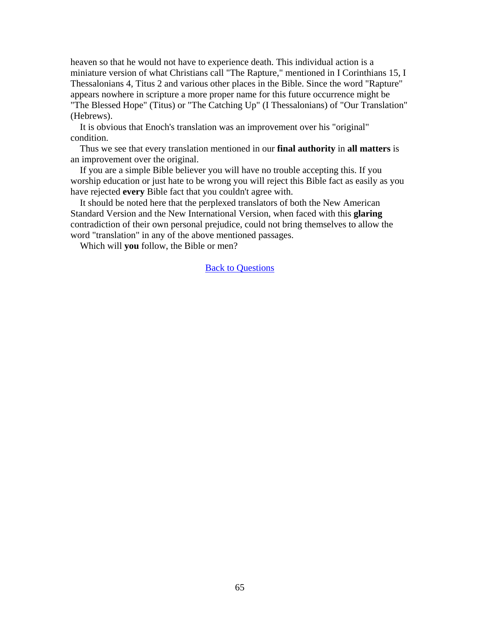heaven so that he would not have to experience death. This individual action is a miniature version of what Christians call "The Rapture," mentioned in I Corinthians 15, I Thessalonians 4, Titus 2 and various other places in the Bible. Since the word "Rapture" appears nowhere in scripture a more proper name for this future occurrence might be "The Blessed Hope" (Titus) or "The Catching Up" (I Thessalonians) of "Our Translation" (Hebrews).

 It is obvious that Enoch's translation was an improvement over his "original" condition.

 Thus we see that every translation mentioned in our **final authority** in **all matters** is an improvement over the original.

 If you are a simple Bible believer you will have no trouble accepting this. If you worship education or just hate to be wrong you will reject this Bible fact as easily as you have rejected **every** Bible fact that you couldn't agree with.

 It should be noted here that the perplexed translators of both the New American Standard Version and the New International Version, when faced with this **glaring** contradiction of their own personal prejudice, could not bring themselves to allow the word "translation" in any of the above mentioned passages.

Which will **you** follow, the Bible or men?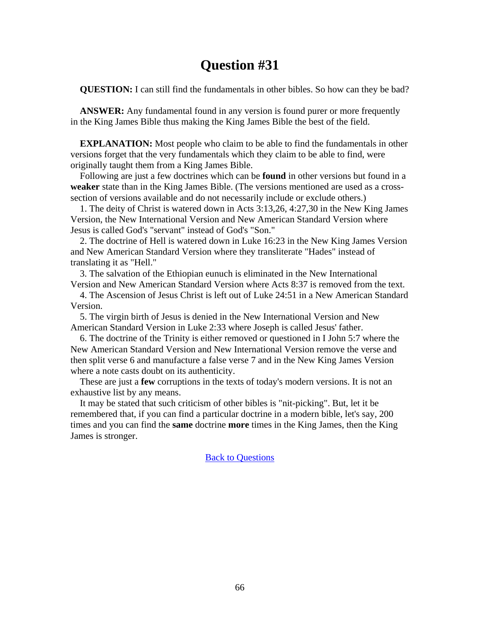**QUESTION:** I can still find the fundamentals in other bibles. So how can they be bad?

 **ANSWER:** Any fundamental found in any version is found purer or more frequently in the King James Bible thus making the King James Bible the best of the field.

**EXPLANATION:** Most people who claim to be able to find the fundamentals in other versions forget that the very fundamentals which they claim to be able to find, were originally taught them from a King James Bible.

 Following are just a few doctrines which can be **found** in other versions but found in a **weaker** state than in the King James Bible. (The versions mentioned are used as a crosssection of versions available and do not necessarily include or exclude others.)

 1. The deity of Christ is watered down in Acts 3:13,26, 4:27,30 in the New King James Version, the New International Version and New American Standard Version where Jesus is called God's "servant" instead of God's "Son."

 2. The doctrine of Hell is watered down in Luke 16:23 in the New King James Version and New American Standard Version where they transliterate "Hades" instead of translating it as "Hell."

 3. The salvation of the Ethiopian eunuch is eliminated in the New International Version and New American Standard Version where Acts 8:37 is removed from the text.

 4. The Ascension of Jesus Christ is left out of Luke 24:51 in a New American Standard Version.

 5. The virgin birth of Jesus is denied in the New International Version and New American Standard Version in Luke 2:33 where Joseph is called Jesus' father.

 6. The doctrine of the Trinity is either removed or questioned in I John 5:7 where the New American Standard Version and New International Version remove the verse and then split verse 6 and manufacture a false verse 7 and in the New King James Version where a note casts doubt on its authenticity.

 These are just a **few** corruptions in the texts of today's modern versions. It is not an exhaustive list by any means.

 It may be stated that such criticism of other bibles is "nit-picking". But, let it be remembered that, if you can find a particular doctrine in a modern bible, let's say, 200 times and you can find the **same** doctrine **more** times in the King James, then the King James is stronger.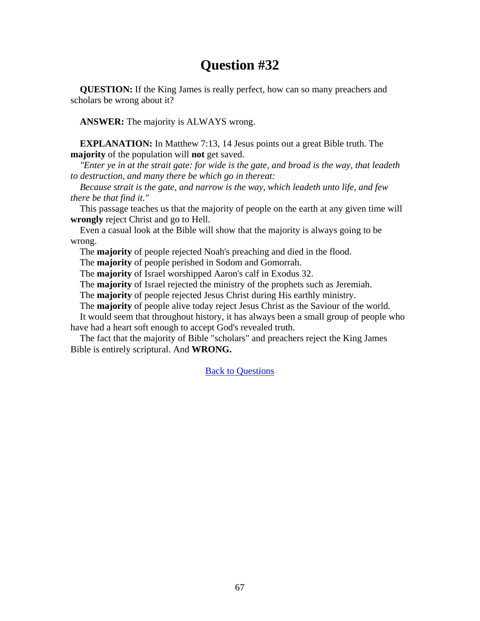**QUESTION:** If the King James is really perfect, how can so many preachers and scholars be wrong about it?

**ANSWER:** The majority is ALWAYS wrong.

 **EXPLANATION:** In Matthew 7:13, 14 Jesus points out a great Bible truth. The **majority** of the population will **not** get saved.

 *"Enter ye in at the strait gate: for wide is the gate, and broad is the way, that leadeth to destruction, and many there be which go in thereat:* 

 *Because strait is the gate, and narrow is the way, which leadeth unto life, and few there be that find it."*

 This passage teaches us that the majority of people on the earth at any given time will **wrongly** reject Christ and go to Hell.

 Even a casual look at the Bible will show that the majority is always going to be wrong.

The **majority** of people rejected Noah's preaching and died in the flood.

The **majority** of people perished in Sodom and Gomorrah.

The **majority** of Israel worshipped Aaron's calf in Exodus 32.

The **majority** of Israel rejected the ministry of the prophets such as Jeremiah.

The **majority** of people rejected Jesus Christ during His earthly ministry.

The **majority** of people alive today reject Jesus Christ as the Saviour of the world.

 It would seem that throughout history, it has always been a small group of people who have had a heart soft enough to accept God's revealed truth.

 The fact that the majority of Bible "scholars" and preachers reject the King James Bible is entirely scriptural. And **WRONG.**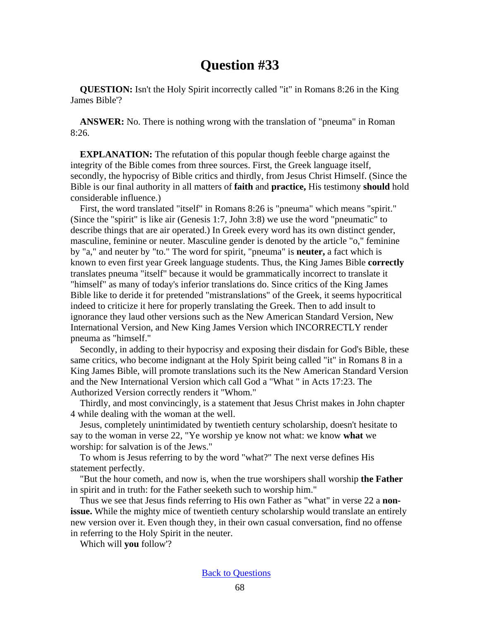**QUESTION:** Isn't the Holy Spirit incorrectly called "it" in Romans 8:26 in the King James Bible'?

 **ANSWER:** No. There is nothing wrong with the translation of "pneuma" in Roman  $8:26.$ 

 **EXPLANATION:** The refutation of this popular though feeble charge against the integrity of the Bible comes from three sources. First, the Greek language itself, secondly, the hypocrisy of Bible critics and thirdly, from Jesus Christ Himself. (Since the Bible is our final authority in all matters of **faith** and **practice,** His testimony **should** hold considerable influence.)

 First, the word translated "itself" in Romans 8:26 is "pneuma" which means "spirit." (Since the "spirit" is like air (Genesis 1:7, John 3:8) we use the word "pneumatic" to describe things that are air operated.) In Greek every word has its own distinct gender, masculine, feminine or neuter. Masculine gender is denoted by the article "o," feminine by "a," and neuter by "to." The word for spirit, "pneuma" is **neuter,** a fact which is known to even first year Greek language students. Thus, the King James Bible **correctly** translates pneuma "itself" because it would be grammatically incorrect to translate it "himself" as many of today's inferior translations do. Since critics of the King James Bible like to deride it for pretended "mistranslations" of the Greek, it seems hypocritical indeed to criticize it here for properly translating the Greek. Then to add insult to ignorance they laud other versions such as the New American Standard Version, New International Version, and New King James Version which INCORRECTLY render pneuma as "himself."

 Secondly, in adding to their hypocrisy and exposing their disdain for God's Bible, these same critics, who become indignant at the Holy Spirit being called "it" in Romans 8 in a King James Bible, will promote translations such its the New American Standard Version and the New International Version which call God a "What " in Acts 17:23. The Authorized Version correctly renders it "Whom."

 Thirdly, and most convincingly, is a statement that Jesus Christ makes in John chapter 4 while dealing with the woman at the well.

 Jesus, completely unintimidated by twentieth century scholarship, doesn't hesitate to say to the woman in verse 22, "Ye worship ye know not what: we know **what** we worship: for salvation is of the Jews."

 To whom is Jesus referring to by the word "what?" The next verse defines His statement perfectly.

 "But the hour cometh, and now is, when the true worshipers shall worship **the Father** in spirit and in truth: for the Father seeketh such to worship him."

 Thus we see that Jesus finds referring to His own Father as "what" in verse 22 a **nonissue.** While the mighty mice of twentieth century scholarship would translate an entirely new version over it. Even though they, in their own casual conversation, find no offense in referring to the Holy Spirit in the neuter.

Which will **you** follow'?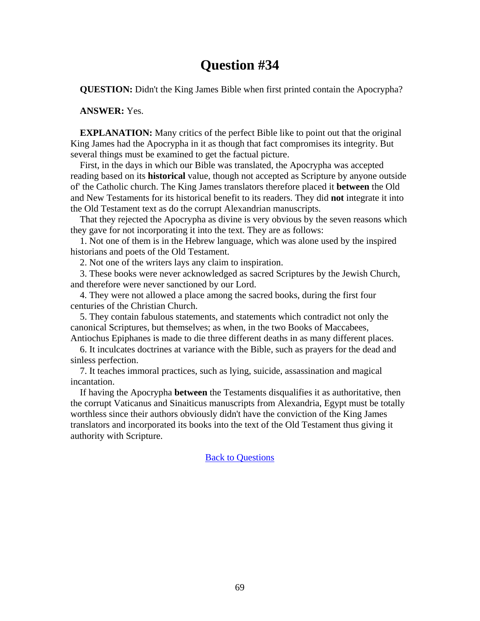**QUESTION:** Didn't the King James Bible when first printed contain the Apocrypha?

**ANSWER:** Yes.

 **EXPLANATION:** Many critics of the perfect Bible like to point out that the original King James had the Apocrypha in it as though that fact compromises its integrity. But several things must be examined to get the factual picture.

 First, in the days in which our Bible was translated, the Apocrypha was accepted reading based on its **historical** value, though not accepted as Scripture by anyone outside of' the Catholic church. The King James translators therefore placed it **between** the Old and New Testaments for its historical benefit to its readers. They did **not** integrate it into the Old Testament text as do the corrupt Alexandrian manuscripts.

 That they rejected the Apocrypha as divine is very obvious by the seven reasons which they gave for not incorporating it into the text. They are as follows:

 1. Not one of them is in the Hebrew language, which was alone used by the inspired historians and poets of the Old Testament.

2. Not one of the writers lays any claim to inspiration.

 3. These books were never acknowledged as sacred Scriptures by the Jewish Church, and therefore were never sanctioned by our Lord.

 4. They were not allowed a place among the sacred books, during the first four centuries of the Christian Church.

 5. They contain fabulous statements, and statements which contradict not only the canonical Scriptures, but themselves; as when, in the two Books of Maccabees, Antiochus Epiphanes is made to die three different deaths in as many different places.

 6. It inculcates doctrines at variance with the Bible, such as prayers for the dead and sinless perfection.

 7. It teaches immoral practices, such as lying, suicide, assassination and magical incantation.

 If having the Apocrypha **between** the Testaments disqualifies it as authoritative, then the corrupt Vaticanus and Sinaiticus manuscripts from Alexandria, Egypt must be totally worthless since their authors obviously didn't have the conviction of the King James translators and incorporated its books into the text of the Old Testament thus giving it authority with Scripture.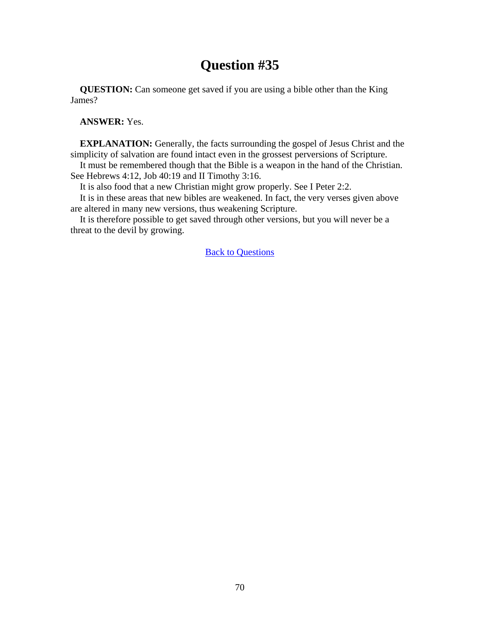**QUESTION:** Can someone get saved if you are using a bible other than the King James?

**ANSWER:** Yes.

 **EXPLANATION:** Generally, the facts surrounding the gospel of Jesus Christ and the simplicity of salvation are found intact even in the grossest perversions of Scripture.

 It must be remembered though that the Bible is a weapon in the hand of the Christian. See Hebrews 4:12, Job 40:19 and II Timothy 3:16.

It is also food that a new Christian might grow properly. See I Peter 2:2.

 It is in these areas that new bibles are weakened. In fact, the very verses given above are altered in many new versions, thus weakening Scripture.

 It is therefore possible to get saved through other versions, but you will never be a threat to the devil by growing.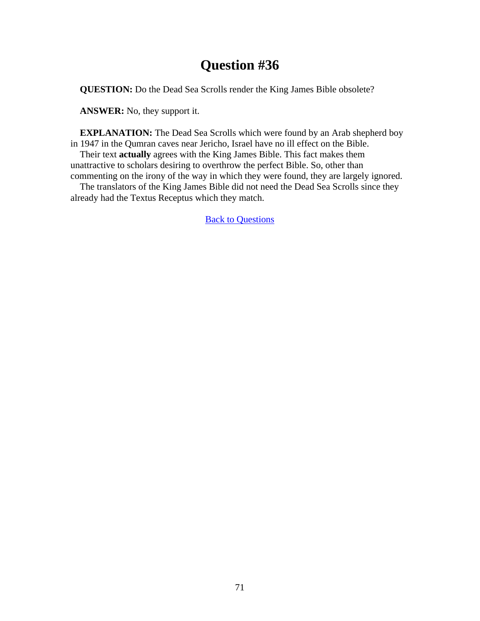**QUESTION:** Do the Dead Sea Scrolls render the King James Bible obsolete?

**ANSWER:** No, they support it.

 **EXPLANATION:** The Dead Sea Scrolls which were found by an Arab shepherd boy in 1947 in the Qumran caves near Jericho, Israel have no ill effect on the Bible.

 Their text **actually** agrees with the King James Bible. This fact makes them unattractive to scholars desiring to overthrow the perfect Bible. So, other than commenting on the irony of the way in which they were found, they are largely ignored.

 The translators of the King James Bible did not need the Dead Sea Scrolls since they already had the Textus Receptus which they match.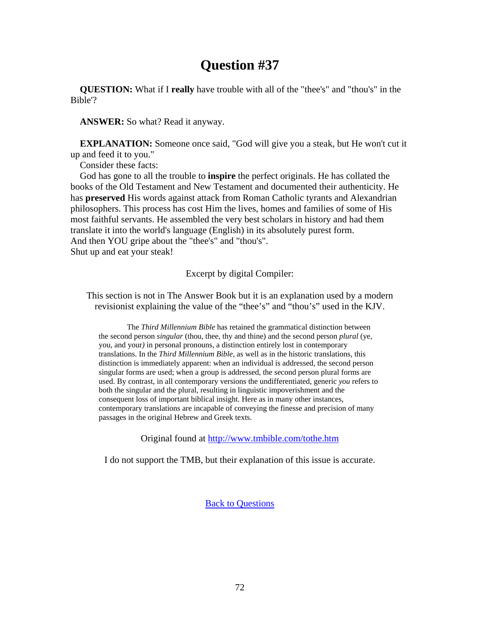**QUESTION:** What if I **really** have trouble with all of the "thee's" and "thou's" in the Bible'?

**ANSWER:** So what? Read it anyway.

 **EXPLANATION:** Someone once said, "God will give you a steak, but He won't cut it up and feed it to you."

Consider these facts:

 God has gone to all the trouble to **inspire** the perfect originals. He has collated the books of the Old Testament and New Testament and documented their authenticity. He has **preserved** His words against attack from Roman Catholic tyrants and Alexandrian philosophers. This process has cost Him the lives, homes and families of some of His most faithful servants. He assembled the very best scholars in history and had them translate it into the world's language (English) in its absolutely purest form. And then YOU gripe about the "thee's" and "thou's". Shut up and eat your steak!

#### Excerpt by digital Compiler:

This section is not in The Answer Book but it is an explanation used by a modern revisionist explaining the value of the "thee's" and "thou's" used in the KJV.

The *Third Millennium Bible* has retained the grammatical distinction between the second person *singular* (thou, thee, thy and thine) and the second person *plural* (ye, you, and your*)* in personal pronouns, a distinction entirely lost in contemporary translations. In the *Third Millennium Bible,* as well as in the historic translations, this distinction is immediately apparent: when an individual is addressed, the second person singular forms are used; when a group is addressed, the second person plural forms are used. By contrast, in all contemporary versions the undifferentiated, generic *you* refers to both the singular and the plural, resulting in linguistic impoverishment and the consequent loss of important biblical insight. Here as in many other instances, contemporary translations are incapable of conveying the finesse and precision of many passages in the original Hebrew and Greek texts.

Original found at<http://www.tmbible.com/tothe.htm>

I do not support the TMB, but their explanation of this issue is accurate.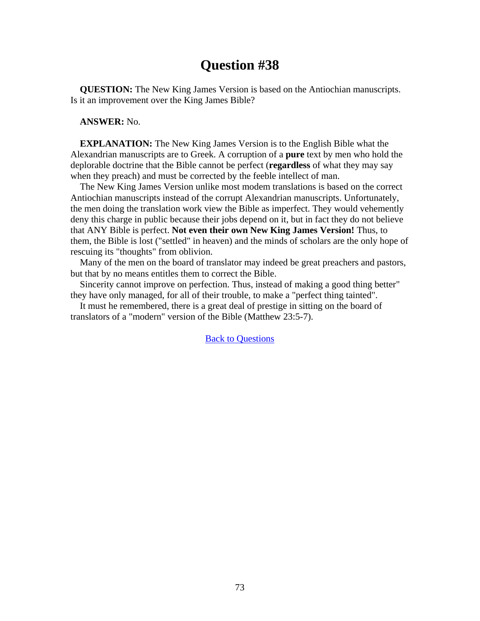**QUESTION:** The New King James Version is based on the Antiochian manuscripts. Is it an improvement over the King James Bible?

#### **ANSWER:** No.

 **EXPLANATION:** The New King James Version is to the English Bible what the Alexandrian manuscripts are to Greek. A corruption of a **pure** text by men who hold the deplorable doctrine that the Bible cannot be perfect (**regardless** of what they may say when they preach) and must be corrected by the feeble intellect of man.

 The New King James Version unlike most modem translations is based on the correct Antiochian manuscripts instead of the corrupt Alexandrian manuscripts. Unfortunately, the men doing the translation work view the Bible as imperfect. They would vehemently deny this charge in public because their jobs depend on it, but in fact they do not believe that ANY Bible is perfect. **Not even their own New King James Version!** Thus, to them, the Bible is lost ("settled" in heaven) and the minds of scholars are the only hope of rescuing its "thoughts" from oblivion.

 Many of the men on the board of translator may indeed be great preachers and pastors, but that by no means entitles them to correct the Bible.

 Sincerity cannot improve on perfection. Thus, instead of making a good thing better" they have only managed, for all of their trouble, to make a "perfect thing tainted".

 It must he remembered, there is a great deal of prestige in sitting on the board of translators of a "modern" version of the Bible (Matthew 23:5-7).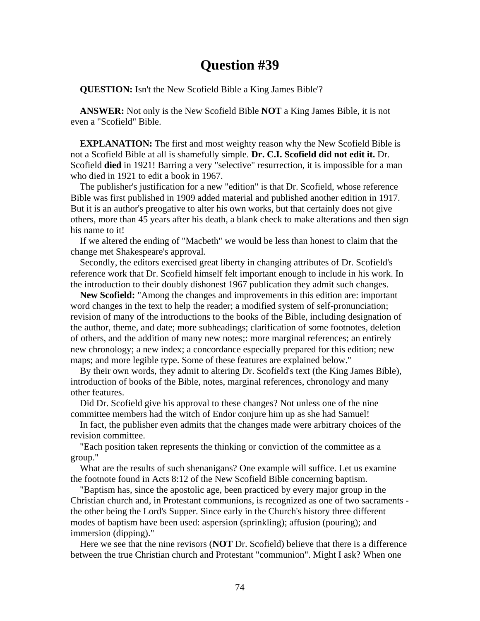**QUESTION:** Isn't the New Scofield Bible a King James Bible'?

 **ANSWER:** Not only is the New Scofield Bible **NOT** a King James Bible, it is not even a "Scofield" Bible.

**EXPLANATION:** The first and most weighty reason why the New Scofield Bible is not a Scofield Bible at all is shamefully simple. **Dr. C.I. Scofield did not edit it.** Dr. Scofield **died** in 1921! Barring a very "selective" resurrection, it is impossible for a man who died in 1921 to edit a book in 1967.

 The publisher's justification for a new "edition" is that Dr. Scofield, whose reference Bible was first published in 1909 added material and published another edition in 1917. But it is an author's preogative to alter his own works, but that certainly does not give others, more than 45 years after his death, a blank check to make alterations and then sign his name to it!

 If we altered the ending of "Macbeth" we would be less than honest to claim that the change met Shakespeare's approval.

 Secondly, the editors exercised great liberty in changing attributes of Dr. Scofield's reference work that Dr. Scofield himself felt important enough to include in his work. In the introduction to their doubly dishonest 1967 publication they admit such changes.

 **New Scofield:** "Among the changes and improvements in this edition are: important word changes in the text to help the reader; a modified system of self-pronunciation; revision of many of the introductions to the books of the Bible, including designation of the author, theme, and date; more subheadings; clarification of some footnotes, deletion of others, and the addition of many new notes;: more marginal references; an entirely new chronology; a new index; a concordance especially prepared for this edition; new maps; and more legible type. Some of these features are explained below."

 By their own words, they admit to altering Dr. Scofield's text (the King James Bible), introduction of books of the Bible, notes, marginal references, chronology and many other features.

 Did Dr. Scofield give his approval to these changes? Not unless one of the nine committee members had the witch of Endor conjure him up as she had Samuel!

 In fact, the publisher even admits that the changes made were arbitrary choices of the revision committee.

 "Each position taken represents the thinking or conviction of the committee as a group."

What are the results of such shenanigans? One example will suffice. Let us examine the footnote found in Acts 8:12 of the New Scofield Bible concerning baptism.

 "Baptism has, since the apostolic age, been practiced by every major group in the Christian church and, in Protestant communions, is recognized as one of two sacraments the other being the Lord's Supper. Since early in the Church's history three different modes of baptism have been used: aspersion (sprinkling); affusion (pouring); and immersion (dipping)."

 Here we see that the nine revisors (**NOT** Dr. Scofield) believe that there is a difference between the true Christian church and Protestant "communion". Might I ask? When one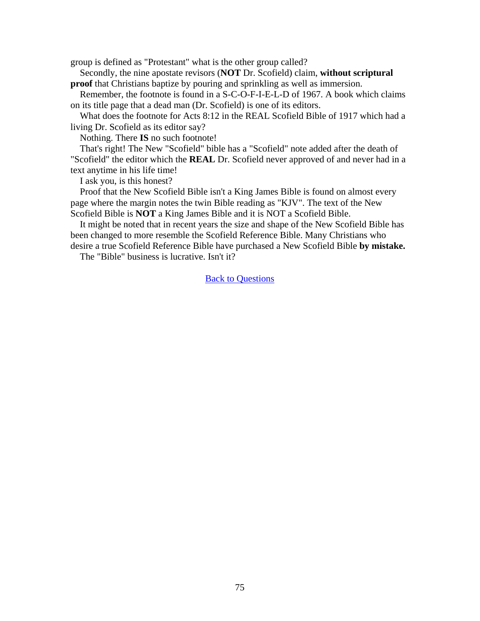group is defined as "Protestant" what is the other group called?

 Secondly, the nine apostate revisors (**NOT** Dr. Scofield) claim, **without scriptural proof** that Christians baptize by pouring and sprinkling as well as immersion.

 Remember, the footnote is found in a S-C-O-F-I-E-L-D of 1967. A book which claims on its title page that a dead man (Dr. Scofield) is one of its editors.

 What does the footnote for Acts 8:12 in the REAL Scofield Bible of 1917 which had a living Dr. Scofield as its editor say?

Nothing. There **IS** no such footnote!

 That's right! The New "Scofield" bible has a "Scofield" note added after the death of "Scofield" the editor which the **REAL** Dr. Scofield never approved of and never had in a text anytime in his life time!

I ask you, is this honest?

 Proof that the New Scofield Bible isn't a King James Bible is found on almost every page where the margin notes the twin Bible reading as "KJV". The text of the New Scofield Bible is **NOT** a King James Bible and it is NOT a Scofield Bible.

 It might be noted that in recent years the size and shape of the New Scofield Bible has been changed to more resemble the Scofield Reference Bible. Many Christians who desire a true Scofield Reference Bible have purchased a New Scofield Bible **by mistake.**

The "Bible" business is lucrative. Isn't it?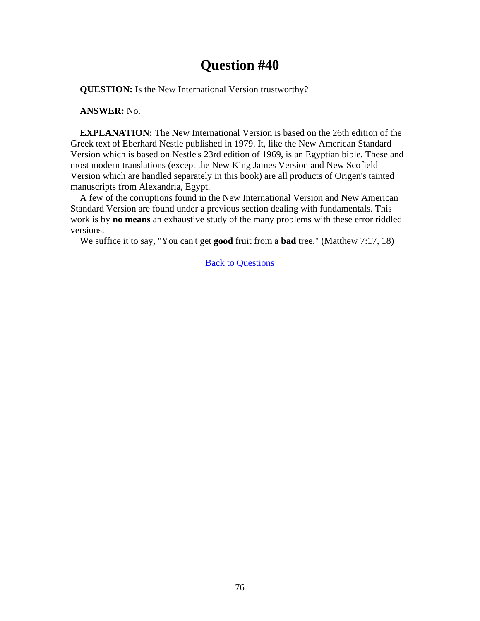**QUESTION:** Is the New International Version trustworthy?

**ANSWER:** No.

 **EXPLANATION:** The New International Version is based on the 26th edition of the Greek text of Eberhard Nestle published in 1979. It, like the New American Standard Version which is based on Nestle's 23rd edition of 1969, is an Egyptian bible. These and most modern translations (except the New King James Version and New Scofield Version which are handled separately in this book) are all products of Origen's tainted manuscripts from Alexandria, Egypt.

 A few of the corruptions found in the New International Version and New American Standard Version are found under a previous section dealing with fundamentals. This work is by **no means** an exhaustive study of the many problems with these error riddled versions.

We suffice it to say, "You can't get **good** fruit from a **bad** tree." (Matthew 7:17, 18)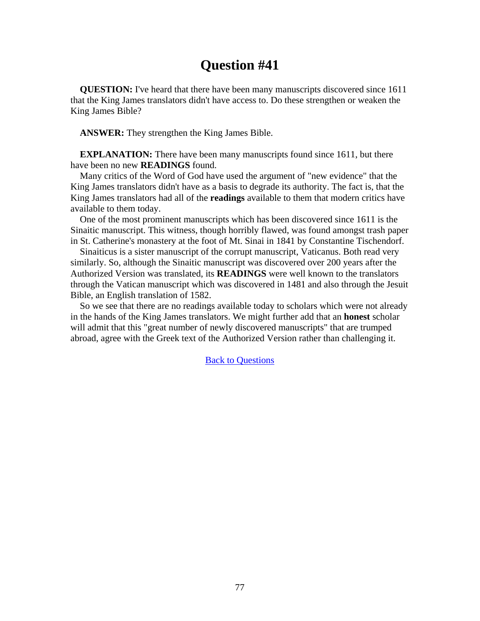**QUESTION:** I've heard that there have been many manuscripts discovered since 1611 that the King James translators didn't have access to. Do these strengthen or weaken the King James Bible?

**ANSWER:** They strengthen the King James Bible.

 **EXPLANATION:** There have been many manuscripts found since 1611, but there have been no new **READINGS** found.

 Many critics of the Word of God have used the argument of "new evidence" that the King James translators didn't have as a basis to degrade its authority. The fact is, that the King James translators had all of the **readings** available to them that modern critics have available to them today.

 One of the most prominent manuscripts which has been discovered since 1611 is the Sinaitic manuscript. This witness, though horribly flawed, was found amongst trash paper in St. Catherine's monastery at the foot of Mt. Sinai in 1841 by Constantine Tischendorf.

 Sinaiticus is a sister manuscript of the corrupt manuscript, Vaticanus. Both read very similarly. So, although the Sinaitic manuscript was discovered over 200 years after the Authorized Version was translated, its **READINGS** were well known to the translators through the Vatican manuscript which was discovered in 1481 and also through the Jesuit Bible, an English translation of 1582.

 So we see that there are no readings available today to scholars which were not already in the hands of the King James translators. We might further add that an **honest** scholar will admit that this "great number of newly discovered manuscripts" that are trumped abroad, agree with the Greek text of the Authorized Version rather than challenging it.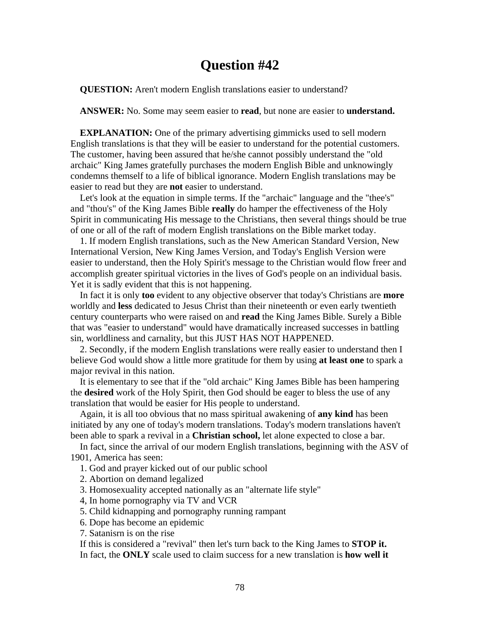**QUESTION:** Aren't modern English translations easier to understand?

**ANSWER:** No. Some may seem easier to **read**, but none are easier to **understand.**

 **EXPLANATION:** One of the primary advertising gimmicks used to sell modern English translations is that they will be easier to understand for the potential customers. The customer, having been assured that he/she cannot possibly understand the "old archaic" King James gratefully purchases the modern English Bible and unknowingly condemns themself to a life of biblical ignorance. Modern English translations may be easier to read but they are **not** easier to understand.

 Let's look at the equation in simple terms. If the "archaic" language and the "thee's" and "thou's" of the King James Bible **really** do hamper the effectiveness of the Holy Spirit in communicating His message to the Christians, then several things should be true of one or all of the raft of modern English translations on the Bible market today.

 1. If modern English translations, such as the New American Standard Version, New International Version, New King James Version, and Today's English Version were easier to understand, then the Holy Spirit's message to the Christian would flow freer and accomplish greater spiritual victories in the lives of God's people on an individual basis. Yet it is sadly evident that this is not happening.

 In fact it is only **too** evident to any objective observer that today's Christians are **more** worldly and **less** dedicated to Jesus Christ than their nineteenth or even early twentieth century counterparts who were raised on and **read** the King James Bible. Surely a Bible that was "easier to understand" would have dramatically increased successes in battling sin, worldliness and carnality, but this JUST HAS NOT HAPPENED.

 2. Secondly, if the modern English translations were really easier to understand then I believe God would show a little more gratitude for them by using **at least one** to spark a major revival in this nation.

 It is elementary to see that if the "old archaic" King James Bible has been hampering the **desired** work of the Holy Spirit, then God should be eager to bless the use of any translation that would be easier for His people to understand.

 Again, it is all too obvious that no mass spiritual awakening of **any kind** has been initiated by any one of today's modern translations. Today's modern translations haven't been able to spark a revival in a **Christian school,** let alone expected to close a bar.

 In fact, since the arrival of our modern English translations, beginning with the ASV of 1901, America has seen:

- 1. God and prayer kicked out of our public school
- 2. Abortion on demand legalized
- 3. Homosexuality accepted nationally as an "alternate life style"
- 4, In home pornography via TV and VCR
- 5. Child kidnapping and pornography running rampant
- 6. Dope has become an epidemic
- 7. Satanisrn is on the rise

 If this is considered a "revival" then let's turn back to the King James to **STOP it.** In fact, the **ONLY** scale used to claim success for a new translation is **how well it**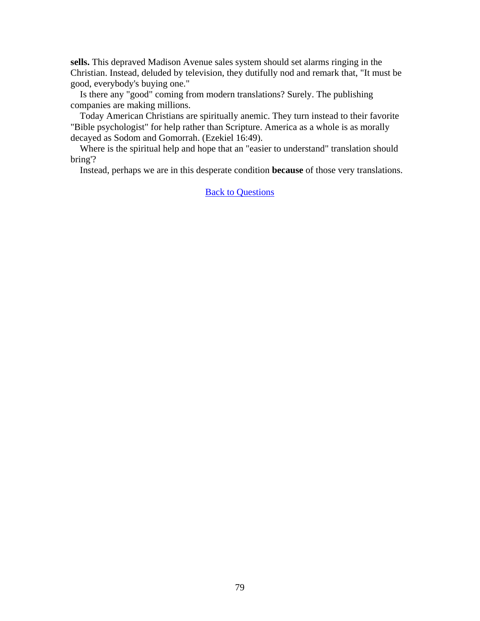**sells.** This depraved Madison Avenue sales system should set alarms ringing in the Christian. Instead, deluded by television, they dutifully nod and remark that, "It must be good, everybody's buying one."

 Is there any "good" coming from modern translations? Surely. The publishing companies are making millions.

 Today American Christians are spiritually anemic. They turn instead to their favorite "Bible psychologist" for help rather than Scripture. America as a whole is as morally decayed as Sodom and Gomorrah. (Ezekiel 16:49).

 Where is the spiritual help and hope that an "easier to understand" translation should bring'?

Instead, perhaps we are in this desperate condition **because** of those very translations.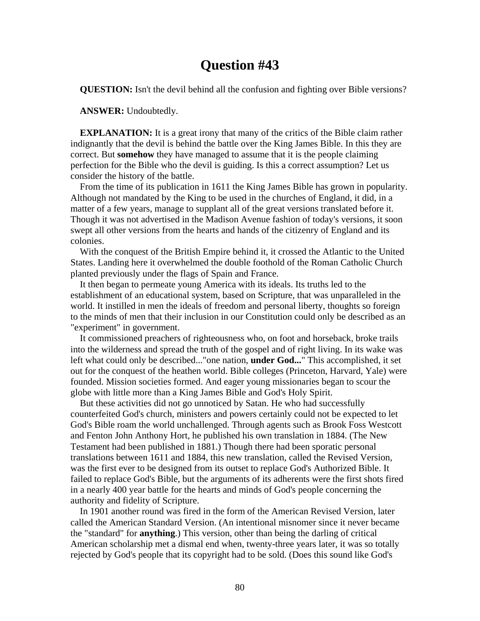**QUESTION:** Isn't the devil behind all the confusion and fighting over Bible versions?

**ANSWER:** Undoubtedly.

**EXPLANATION:** It is a great irony that many of the critics of the Bible claim rather indignantly that the devil is behind the battle over the King James Bible. In this they are correct. But **somehow** they have managed to assume that it is the people claiming perfection for the Bible who the devil is guiding. Is this a correct assumption? Let us consider the history of the battle.

 From the time of its publication in 1611 the King James Bible has grown in popularity. Although not mandated by the King to be used in the churches of England, it did, in a matter of a few years, manage to supplant all of the great versions translated before it. Though it was not advertised in the Madison Avenue fashion of today's versions, it soon swept all other versions from the hearts and hands of the citizenry of England and its colonies.

 With the conquest of the British Empire behind it, it crossed the Atlantic to the United States. Landing here it overwhelmed the double foothold of the Roman Catholic Church planted previously under the flags of Spain and France.

 It then began to permeate young America with its ideals. Its truths led to the establishment of an educational system, based on Scripture, that was unparalleled in the world. It instilled in men the ideals of freedom and personal liberty, thoughts so foreign to the minds of men that their inclusion in our Constitution could only be described as an "experiment" in government.

 It commissioned preachers of righteousness who, on foot and horseback, broke trails into the wilderness and spread the truth of the gospel and of right living. In its wake was left what could only be described..."one nation, **under God...**" This accomplished, it set out for the conquest of the heathen world. Bible colleges (Princeton, Harvard, Yale) were founded. Mission societies formed. And eager young missionaries began to scour the globe with little more than a King James Bible and God's Holy Spirit.

 But these activities did not go unnoticed by Satan. He who had successfully counterfeited God's church, ministers and powers certainly could not be expected to let God's Bible roam the world unchallenged. Through agents such as Brook Foss Westcott and Fenton John Anthony Hort, he published his own translation in 1884. (The New Testament had been published in 1881.) Though there had been sporatic personal translations between 1611 and 1884, this new translation, called the Revised Version, was the first ever to be designed from its outset to replace God's Authorized Bible. It failed to replace God's Bible, but the arguments of its adherents were the first shots fired in a nearly 400 year battle for the hearts and minds of God's people concerning the authority and fidelity of Scripture.

 In 1901 another round was fired in the form of the American Revised Version, later called the American Standard Version. (An intentional misnomer since it never became the "standard" for **anything**.) This version, other than being the darling of critical American scholarship met a dismal end when, twenty-three years later, it was so totally rejected by God's people that its copyright had to be sold. (Does this sound like God's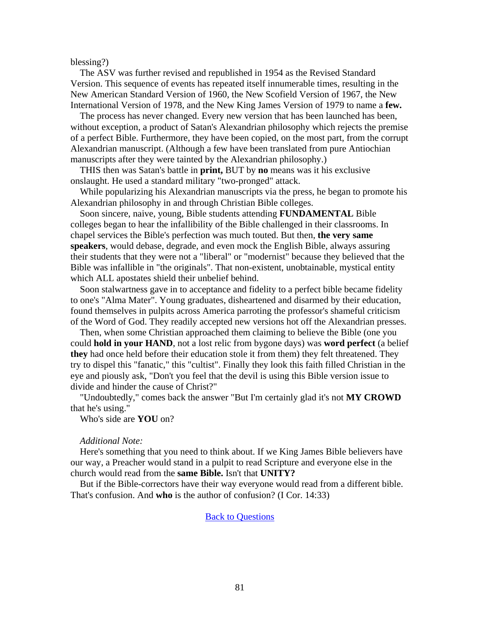blessing?)

 The ASV was further revised and republished in 1954 as the Revised Standard Version. This sequence of events has repeated itself innumerable times, resulting in the New American Standard Version of 1960, the New Scofield Version of 1967, the New International Version of 1978, and the New King James Version of 1979 to name a **few.**

 The process has never changed. Every new version that has been launched has been, without exception, a product of Satan's Alexandrian philosophy which rejects the premise of a perfect Bible. Furthermore, they have been copied, on the most part, from the corrupt Alexandrian manuscript. (Although a few have been translated from pure Antiochian manuscripts after they were tainted by the Alexandrian philosophy.)

 THIS then was Satan's battle in **print,** BUT by **no** means was it his exclusive onslaught. He used a standard military "two-pronged" attack.

 While popularizing his Alexandrian manuscripts via the press, he began to promote his Alexandrian philosophy in and through Christian Bible colleges.

 Soon sincere, naive, young, Bible students attending **FUNDAMENTAL** Bible colleges began to hear the infallibility of the Bible challenged in their classrooms. In chapel services the Bible's perfection was much touted. But then, **the very same speakers**, would debase, degrade, and even mock the English Bible, always assuring their students that they were not a "liberal" or "modernist" because they believed that the Bible was infallible in "the originals". That non-existent, unobtainable, mystical entity which ALL apostates shield their unbelief behind.

 Soon stalwartness gave in to acceptance and fidelity to a perfect bible became fidelity to one's "Alma Mater". Young graduates, disheartened and disarmed by their education, found themselves in pulpits across America parroting the professor's shameful criticism of the Word of God. They readily accepted new versions hot off the Alexandrian presses.

 Then, when some Christian approached them claiming to believe the Bible (one you could **hold in your HAND**, not a lost relic from bygone days) was **word perfect** (a belief **they** had once held before their education stole it from them) they felt threatened. They try to dispel this "fanatic," this "cultist". Finally they look this faith filled Christian in the eye and piously ask, "Don't you feel that the devil is using this Bible version issue to divide and hinder the cause of Christ?"

 "Undoubtedly," comes back the answer "But I'm certainly glad it's not **MY CROWD** that he's using."

Who's side are **YOU** on?

#### *Additional Note:*

 Here's something that you need to think about. If we King James Bible believers have our way, a Preacher would stand in a pulpit to read Scripture and everyone else in the church would read from the **same Bible.** Isn't that **UNITY?**

 But if the Bible-correctors have their way everyone would read from a different bible. That's confusion. And **who** is the author of confusion? (I Cor. 14:33)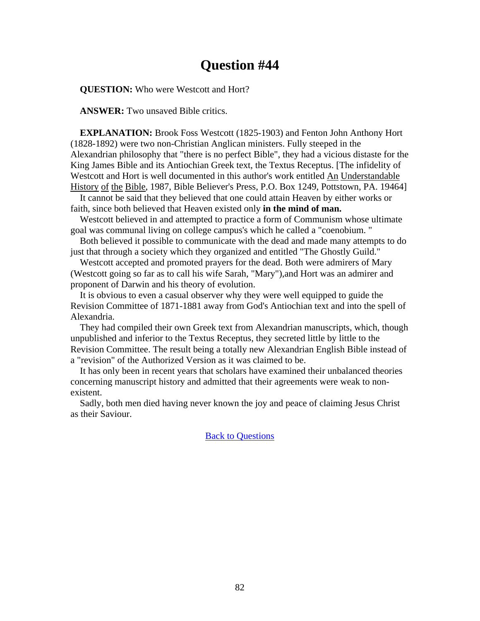**QUESTION:** Who were Westcott and Hort?

**ANSWER:** Two unsaved Bible critics.

 **EXPLANATION:** Brook Foss Westcott (1825-1903) and Fenton John Anthony Hort (1828-1892) were two non-Christian Anglican ministers. Fully steeped in the Alexandrian philosophy that "there is no perfect Bible", they had a vicious distaste for the King James Bible and its Antiochian Greek text, the Textus Receptus. [The infidelity of Westcott and Hort is well documented in this author's work entitled An Understandable History of the Bible, 1987, Bible Believer's Press, P.O. Box 1249, Pottstown, PA. 19464]

 It cannot be said that they believed that one could attain Heaven by either works or faith, since both believed that Heaven existed only **in the mind of man.**

 Westcott believed in and attempted to practice a form of Communism whose ultimate goal was communal living on college campus's which he called a "coenobium. "

 Both believed it possible to communicate with the dead and made many attempts to do just that through a society which they organized and entitled "The Ghostly Guild."

 Westcott accepted and promoted prayers for the dead. Both were admirers of Mary (Westcott going so far as to call his wife Sarah, "Mary"),and Hort was an admirer and proponent of Darwin and his theory of evolution.

 It is obvious to even a casual observer why they were well equipped to guide the Revision Committee of 1871-1881 away from God's Antiochian text and into the spell of Alexandria.

 They had compiled their own Greek text from Alexandrian manuscripts, which, though unpublished and inferior to the Textus Receptus, they secreted little by little to the Revision Committee. The result being a totally new Alexandrian English Bible instead of a "revision" of the Authorized Version as it was claimed to be.

 It has only been in recent years that scholars have examined their unbalanced theories concerning manuscript history and admitted that their agreements were weak to nonexistent.

 Sadly, both men died having never known the joy and peace of claiming Jesus Christ as their Saviour.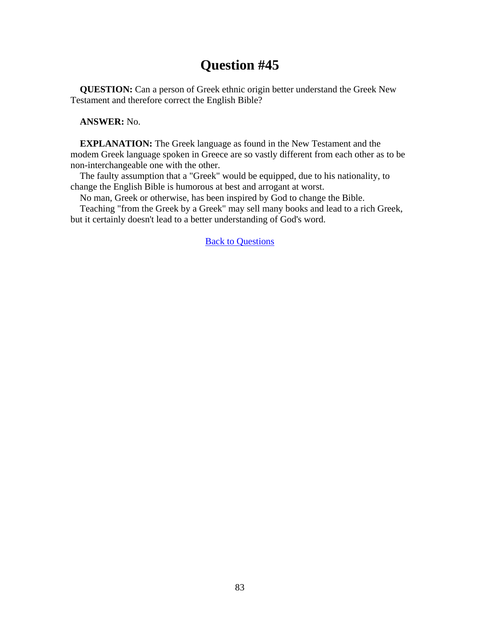**QUESTION:** Can a person of Greek ethnic origin better understand the Greek New Testament and therefore correct the English Bible?

**ANSWER:** No.

 **EXPLANATION:** The Greek language as found in the New Testament and the modem Greek language spoken in Greece are so vastly different from each other as to be non-interchangeable one with the other.

 The faulty assumption that a "Greek" would be equipped, due to his nationality, to change the English Bible is humorous at best and arrogant at worst.

No man, Greek or otherwise, has been inspired by God to change the Bible.

 Teaching "from the Greek by a Greek" may sell many books and lead to a rich Greek, but it certainly doesn't lead to a better understanding of God's word.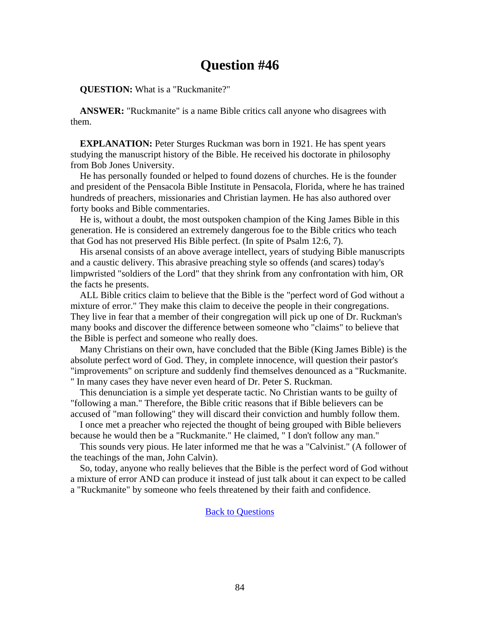**QUESTION:** What is a "Ruckmanite?"

 **ANSWER:** "Ruckmanite" is a name Bible critics call anyone who disagrees with them.

 **EXPLANATION:** Peter Sturges Ruckman was born in 1921. He has spent years studying the manuscript history of the Bible. He received his doctorate in philosophy from Bob Jones University.

 He has personally founded or helped to found dozens of churches. He is the founder and president of the Pensacola Bible Institute in Pensacola, Florida, where he has trained hundreds of preachers, missionaries and Christian laymen. He has also authored over forty books and Bible commentaries.

 He is, without a doubt, the most outspoken champion of the King James Bible in this generation. He is considered an extremely dangerous foe to the Bible critics who teach that God has not preserved His Bible perfect. (In spite of Psalm 12:6, 7).

 His arsenal consists of an above average intellect, years of studying Bible manuscripts and a caustic delivery. This abrasive preaching style so offends (and scares) today's limpwristed "soldiers of the Lord" that they shrink from any confrontation with him, OR the facts he presents.

 ALL Bible critics claim to believe that the Bible is the "perfect word of God without a mixture of error." They make this claim to deceive the people in their congregations. They live in fear that a member of their congregation will pick up one of Dr. Ruckman's many books and discover the difference between someone who "claims" to believe that the Bible is perfect and someone who really does.

 Many Christians on their own, have concluded that the Bible (King James Bible) is the absolute perfect word of God. They, in complete innocence, will question their pastor's "improvements" on scripture and suddenly find themselves denounced as a "Ruckmanite. " In many cases they have never even heard of Dr. Peter S. Ruckman.

 This denunciation is a simple yet desperate tactic. No Christian wants to be guilty of "following a man." Therefore, the Bible critic reasons that if Bible believers can be accused of "man following" they will discard their conviction and humbly follow them.

 I once met a preacher who rejected the thought of being grouped with Bible believers because he would then be a "Ruckmanite." He claimed, " I don't follow any man."

 This sounds very pious. He later informed me that he was a "Calvinist." (A follower of the teachings of the man, John Calvin).

 So, today, anyone who really believes that the Bible is the perfect word of God without a mixture of error AND can produce it instead of just talk about it can expect to be called a "Ruckmanite" by someone who feels threatened by their faith and confidence.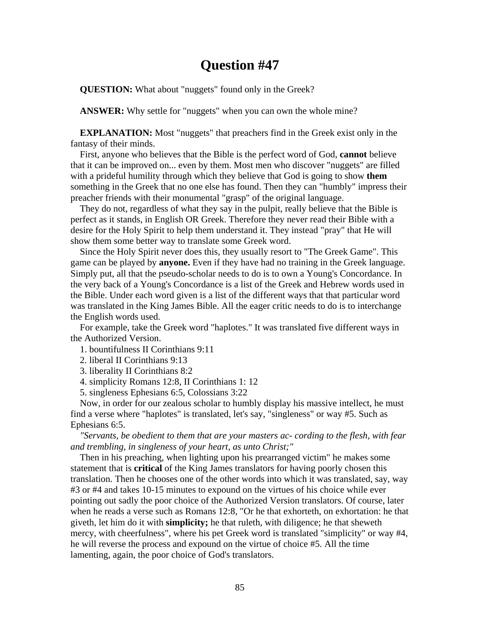**QUESTION:** What about "nuggets" found only in the Greek?

ANSWER: Why settle for "nuggets" when you can own the whole mine?

**EXPLANATION:** Most "nuggets" that preachers find in the Greek exist only in the fantasy of their minds.

 First, anyone who believes that the Bible is the perfect word of God, **cannot** believe that it can be improved on... even by them. Most men who discover "nuggets" are filled with a prideful humility through which they believe that God is going to show **them** something in the Greek that no one else has found. Then they can "humbly" impress their preacher friends with their monumental "grasp" of the original language.

 They do not, regardless of what they say in the pulpit, really believe that the Bible is perfect as it stands, in English OR Greek. Therefore they never read their Bible with a desire for the Holy Spirit to help them understand it. They instead "pray" that He will show them some better way to translate some Greek word.

 Since the Holy Spirit never does this, they usually resort to "The Greek Game". This game can be played by **anyone.** Even if they have had no training in the Greek language. Simply put, all that the pseudo-scholar needs to do is to own a Young's Concordance. In the very back of a Young's Concordance is a list of the Greek and Hebrew words used in the Bible. Under each word given is a list of the different ways that that particular word was translated in the King James Bible. All the eager critic needs to do is to interchange the English words used.

 For example, take the Greek word "haplotes." It was translated five different ways in the Authorized Version.

1. bountifulness II Corinthians 9:11

- 2. liberal II Corinthians 9:13
- 3. liberality II Corinthians 8:2
- 4. simplicity Romans 12:8, II Corinthians 1: 12
- 5. singleness Ephesians 6:5, Colossians 3:22

 Now, in order for our zealous scholar to humbly display his massive intellect, he must find a verse where "haplotes" is translated, let's say, "singleness" or way #5. Such as Ephesians 6:5.

 *"Servants, be obedient to them that are your masters ac- cording to the flesh, with fear and trembling, in singleness of your heart, as unto Christ;"*

 Then in his preaching, when lighting upon his prearranged victim" he makes some statement that is **critical** of the King James translators for having poorly chosen this translation. Then he chooses one of the other words into which it was translated, say, way #3 or #4 and takes 10-15 minutes to expound on the virtues of his choice while ever pointing out sadly the poor choice of the Authorized Version translators. Of course, later when he reads a verse such as Romans 12:8, "Or he that exhorteth, on exhortation: he that giveth, let him do it with **simplicity;** he that ruleth, with diligence; he that sheweth mercy, with cheerfulness", where his pet Greek word is translated "simplicity" or way #4, he will reverse the process and expound on the virtue of choice #5. All the time lamenting, again, the poor choice of God's translators.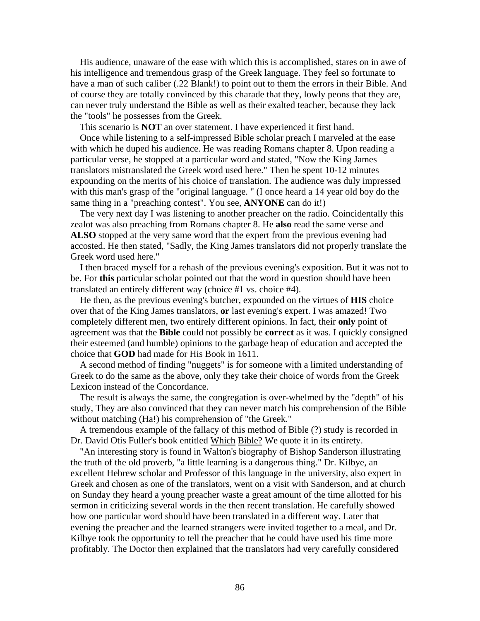His audience, unaware of the ease with which this is accomplished, stares on in awe of his intelligence and tremendous grasp of the Greek language. They feel so fortunate to have a man of such caliber (.22 Blank!) to point out to them the errors in their Bible. And of course they are totally convinced by this charade that they, lowly peons that they are, can never truly understand the Bible as well as their exalted teacher, because they lack the "tools" he possesses from the Greek.

This scenario is **NOT** an over statement. I have experienced it first hand.

 Once while listening to a self-impressed Bible scholar preach I marveled at the ease with which he duped his audience. He was reading Romans chapter 8. Upon reading a particular verse, he stopped at a particular word and stated, "Now the King James translators mistranslated the Greek word used here." Then he spent 10-12 minutes expounding on the merits of his choice of translation. The audience was duly impressed with this man's grasp of the "original language. " (I once heard a 14 year old boy do the same thing in a "preaching contest". You see, **ANYONE** can do it!)

 The very next day I was listening to another preacher on the radio. Coincidentally this zealot was also preaching from Romans chapter 8. He **also** read the same verse and **ALSO** stopped at the very same word that the expert from the previous evening had accosted. He then stated, "Sadly, the King James translators did not properly translate the Greek word used here."

 I then braced myself for a rehash of the previous evening's exposition. But it was not to be. For **this** particular scholar pointed out that the word in question should have been translated an entirely different way (choice #1 vs. choice #4).

 He then, as the previous evening's butcher, expounded on the virtues of **HIS** choice over that of the King James translators, **or** last evening's expert. I was amazed! Two completely different men, two entirely different opinions. In fact, their **only** point of agreement was that the **Bible** could not possibly be **correct** as it was. I quickly consigned their esteemed (and humble) opinions to the garbage heap of education and accepted the choice that **GOD** had made for His Book in 1611.

 A second method of finding "nuggets" is for someone with a limited understanding of Greek to do the same as the above, only they take their choice of words from the Greek Lexicon instead of the Concordance.

 The result is always the same, the congregation is over-whelmed by the "depth" of his study, They are also convinced that they can never match his comprehension of the Bible without matching (Ha!) his comprehension of "the Greek."

 A tremendous example of the fallacy of this method of Bible (?) study is recorded in Dr. David Otis Fuller's book entitled Which Bible? We quote it in its entirety.

 "An interesting story is found in Walton's biography of Bishop Sanderson illustrating the truth of the old proverb, "a little learning is a dangerous thing." Dr. Kilbye, an excellent Hebrew scholar and Professor of this language in the university, also expert in Greek and chosen as one of the translators, went on a visit with Sanderson, and at church on Sunday they heard a young preacher waste a great amount of the time allotted for his sermon in criticizing several words in the then recent translation. He carefully showed how one particular word should have been translated in a different way. Later that evening the preacher and the learned strangers were invited together to a meal, and Dr. Kilbye took the opportunity to tell the preacher that he could have used his time more profitably. The Doctor then explained that the translators had very carefully considered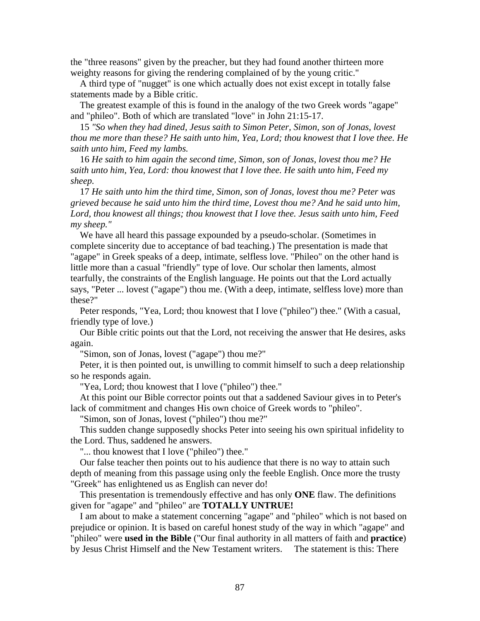the "three reasons" given by the preacher, but they had found another thirteen more weighty reasons for giving the rendering complained of by the young critic."

 A third type of "nugget" is one which actually does not exist except in totally false statements made by a Bible critic.

 The greatest example of this is found in the analogy of the two Greek words "agape" and "phileo". Both of which are translated "love" in John 21:15-17.

 15 *"So when they had dined, Jesus saith to Simon Peter, Simon, son of Jonas, lovest thou me more than these? He saith unto him, Yea, Lord; thou knowest that I love thee. He saith unto him, Feed my lambs.* 

16 *He saith to him again the second time, Simon, son of Jonas, lovest thou me? He saith unto him, Yea, Lord: thou knowest that I love thee. He saith unto him, Feed my sheep.* 

17 *He saith unto him the third time, Simon, son of Jonas, lovest thou me? Peter was grieved because he said unto him the third time, Lovest thou me? And he said unto him, Lord, thou knowest all things; thou knowest that I love thee. Jesus saith unto him, Feed my sheep."*

 We have all heard this passage expounded by a pseudo-scholar. (Sometimes in complete sincerity due to acceptance of bad teaching.) The presentation is made that "agape" in Greek speaks of a deep, intimate, selfless love. "Phileo" on the other hand is little more than a casual "friendly" type of love. Our scholar then laments, almost tearfully, the constraints of the English language. He points out that the Lord actually says, "Peter ... lovest ("agape") thou me. (With a deep, intimate, selfless love) more than these?"

 Peter responds, "Yea, Lord; thou knowest that I love ("phileo") thee." (With a casual, friendly type of love.)

 Our Bible critic points out that the Lord, not receiving the answer that He desires, asks again.

"Simon, son of Jonas, lovest ("agape") thou me?"

 Peter, it is then pointed out, is unwilling to commit himself to such a deep relationship so he responds again.

"Yea, Lord; thou knowest that I love ("phileo") thee."

 At this point our Bible corrector points out that a saddened Saviour gives in to Peter's lack of commitment and changes His own choice of Greek words to "phileo".

"Simon, son of Jonas, lovest ("phileo") thou me?"

 This sudden change supposedly shocks Peter into seeing his own spiritual infidelity to the Lord. Thus, saddened he answers.

"... thou knowest that I love ("phileo") thee."

 Our false teacher then points out to his audience that there is no way to attain such depth of meaning from this passage using only the feeble English. Once more the trusty "Greek" has enlightened us as English can never do!

 This presentation is tremendously effective and has only **ONE** flaw. The definitions given for "agape" and "phileo" are **TOTALLY UNTRUE!**

 I am about to make a statement concerning "agape" and "phileo" which is not based on prejudice or opinion. It is based on careful honest study of the way in which "agape" and "phileo" were **used in the Bible** ("Our final authority in all matters of faith and **practice**) by Jesus Christ Himself and the New Testament writers. The statement is this: There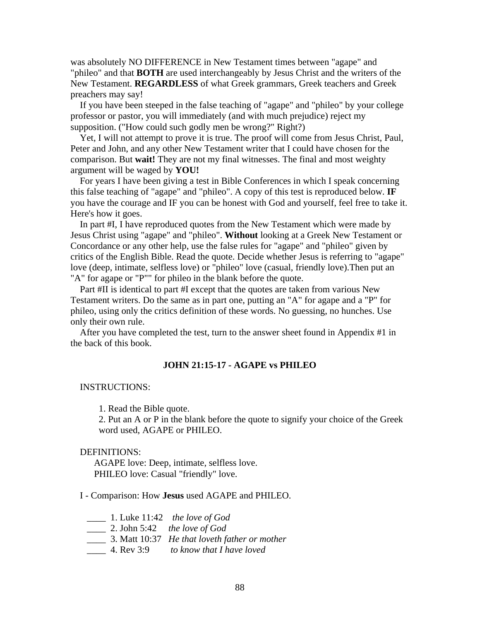was absolutely NO DIFFERENCE in New Testament times between "agape" and "phileo" and that **BOTH** are used interchangeably by Jesus Christ and the writers of the New Testament. **REGARDLESS** of what Greek grammars, Greek teachers and Greek preachers may say!

 If you have been steeped in the false teaching of "agape" and "phileo" by your college professor or pastor, you will immediately (and with much prejudice) reject my supposition. ("How could such godly men be wrong?" Right?)

 Yet, I will not attempt to prove it is true. The proof will come from Jesus Christ, Paul, Peter and John, and any other New Testament writer that I could have chosen for the comparison. But **wait!** They are not my final witnesses. The final and most weighty argument will be waged by **YOU!**

 For years I have been giving a test in Bible Conferences in which I speak concerning this false teaching of "agape" and "phileo". A copy of this test is reproduced below. **IF** you have the courage and IF you can be honest with God and yourself, feel free to take it. Here's how it goes.

 In part #I, I have reproduced quotes from the New Testament which were made by Jesus Christ using "agape" and "phileo". **Without** looking at a Greek New Testament or Concordance or any other help, use the false rules for "agape" and "phileo" given by critics of the English Bible. Read the quote. Decide whether Jesus is referring to "agape" love (deep, intimate, selfless love) or "phileo" love (casual, friendly love).Then put an "A" for agape or "P"" for phileo in the blank before the quote.

 Part #II is identical to part #I except that the quotes are taken from various New Testament writers. Do the same as in part one, putting an "A" for agape and a "P" for phileo, using only the critics definition of these words. No guessing, no hunches. Use only their own rule.

 After you have completed the test, turn to the answer sheet found in Appendix #1 in the back of this book.

#### **JOHN 21:15-17 - AGAPE vs PHILEO**

INSTRUCTIONS:

1. Read the Bible quote.

2. Put an A or P in the blank before the quote to signify your choice of the Greek word used, AGAPE or PHILEO.

#### DEFINITIONS:

 AGAPE love: Deep, intimate, selfless love. PHILEO love: Casual "friendly" love.

I - Comparison: How **Jesus** used AGAPE and PHILEO.

- \_\_\_\_ 1. Luke 11:42 *the love of God*
- \_\_\_\_ 2. John 5:42 *the love of God*
- \_\_\_\_ 3. Matt 10:37 *He that loveth father or mother*
- \_\_\_\_ 4. Rev 3:9 *to know that I have loved*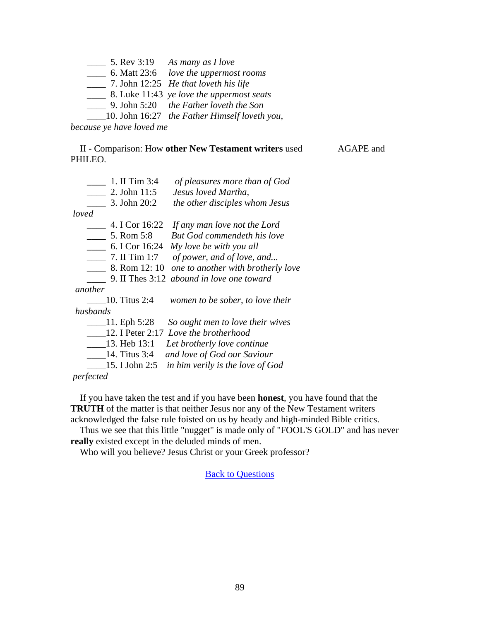\_\_\_\_ 5. Rev 3:19 *As many as I love* \_\_\_\_ 6. Matt 23:6 *love the uppermost rooms* \_\_\_\_ 7. John 12:25 *He that loveth his life* \_\_\_\_ 8. Luke 11:43 *ye love the uppermost seats* \_\_\_\_ 9. John 5:20 *the Father loveth the Son*

\_\_\_\_10. John 16:27 *the Father Himself loveth you,* 

*because ye have loved me*

| II - Comparison: How other New Testament writers used | AGAPE and |
|-------------------------------------------------------|-----------|
| PHILEO.                                               |           |

| 1. II Tim 3:4    | of pleasures more than of God      |
|------------------|------------------------------------|
| 2. John 11:5     | Jesus loved Martha,                |
| 3. John 20:2     | the other disciples whom Jesus     |
| loved            |                                    |
| 4. I Cor 16:22   | If any man love not the Lord       |
| 5. Rom 5:8       | But God commendeth his love        |
| 6. I Cor 16:24   | My love be with you all            |
| 7. II Tim 1:7    | of power, and of love, and         |
| 8. Rom 12: 10    | one to another with brotherly love |
| 9. II Thes 3:12  | abound in love one toward          |
| another          |                                    |
| 10. Titus 2:4    | women to be sober, to love their   |
| husbands         |                                    |
| 11. Eph 5:28     | So ought men to love their wives   |
| 12. I Peter 2:17 | Love the brotherhood               |
| 13. Heb 13:1     | Let brotherly love continue        |
| 14. Titus 3:4    | and love of God our Saviour        |
| 15. I John 2:5   | in him verily is the love of God   |
| norfootad        |                                    |

*perfected*

 If you have taken the test and if you have been **honest**, you have found that the **TRUTH** of the matter is that neither Jesus nor any of the New Testament writers acknowledged the false rule foisted on us by heady and high-minded Bible critics.

 Thus we see that this little "nugget" is made only of "FOOL'S GOLD" and has never **really** existed except in the deluded minds of men.

Who will you believe? Jesus Christ or your Greek professor?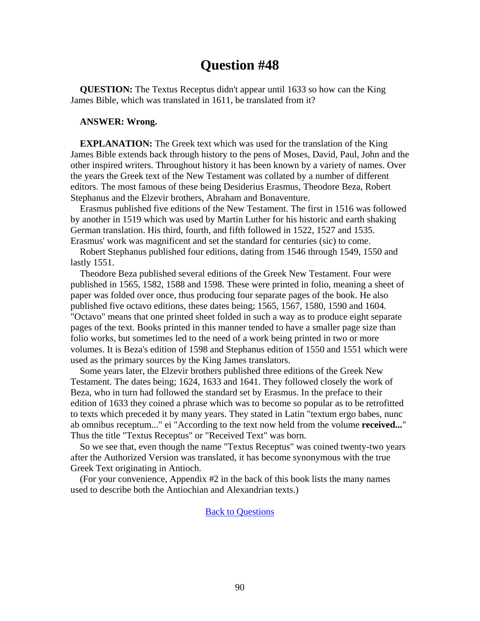**QUESTION:** The Textus Receptus didn't appear until 1633 so how can the King James Bible, which was translated in 1611, be translated from it?

#### **ANSWER: Wrong.**

**EXPLANATION:** The Greek text which was used for the translation of the King James Bible extends back through history to the pens of Moses, David, Paul, John and the other inspired writers. Throughout history it has been known by a variety of names. Over the years the Greek text of the New Testament was collated by a number of different editors. The most famous of these being Desiderius Erasmus, Theodore Beza, Robert Stephanus and the Elzevir brothers, Abraham and Bonaventure.

 Erasmus published five editions of the New Testament. The first in 1516 was followed by another in 1519 which was used by Martin Luther for his historic and earth shaking German translation. His third, fourth, and fifth followed in 1522, 1527 and 1535. Erasmus' work was magnificent and set the standard for centuries (sic) to come.

 Robert Stephanus published four editions, dating from 1546 through 1549, 1550 and lastly 1551.

 Theodore Beza published several editions of the Greek New Testament. Four were published in 1565, 1582, 1588 and 1598. These were printed in folio, meaning a sheet of paper was folded over once, thus producing four separate pages of the book. He also published five octavo editions, these dates being; 1565, 1567, 1580, 1590 and 1604. "Octavo" means that one printed sheet folded in such a way as to produce eight separate pages of the text. Books printed in this manner tended to have a smaller page size than folio works, but sometimes led to the need of a work being printed in two or more volumes. It is Beza's edition of 1598 and Stephanus edition of 1550 and 1551 which were used as the primary sources by the King James translators.

 Some years later, the Elzevir brothers published three editions of the Greek New Testament. The dates being; 1624, 1633 and 1641. They followed closely the work of Beza, who in turn had followed the standard set by Erasmus. In the preface to their edition of 1633 they coined a phrase which was to become so popular as to be retrofitted to texts which preceded it by many years. They stated in Latin "textum ergo babes, nunc ab omnibus receptum..." ei "According to the text now held from the volume **received...**" Thus the title "Textus Receptus" or "Received Text" was born.

 So we see that, even though the name "Textus Receptus" was coined twenty-two years after the Authorized Version was translated, it has become synonymous with the true Greek Text originating in Antioch.

 (For your convenience, Appendix #2 in the back of this book lists the many names used to describe both the Antiochian and Alexandrian texts.)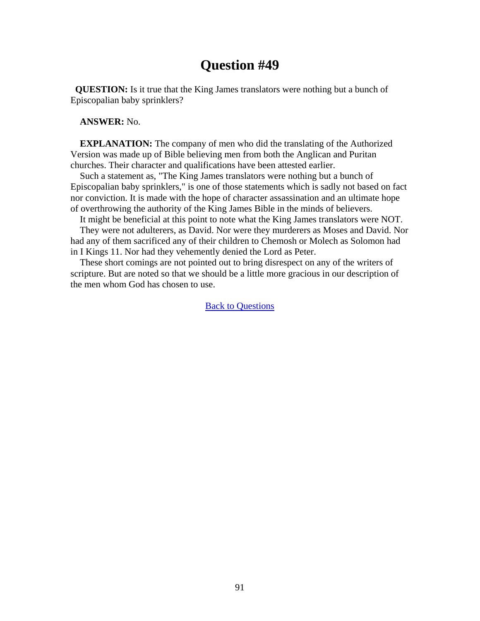**QUESTION:** Is it true that the King James translators were nothing but a bunch of Episcopalian baby sprinklers?

**ANSWER:** No.

 **EXPLANATION:** The company of men who did the translating of the Authorized Version was made up of Bible believing men from both the Anglican and Puritan churches. Their character and qualifications have been attested earlier.

 Such a statement as, "The King James translators were nothing but a bunch of Episcopalian baby sprinklers," is one of those statements which is sadly not based on fact nor conviction. It is made with the hope of character assassination and an ultimate hope of overthrowing the authority of the King James Bible in the minds of believers.

 It might be beneficial at this point to note what the King James translators were NOT. They were not adulterers, as David. Nor were they murderers as Moses and David. Nor had any of them sacrificed any of their children to Chemosh or Molech as Solomon had

in I Kings 11. Nor had they vehemently denied the Lord as Peter.

 These short comings are not pointed out to bring disrespect on any of the writers of scripture. But are noted so that we should be a little more gracious in our description of the men whom God has chosen to use.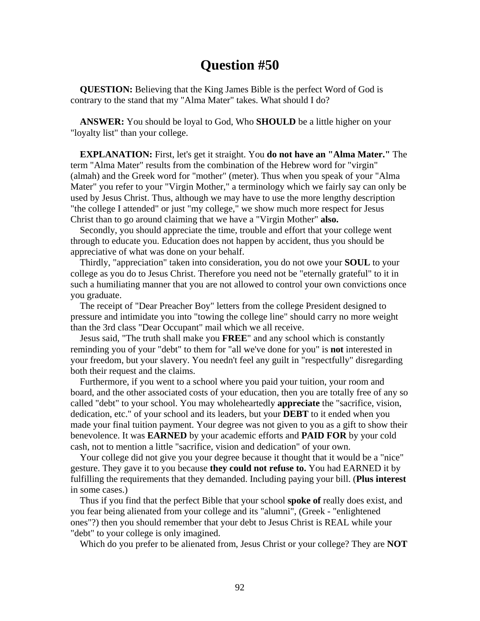**QUESTION:** Believing that the King James Bible is the perfect Word of God is contrary to the stand that my "Alma Mater" takes. What should I do?

 **ANSWER:** You should be loyal to God, Who **SHOULD** be a little higher on your "loyalty list" than your college.

 **EXPLANATION:** First, let's get it straight. You **do not have an "Alma Mater."** The term "Alma Mater" results from the combination of the Hebrew word for "virgin" (almah) and the Greek word for "mother" (meter). Thus when you speak of your "Alma Mater" you refer to your "Virgin Mother," a terminology which we fairly say can only be used by Jesus Christ. Thus, although we may have to use the more lengthy description "the college I attended" or just "my college," we show much more respect for Jesus Christ than to go around claiming that we have a "Virgin Mother" **also.**

 Secondly, you should appreciate the time, trouble and effort that your college went through to educate you. Education does not happen by accident, thus you should be appreciative of what was done on your behalf.

 Thirdly, "appreciation" taken into consideration, you do not owe your **SOUL** to your college as you do to Jesus Christ. Therefore you need not be "eternally grateful" to it in such a humiliating manner that you are not allowed to control your own convictions once you graduate.

 The receipt of "Dear Preacher Boy" letters from the college President designed to pressure and intimidate you into "towing the college line" should carry no more weight than the 3rd class "Dear Occupant" mail which we all receive.

 Jesus said, "The truth shall make you **FREE**" and any school which is constantly reminding you of your "debt" to them for "all we've done for you" is **not** interested in your freedom, but your slavery. You needn't feel any guilt in "respectfully" disregarding both their request and the claims.

 Furthermore, if you went to a school where you paid your tuition, your room and board, and the other associated costs of your education, then you are totally free of any so called "debt" to your school. You may wholeheartedly **appreciate** the "sacrifice, vision, dedication, etc." of your school and its leaders, but your **DEBT** to it ended when you made your final tuition payment. Your degree was not given to you as a gift to show their benevolence. It was **EARNED** by your academic efforts and **PAID FOR** by your cold cash, not to mention a little "sacrifice, vision and dedication" of your own.

 Your college did not give you your degree because it thought that it would be a "nice" gesture. They gave it to you because **they could not refuse to.** You had EARNED it by fulfilling the requirements that they demanded. Including paying your bill. (**Plus interest** in some cases.)

 Thus if you find that the perfect Bible that your school **spoke of** really does exist, and you fear being alienated from your college and its "alumni", (Greek - "enlightened ones"?) then you should remember that your debt to Jesus Christ is REAL while your "debt" to your college is only imagined.

Which do you prefer to be alienated from, Jesus Christ or your college? They are **NOT**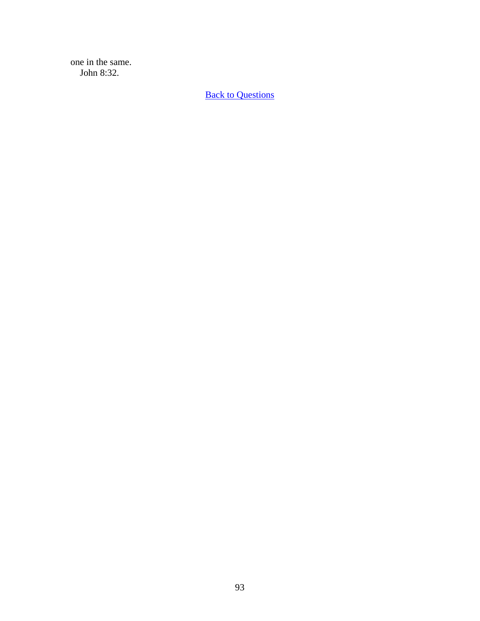one in the same. John 8:32.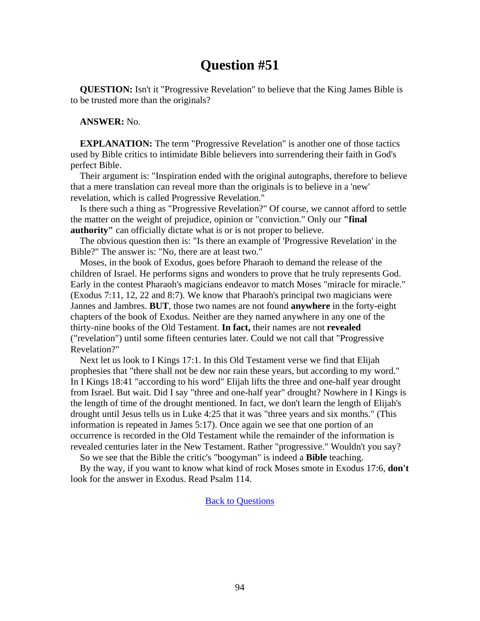**QUESTION:** Isn't it "Progressive Revelation" to believe that the King James Bible is to be trusted more than the originals?

#### **ANSWER:** No.

 **EXPLANATION:** The term "Progressive Revelation" is another one of those tactics used by Bible critics to intimidate Bible believers into surrendering their faith in God's perfect Bible.

 Their argument is: "Inspiration ended with the original autographs, therefore to believe that a mere translation can reveal more than the originals is to believe in a 'new' revelation, which is called Progressive Revelation."

 Is there such a thing as "Progressive Revelation?" Of course, we cannot afford to settle the matter on the weight of prejudice, opinion or "conviction." Only our **"final authority** can officially dictate what is or is not proper to believe.

 The obvious question then is: "Is there an example of 'Progressive Revelation' in the Bible?" The answer is: "No, there are at least two."

 Moses, in the book of Exodus, goes before Pharaoh to demand the release of the children of Israel. He performs signs and wonders to prove that he truly represents God. Early in the contest Pharaoh's magicians endeavor to match Moses "miracle for miracle." (Exodus 7:11, 12, 22 and 8:7). We know that Pharaoh's principal two magicians were Jannes and Jambres. **BUT**, those two names are not found **anywhere** in the forty-eight chapters of the book of Exodus. Neither are they named anywhere in any one of the thirty-nine books of the Old Testament. **In fact,** their names are not **revealed** ("revelation") until some fifteen centuries later. Could we not call that "Progressive Revelation?"

 Next let us look to I Kings 17:1. In this Old Testament verse we find that Elijah prophesies that "there shall not be dew nor rain these years, but according to my word." In I Kings 18:41 "according to his word" Elijah lifts the three and one-half year drought from Israel. But wait. Did I say "three and one-half year" drought? Nowhere in I Kings is the length of time of the drought mentioned. In fact, we don't learn the length of Elijah's drought until Jesus tells us in Luke 4:25 that it was "three years and six months." (This information is repeated in James 5:17). Once again we see that one portion of an occurrence is recorded in the Old Testament while the remainder of the information is revealed centuries later in the New Testament. Rather "progressive." Wouldn't you say?

So we see that the Bible the critic's "boogyman" is indeed a **Bible** teaching.

 By the way, if you want to know what kind of rock Moses smote in Exodus 17:6, **don't** look for the answer in Exodus. Read Psalm 114.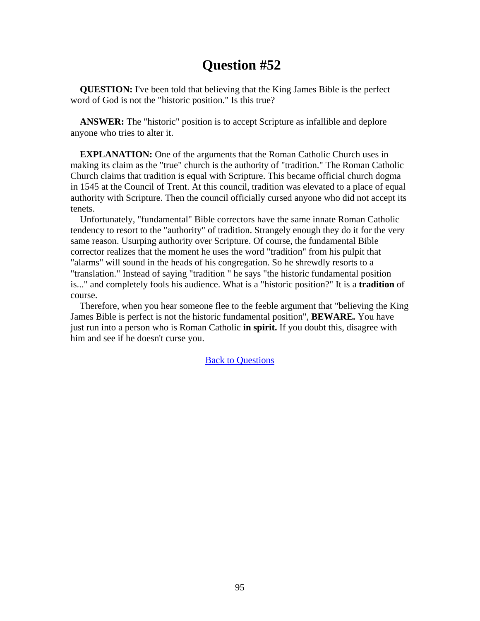**QUESTION:** I've been told that believing that the King James Bible is the perfect word of God is not the "historic position." Is this true?

 **ANSWER:** The "historic" position is to accept Scripture as infallible and deplore anyone who tries to alter it.

 **EXPLANATION:** One of the arguments that the Roman Catholic Church uses in making its claim as the "true" church is the authority of "tradition." The Roman Catholic Church claims that tradition is equal with Scripture. This became official church dogma in 1545 at the Council of Trent. At this council, tradition was elevated to a place of equal authority with Scripture. Then the council officially cursed anyone who did not accept its tenets.

 Unfortunately, "fundamental" Bible correctors have the same innate Roman Catholic tendency to resort to the "authority" of tradition. Strangely enough they do it for the very same reason. Usurping authority over Scripture. Of course, the fundamental Bible corrector realizes that the moment he uses the word "tradition" from his pulpit that "alarms" will sound in the heads of his congregation. So he shrewdly resorts to a "translation." Instead of saying "tradition " he says "the historic fundamental position is..." and completely fools his audience. What is a "historic position?" It is a **tradition** of course.

 Therefore, when you hear someone flee to the feeble argument that "believing the King James Bible is perfect is not the historic fundamental position", **BEWARE.** You have just run into a person who is Roman Catholic **in spirit.** If you doubt this, disagree with him and see if he doesn't curse you.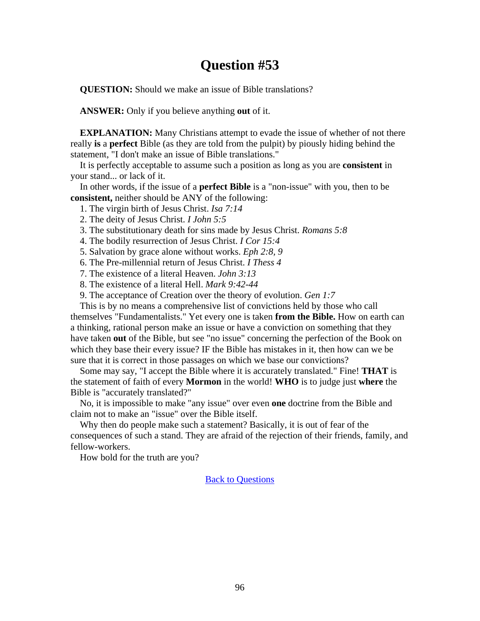**QUESTION:** Should we make an issue of Bible translations?

**ANSWER:** Only if you believe anything **out** of it.

 **EXPLANATION:** Many Christians attempt to evade the issue of whether of not there really **is** a **perfect** Bible (as they are told from the pulpit) by piously hiding behind the statement, "I don't make an issue of Bible translations."

 It is perfectly acceptable to assume such a position as long as you are **consistent** in your stand... or lack of it.

 In other words, if the issue of a **perfect Bible** is a "non-issue" with you, then to be **consistent,** neither should be ANY of the following:

- 1. The virgin birth of Jesus Christ. *Isa 7:14*
- 2. The deity of Jesus Christ. *I John 5:5*
- 3. The substitutionary death for sins made by Jesus Christ. *Romans 5:8*
- 4. The bodily resurrection of Jesus Christ. *I Cor 15:4*
- 5. Salvation by grace alone without works. *Eph 2:8, 9*
- 6. The Pre-millennial return of Jesus Christ. *I Thess 4*
- 7. The existence of a literal Heaven. *John 3:13*
- 8. The existence of a literal Hell. *Mark 9:42-44*
- 9. The acceptance of Creation over the theory of evolution. *Gen 1:7*

 This is by no means a comprehensive list of convictions held by those who call themselves "Fundamentalists." Yet every one is taken **from the Bible.** How on earth can a thinking, rational person make an issue or have a conviction on something that they have taken **out** of the Bible, but see "no issue" concerning the perfection of the Book on which they base their every issue? IF the Bible has mistakes in it, then how can we be sure that it is correct in those passages on which we base our convictions?

 Some may say, "I accept the Bible where it is accurately translated." Fine! **THAT** is the statement of faith of every **Mormon** in the world! **WHO** is to judge just **where** the Bible is "accurately translated?"

 No, it is impossible to make "any issue" over even **one** doctrine from the Bible and claim not to make an "issue" over the Bible itself.

 Why then do people make such a statement? Basically, it is out of fear of the consequences of such a stand. They are afraid of the rejection of their friends, family, and fellow-workers.

How bold for the truth are you?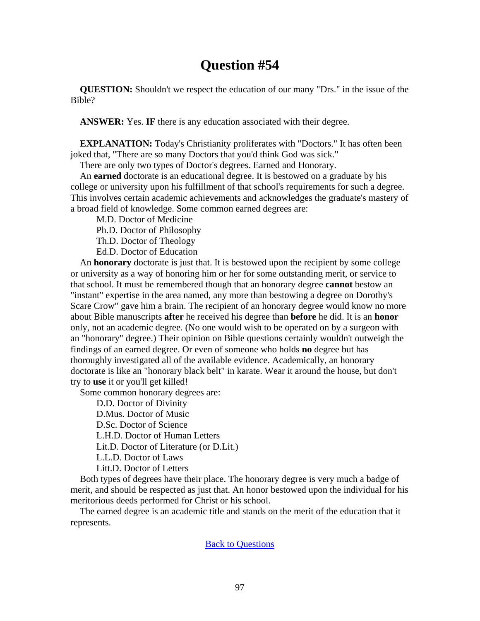**QUESTION:** Shouldn't we respect the education of our many "Drs." in the issue of the Bible?

**ANSWER:** Yes. **IF** there is any education associated with their degree.

**EXPLANATION:** Today's Christianity proliferates with "Doctors." It has often been joked that, "There are so many Doctors that you'd think God was sick."

There are only two types of Doctor's degrees. Earned and Honorary.

 An **earned** doctorate is an educational degree. It is bestowed on a graduate by his college or university upon his fulfillment of that school's requirements for such a degree. This involves certain academic achievements and acknowledges the graduate's mastery of a broad field of knowledge. Some common earned degrees are:

M.D. Doctor of Medicine

Ph.D. Doctor of Philosophy

Th.D. Doctor of Theology

Ed.D. Doctor of Education

 An **honorary** doctorate is just that. It is bestowed upon the recipient by some college or university as a way of honoring him or her for some outstanding merit, or service to that school. It must be remembered though that an honorary degree **cannot** bestow an "instant" expertise in the area named, any more than bestowing a degree on Dorothy's Scare Crow" gave him a brain. The recipient of an honorary degree would know no more about Bible manuscripts **after** he received his degree than **before** he did. It is an **honor** only, not an academic degree. (No one would wish to be operated on by a surgeon with an "honorary" degree.) Their opinion on Bible questions certainly wouldn't outweigh the findings of an earned degree. Or even of someone who holds **no** degree but has thoroughly investigated all of the available evidence. Academically, an honorary doctorate is like an "honorary black belt" in karate. Wear it around the house, but don't try to **use** it or you'll get killed!

Some common honorary degrees are:

 D.D. Doctor of Divinity D.Mus. Doctor of Music D.Sc. Doctor of Science L.H.D. Doctor of Human Letters Lit.D. Doctor of Literature (or D.Lit.) L.L.D. Doctor of Laws Litt.D. Doctor of Letters

 Both types of degrees have their place. The honorary degree is very much a badge of merit, and should be respected as just that. An honor bestowed upon the individual for his meritorious deeds performed for Christ or his school.

 The earned degree is an academic title and stands on the merit of the education that it represents.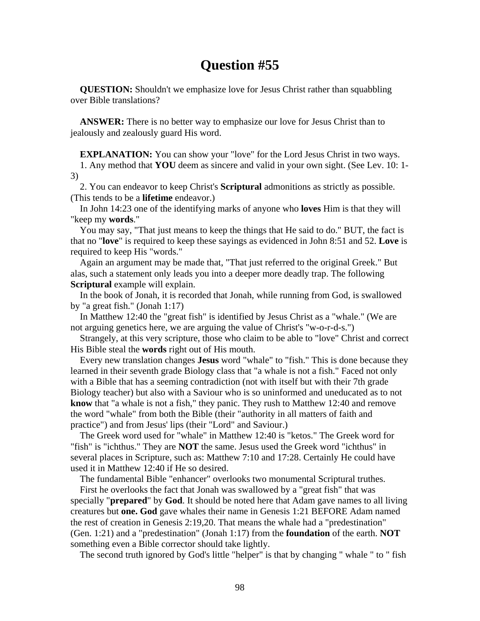**QUESTION:** Shouldn't we emphasize love for Jesus Christ rather than squabbling over Bible translations?

 **ANSWER:** There is no better way to emphasize our love for Jesus Christ than to jealously and zealously guard His word.

**EXPLANATION:** You can show your "love" for the Lord Jesus Christ in two ways.

 1. Any method that **YOU** deem as sincere and valid in your own sight. (See Lev. 10: 1- 3)

 2. You can endeavor to keep Christ's **Scriptural** admonitions as strictly as possible. (This tends to be a **lifetime** endeavor.)

 In John 14:23 one of the identifying marks of anyone who **loves** Him is that they will "keep my **words**."

 You may say, "That just means to keep the things that He said to do." BUT, the fact is that no "**love**" is required to keep these sayings as evidenced in John 8:51 and 52. **Love** is required to keep His "words."

 Again an argument may be made that, "That just referred to the original Greek." But alas, such a statement only leads you into a deeper more deadly trap. The following **Scriptural** example will explain.

 In the book of Jonah, it is recorded that Jonah, while running from God, is swallowed by "a great fish." (Jonah 1:17)

 In Matthew 12:40 the "great fish" is identified by Jesus Christ as a "whale." (We are not arguing genetics here, we are arguing the value of Christ's "w-o-r-d-s.")

 Strangely, at this very scripture, those who claim to be able to "love" Christ and correct His Bible steal the **words** right out of His mouth.

 Every new translation changes **Jesus** word "whale" to "fish." This is done because they learned in their seventh grade Biology class that "a whale is not a fish." Faced not only with a Bible that has a seeming contradiction (not with itself but with their 7th grade Biology teacher) but also with a Saviour who is so uninformed and uneducated as to not **know** that "a whale is not a fish," they panic. They rush to Matthew 12:40 and remove the word "whale" from both the Bible (their "authority in all matters of faith and practice") and from Jesus' lips (their "Lord" and Saviour.)

 The Greek word used for "whale" in Matthew 12:40 is "ketos." The Greek word for "fish" is "ichthus." They are **NOT** the same. Jesus used the Greek word "ichthus" in several places in Scripture, such as: Matthew 7:10 and 17:28. Certainly He could have used it in Matthew 12:40 if He so desired.

The fundamental Bible "enhancer" overlooks two monumental Scriptural truthes.

 First he overlooks the fact that Jonah was swallowed by a "great fish" that was specially "**prepared**" by **God**. It should be noted here that Adam gave names to all living creatures but **one. God** gave whales their name in Genesis 1:21 BEFORE Adam named the rest of creation in Genesis 2:19,20. That means the whale had a "predestination" (Gen. 1:21) and a "predestination" (Jonah 1:17) from the **foundation** of the earth. **NOT** something even a Bible corrector should take lightly.

The second truth ignored by God's little "helper" is that by changing " whale " to " fish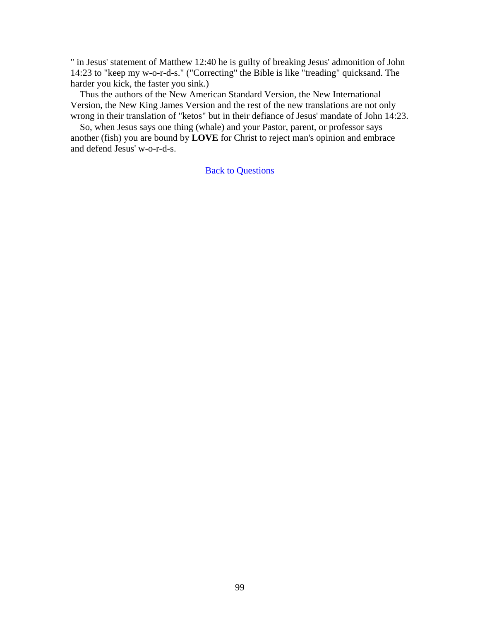" in Jesus' statement of Matthew 12:40 he is guilty of breaking Jesus' admonition of John 14:23 to "keep my w-o-r-d-s." ("Correcting" the Bible is like "treading" quicksand. The harder you kick, the faster you sink.)

 Thus the authors of the New American Standard Version, the New International Version, the New King James Version and the rest of the new translations are not only wrong in their translation of "ketos" but in their defiance of Jesus' mandate of John 14:23.

 So, when Jesus says one thing (whale) and your Pastor, parent, or professor says another (fish) you are bound by **LOVE** for Christ to reject man's opinion and embrace and defend Jesus' w-o-r-d-s.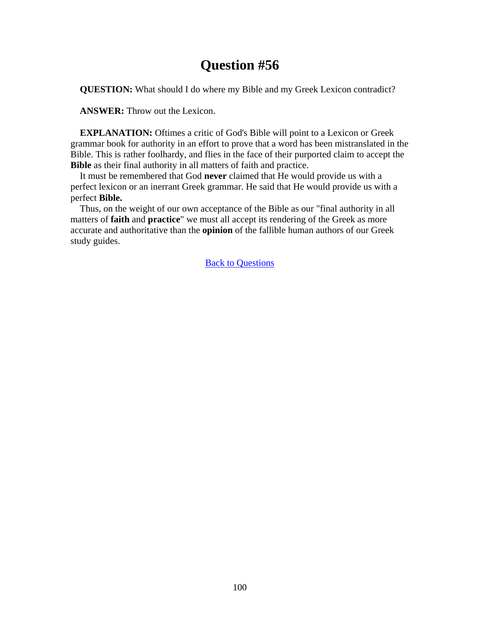**QUESTION:** What should I do where my Bible and my Greek Lexicon contradict?

**ANSWER:** Throw out the Lexicon.

 **EXPLANATION:** Oftimes a critic of God's Bible will point to a Lexicon or Greek grammar book for authority in an effort to prove that a word has been mistranslated in the Bible. This is rather foolhardy, and flies in the face of their purported claim to accept the **Bible** as their final authority in all matters of faith and practice.

 It must be remembered that God **never** claimed that He would provide us with a perfect lexicon or an inerrant Greek grammar. He said that He would provide us with a perfect **Bible.**

 Thus, on the weight of our own acceptance of the Bible as our "final authority in all matters of **faith** and **practice**" we must all accept its rendering of the Greek as more accurate and authoritative than the **opinion** of the fallible human authors of our Greek study guides.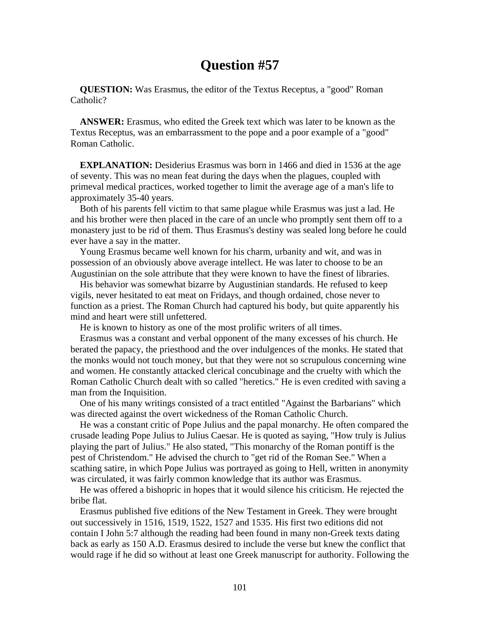**QUESTION:** Was Erasmus, the editor of the Textus Receptus, a "good" Roman Catholic?

 **ANSWER:** Erasmus, who edited the Greek text which was later to be known as the Textus Receptus, was an embarrassment to the pope and a poor example of a "good" Roman Catholic.

 **EXPLANATION:** Desiderius Erasmus was born in 1466 and died in 1536 at the age of seventy. This was no mean feat during the days when the plagues, coupled with primeval medical practices, worked together to limit the average age of a man's life to approximately 35-40 years.

 Both of his parents fell victim to that same plague while Erasmus was just a lad. He and his brother were then placed in the care of an uncle who promptly sent them off to a monastery just to be rid of them. Thus Erasmus's destiny was sealed long before he could ever have a say in the matter.

 Young Erasmus became well known for his charm, urbanity and wit, and was in possession of an obviously above average intellect. He was later to choose to be an Augustinian on the sole attribute that they were known to have the finest of libraries.

 His behavior was somewhat bizarre by Augustinian standards. He refused to keep vigils, never hesitated to eat meat on Fridays, and though ordained, chose never to function as a priest. The Roman Church had captured his body, but quite apparently his mind and heart were still unfettered.

He is known to history as one of the most prolific writers of all times.

 Erasmus was a constant and verbal opponent of the many excesses of his church. He berated the papacy, the priesthood and the over indulgences of the monks. He stated that the monks would not touch money, but that they were not so scrupulous concerning wine and women. He constantly attacked clerical concubinage and the cruelty with which the Roman Catholic Church dealt with so called "heretics." He is even credited with saving a man from the Inquisition.

 One of his many writings consisted of a tract entitled "Against the Barbarians" which was directed against the overt wickedness of the Roman Catholic Church.

 He was a constant critic of Pope Julius and the papal monarchy. He often compared the crusade leading Pope Julius to Julius Caesar. He is quoted as saying, "How truly is Julius playing the part of Julius." He also stated, "This monarchy of the Roman pontiff is the pest of Christendom." He advised the church to "get rid of the Roman See." When a scathing satire, in which Pope Julius was portrayed as going to Hell, written in anonymity was circulated, it was fairly common knowledge that its author was Erasmus.

 He was offered a bishopric in hopes that it would silence his criticism. He rejected the bribe flat.

 Erasmus published five editions of the New Testament in Greek. They were brought out successively in 1516, 1519, 1522, 1527 and 1535. His first two editions did not contain I John 5:7 although the reading had been found in many non-Greek texts dating back as early as 150 A.D. Erasmus desired to include the verse but knew the conflict that would rage if he did so without at least one Greek manuscript for authority. Following the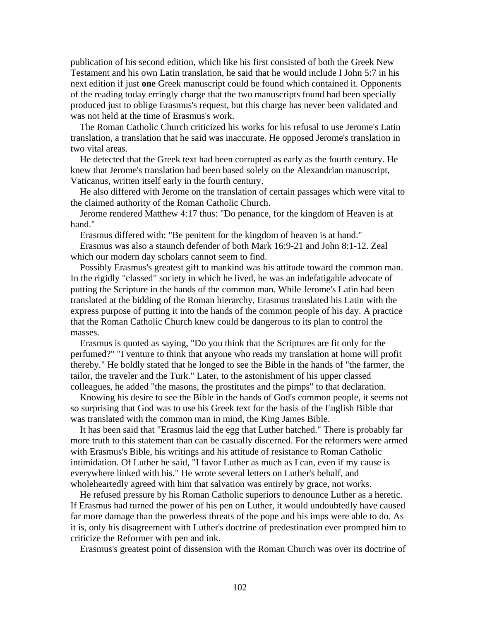publication of his second edition, which like his first consisted of both the Greek New Testament and his own Latin translation, he said that he would include I John 5:7 in his next edition if just **one** Greek manuscript could be found which contained it. Opponents of the reading today erringly charge that the two manuscripts found had been specially produced just to oblige Erasmus's request, but this charge has never been validated and was not held at the time of Erasmus's work.

 The Roman Catholic Church criticized his works for his refusal to use Jerome's Latin translation, a translation that he said was inaccurate. He opposed Jerome's translation in two vital areas.

 He detected that the Greek text had been corrupted as early as the fourth century. He knew that Jerome's translation had been based solely on the Alexandrian manuscript, Vaticanus, written itself early in the fourth century.

 He also differed with Jerome on the translation of certain passages which were vital to the claimed authority of the Roman Catholic Church.

 Jerome rendered Matthew 4:17 thus: "Do penance, for the kingdom of Heaven is at hand."

Erasmus differed with: "Be penitent for the kingdom of heaven is at hand."

 Erasmus was also a staunch defender of both Mark 16:9-21 and John 8:1-12. Zeal which our modern day scholars cannot seem to find.

 Possibly Erasmus's greatest gift to mankind was his attitude toward the common man. In the rigidly "classed" society in which he lived, he was an indefatigable advocate of putting the Scripture in the hands of the common man. While Jerome's Latin had been translated at the bidding of the Roman hierarchy, Erasmus translated his Latin with the express purpose of putting it into the hands of the common people of his day. A practice that the Roman Catholic Church knew could be dangerous to its plan to control the masses.

 Erasmus is quoted as saying, "Do you think that the Scriptures are fit only for the perfumed?" "I venture to think that anyone who reads my translation at home will profit thereby." He boldly stated that he longed to see the Bible in the hands of "the farmer, the tailor, the traveler and the Turk." Later, to the astonishment of his upper classed colleagues, he added "the masons, the prostitutes and the pimps" to that declaration.

 Knowing his desire to see the Bible in the hands of God's common people, it seems not so surprising that God was to use his Greek text for the basis of the English Bible that was translated with the common man in mind, the King James Bible.

 It has been said that "Erasmus laid the egg that Luther hatched." There is probably far more truth to this statement than can be casually discerned. For the reformers were armed with Erasmus's Bible, his writings and his attitude of resistance to Roman Catholic intimidation. Of Luther he said, "I favor Luther as much as I can, even if my cause is everywhere linked with his." He wrote several letters on Luther's behalf, and wholeheartedly agreed with him that salvation was entirely by grace, not works.

 He refused pressure by his Roman Catholic superiors to denounce Luther as a heretic. If Erasmus had turned the power of his pen on Luther, it would undoubtedly have caused far more damage than the powerless threats of the pope and his imps were able to do. As it is, only his disagreement with Luther's doctrine of predestination ever prompted him to criticize the Reformer with pen and ink.

Erasmus's greatest point of dissension with the Roman Church was over its doctrine of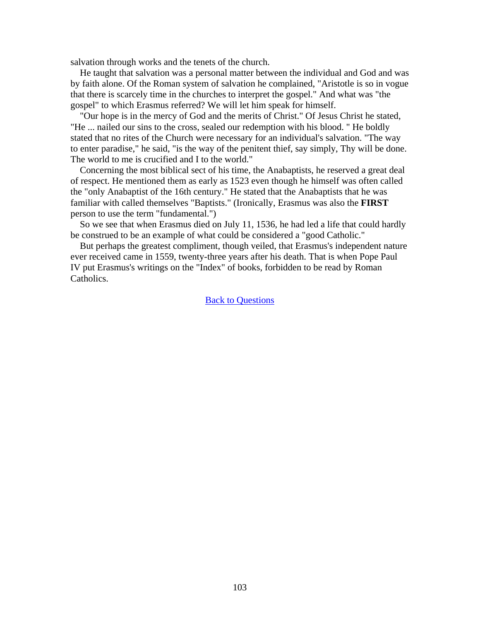salvation through works and the tenets of the church.

 He taught that salvation was a personal matter between the individual and God and was by faith alone. Of the Roman system of salvation he complained, "Aristotle is so in vogue that there is scarcely time in the churches to interpret the gospel." And what was "the gospel" to which Erasmus referred? We will let him speak for himself.

 "Our hope is in the mercy of God and the merits of Christ." Of Jesus Christ he stated, "He ... nailed our sins to the cross, sealed our redemption with his blood. " He boldly stated that no rites of the Church were necessary for an individual's salvation. "The way to enter paradise," he said, "is the way of the penitent thief, say simply, Thy will be done. The world to me is crucified and I to the world."

 Concerning the most biblical sect of his time, the Anabaptists, he reserved a great deal of respect. He mentioned them as early as 1523 even though he himself was often called the "only Anabaptist of the 16th century." He stated that the Anabaptists that he was familiar with called themselves "Baptists." (Ironically, Erasmus was also the **FIRST** person to use the term "fundamental.")

 So we see that when Erasmus died on July 11, 1536, he had led a life that could hardly be construed to be an example of what could be considered a "good Catholic."

 But perhaps the greatest compliment, though veiled, that Erasmus's independent nature ever received came in 1559, twenty-three years after his death. That is when Pope Paul IV put Erasmus's writings on the "Index" of books, forbidden to be read by Roman Catholics.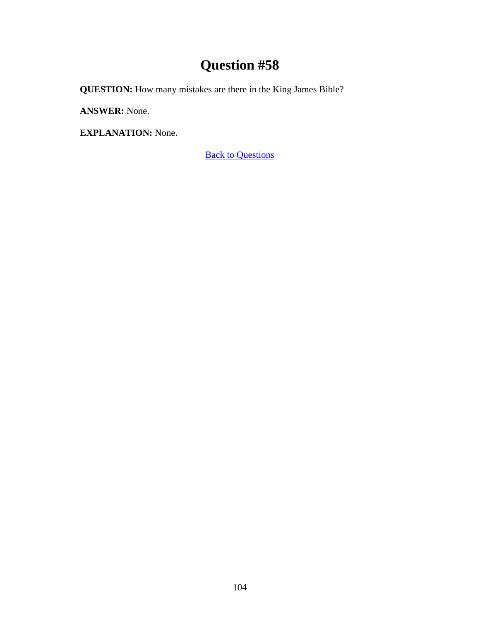**QUESTION:** How many mistakes are there in the King James Bible?

**ANSWER:** None.

**EXPLANATION:** None.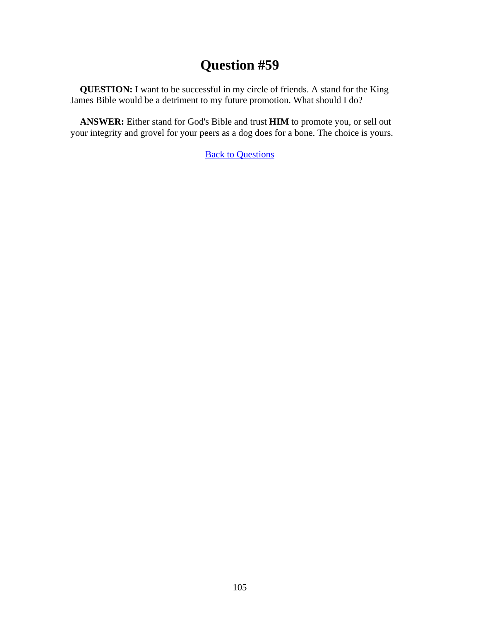**QUESTION:** I want to be successful in my circle of friends. A stand for the King James Bible would be a detriment to my future promotion. What should I do?

 **ANSWER:** Either stand for God's Bible and trust **HIM** to promote you, or sell out your integrity and grovel for your peers as a dog does for a bone. The choice is yours.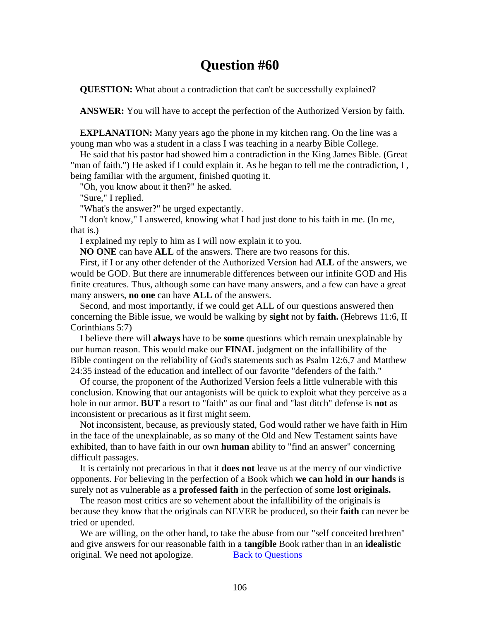**QUESTION:** What about a contradiction that can't be successfully explained?

**ANSWER:** You will have to accept the perfection of the Authorized Version by faith.

**EXPLANATION:** Many years ago the phone in my kitchen rang. On the line was a young man who was a student in a class I was teaching in a nearby Bible College.

 He said that his pastor had showed him a contradiction in the King James Bible. (Great "man of faith.") He asked if I could explain it. As he began to tell me the contradiction, I , being familiar with the argument, finished quoting it.

"Oh, you know about it then?" he asked.

"Sure," I replied.

"What's the answer?" he urged expectantly.

 "I don't know," I answered, knowing what I had just done to his faith in me. (In me, that is.)

I explained my reply to him as I will now explain it to you.

**NO ONE** can have **ALL** of the answers. There are two reasons for this.

 First, if I or any other defender of the Authorized Version had **ALL** of the answers, we would be GOD. But there are innumerable differences between our infinite GOD and His finite creatures. Thus, although some can have many answers, and a few can have a great many answers, **no one** can have **ALL** of the answers.

 Second, and most importantly, if we could get ALL of our questions answered then concerning the Bible issue, we would be walking by **sight** not by **faith.** (Hebrews 11:6, II Corinthians 5:7)

 I believe there will **always** have to be **some** questions which remain unexplainable by our human reason. This would make our **FINAL** judgment on the infallibility of the Bible contingent on the reliability of God's statements such as Psalm 12:6,7 and Matthew 24:35 instead of the education and intellect of our favorite "defenders of the faith."

 Of course, the proponent of the Authorized Version feels a little vulnerable with this conclusion. Knowing that our antagonists will be quick to exploit what they perceive as a hole in our armor. **BUT** a resort to "faith" as our final and "last ditch" defense is **not** as inconsistent or precarious as it first might seem.

 Not inconsistent, because, as previously stated, God would rather we have faith in Him in the face of the unexplainable, as so many of the Old and New Testament saints have exhibited, than to have faith in our own **human** ability to "find an answer" concerning difficult passages.

 It is certainly not precarious in that it **does not** leave us at the mercy of our vindictive opponents. For believing in the perfection of a Book which **we can hold in our hands** is surely not as vulnerable as a **professed faith** in the perfection of some **lost originals.**

 The reason most critics are so vehement about the infallibility of the originals is because they know that the originals can NEVER be produced, so their **faith** can never be tried or upended.

 We are willing, on the other hand, to take the abuse from our "self conceited brethren" and give answers for our reasonable faith in a **tangible** Book rather than in an **idealistic** original. We need not apologize. [Back to Questions](#page-2-0)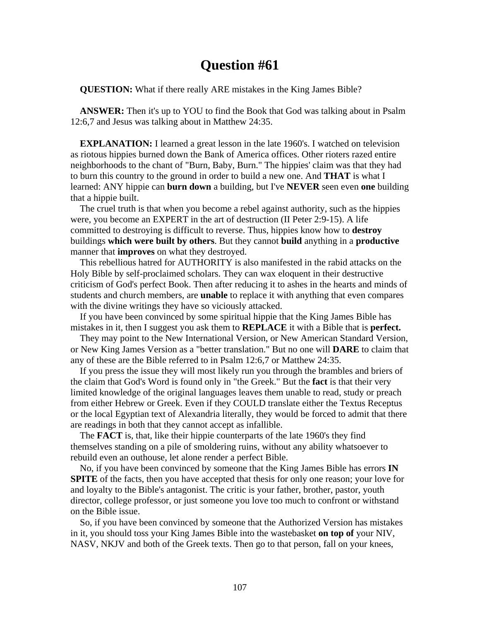**QUESTION:** What if there really ARE mistakes in the King James Bible?

 **ANSWER:** Then it's up to YOU to find the Book that God was talking about in Psalm 12:6,7 and Jesus was talking about in Matthew 24:35.

 **EXPLANATION:** I learned a great lesson in the late 1960's. I watched on television as riotous hippies burned down the Bank of America offices. Other rioters razed entire neighborhoods to the chant of "Burn, Baby, Burn." The hippies' claim was that they had to burn this country to the ground in order to build a new one. And **THAT** is what I learned: ANY hippie can **burn down** a building, but I've **NEVER** seen even **one** building that a hippie built.

 The cruel truth is that when you become a rebel against authority, such as the hippies were, you become an EXPERT in the art of destruction (II Peter 2:9-15). A life committed to destroying is difficult to reverse. Thus, hippies know how to **destroy** buildings **which were built by others**. But they cannot **build** anything in a **productive** manner that **improves** on what they destroyed.

 This rebellious hatred for AUTHORITY is also manifested in the rabid attacks on the Holy Bible by self-proclaimed scholars. They can wax eloquent in their destructive criticism of God's perfect Book. Then after reducing it to ashes in the hearts and minds of students and church members, are **unable** to replace it with anything that even compares with the divine writings they have so viciously attacked.

 If you have been convinced by some spiritual hippie that the King James Bible has mistakes in it, then I suggest you ask them to **REPLACE** it with a Bible that is **perfect.**

 They may point to the New International Version, or New American Standard Version, or New King James Version as a "better translation." But no one will **DARE** to claim that any of these are the Bible referred to in Psalm 12:6,7 or Matthew 24:35.

 If you press the issue they will most likely run you through the brambles and briers of the claim that God's Word is found only in "the Greek." But the **fact** is that their very limited knowledge of the original languages leaves them unable to read, study or preach from either Hebrew or Greek. Even if they COULD translate either the Textus Receptus or the local Egyptian text of Alexandria literally, they would be forced to admit that there are readings in both that they cannot accept as infallible.

 The **FACT** is, that, like their hippie counterparts of the late 1960's they find themselves standing on a pile of smoldering ruins, without any ability whatsoever to rebuild even an outhouse, let alone render a perfect Bible.

 No, if you have been convinced by someone that the King James Bible has errors **IN SPITE** of the facts, then you have accepted that thesis for only one reason; your love for and loyalty to the Bible's antagonist. The critic is your father, brother, pastor, youth director, college professor, or just someone you love too much to confront or withstand on the Bible issue.

 So, if you have been convinced by someone that the Authorized Version has mistakes in it, you should toss your King James Bible into the wastebasket **on top of** your NIV, NASV, NKJV and both of the Greek texts. Then go to that person, fall on your knees,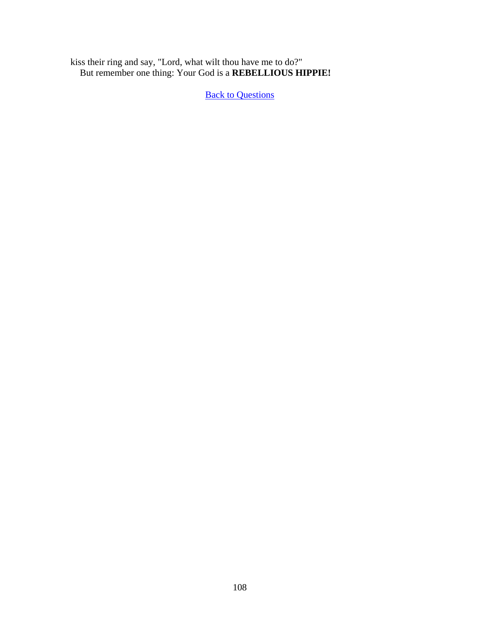kiss their ring and say, "Lord, what wilt thou have me to do?" But remember one thing: Your God is a **REBELLIOUS HIPPIE!**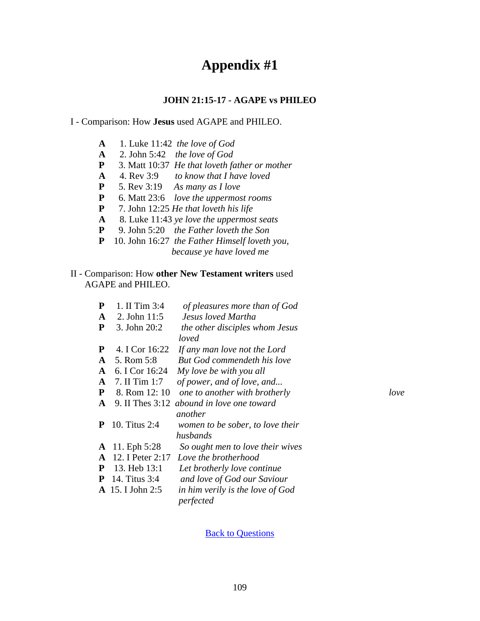# **Appendix #1**

### **JOHN 21:15-17 - AGAPE vs PHILEO**

## I - Comparison: How **Jesus** used AGAPE and PHILEO.

- **A** 1. Luke 11:42 *the love of God*
- **A** 2. John 5:42 *the love of God*
- **P** 3. Matt 10:37 *He that loveth father or mother*
- **A** 4. Rev 3:9 *to know that I have loved*
- **P** 5. Rev 3:19 *As many as I love*
- **P** 6. Matt 23:6 *love the uppermost rooms*
- **P** 7. John 12:25 *He that loveth his life*
- **A** 8. Luke 11:43 *ye love the uppermost seats*
- **P** 9. John 5:20 *the Father loveth the Son*
- **P** 10. John 16:27 *the Father Himself loveth you, because ye have loved me*

### II - Comparison: How **other New Testament writers** used AGAPE and PHILEO.

| P            | 1. II Tim $3:4$         | of pleasures more than of God             |      |
|--------------|-------------------------|-------------------------------------------|------|
| A            | 2. John $11:5$          | Jesus loved Martha                        |      |
| ${\bf P}$    | 3. John 20:2            | the other disciples whom Jesus            |      |
|              |                         | loved                                     |      |
| P            | 4. I Cor 16:22          | If any man love not the Lord              |      |
| A            | 5. Rom 5:8              | <b>But God commendeth his love</b>        |      |
| $\mathbf{A}$ | 6. I Cor 16:24          | My love be with you all                   |      |
| A            | 7. II Tim 1:7           | of power, and of love, and                |      |
| P            | 8. Rom 12: 10           | one to another with brotherly             | love |
| A            |                         | 9. II Thes 3:12 abound in love one toward |      |
|              |                         | another                                   |      |
| P            | 10. Titus 2:4           | women to be sober, to love their          |      |
|              |                         | husbands                                  |      |
| ${\bf A}$    | 11. Eph $5:28$          | So ought men to love their wives          |      |
| $\mathbf{A}$ | 12. I Peter 2:17        | Love the brotherhood                      |      |
| P            | 13. Heb 13:1            | Let brotherly love continue               |      |
| P            | 14. Titus 3:4           | and love of God our Saviour               |      |
|              | <b>A</b> 15. I John 2:5 | in him verily is the love of God          |      |
|              |                         | perfected                                 |      |
|              |                         |                                           |      |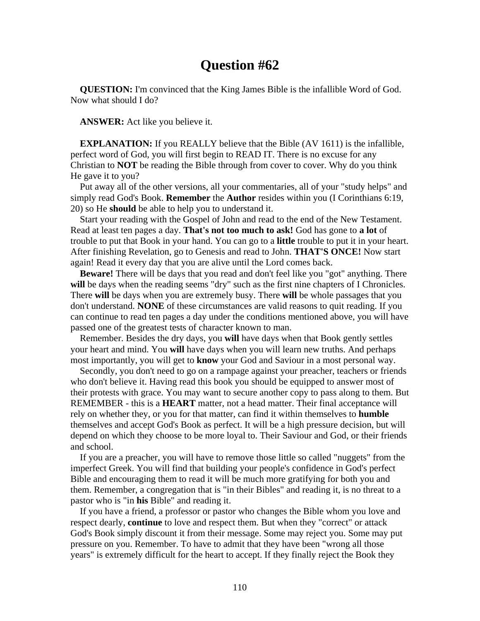# **Question #62**

 **QUESTION:** I'm convinced that the King James Bible is the infallible Word of God. Now what should I do?

**ANSWER:** Act like you believe it.

**EXPLANATION:** If you REALLY believe that the Bible (AV 1611) is the infallible, perfect word of God, you will first begin to READ IT. There is no excuse for any Christian to **NOT** be reading the Bible through from cover to cover. Why do you think He gave it to you?

 Put away all of the other versions, all your commentaries, all of your "study helps" and simply read God's Book. **Remember** the **Author** resides within you (I Corinthians 6:19, 20) so He **should** be able to help you to understand it.

 Start your reading with the Gospel of John and read to the end of the New Testament. Read at least ten pages a day. **That's not too much to ask!** God has gone to **a lot** of trouble to put that Book in your hand. You can go to a **little** trouble to put it in your heart. After finishing Revelation, go to Genesis and read to John. **THAT'S ONCE!** Now start again! Read it every day that you are alive until the Lord comes back.

 **Beware!** There will be days that you read and don't feel like you "got" anything. There will be days when the reading seems "dry" such as the first nine chapters of I Chronicles. There **will** be days when you are extremely busy. There **will** be whole passages that you don't understand. **NONE** of these circumstances are valid reasons to quit reading. If you can continue to read ten pages a day under the conditions mentioned above, you will have passed one of the greatest tests of character known to man.

 Remember. Besides the dry days, you **will** have days when that Book gently settles your heart and mind. You **will** have days when you will learn new truths. And perhaps most importantly, you will get to **know** your God and Saviour in a most personal way.

 Secondly, you don't need to go on a rampage against your preacher, teachers or friends who don't believe it. Having read this book you should be equipped to answer most of their protests with grace. You may want to secure another copy to pass along to them. But REMEMBER - this is a **HEART** matter, not a head matter. Their final acceptance will rely on whether they, or you for that matter, can find it within themselves to **humble** themselves and accept God's Book as perfect. It will be a high pressure decision, but will depend on which they choose to be more loyal to. Their Saviour and God, or their friends and school.

 If you are a preacher, you will have to remove those little so called "nuggets" from the imperfect Greek. You will find that building your people's confidence in God's perfect Bible and encouraging them to read it will be much more gratifying for both you and them. Remember, a congregation that is "in their Bibles" and reading it, is no threat to a pastor who is "in **his** Bible" and reading it.

 If you have a friend, a professor or pastor who changes the Bible whom you love and respect dearly, **continue** to love and respect them. But when they "correct" or attack God's Book simply discount it from their message. Some may reject you. Some may put pressure on you. Remember. To have to admit that they have been "wrong all those years" is extremely difficult for the heart to accept. If they finally reject the Book they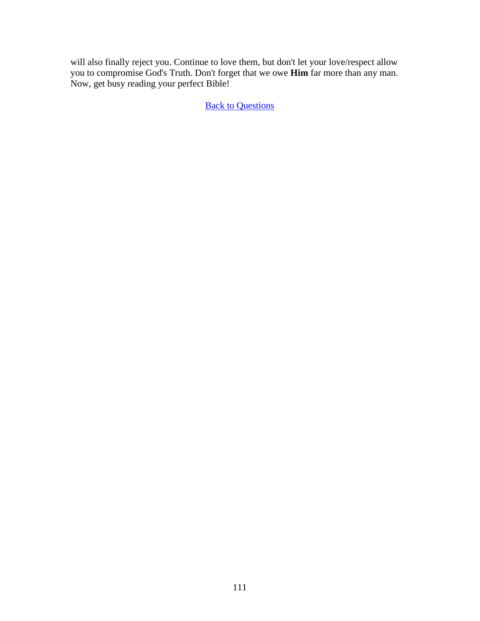will also finally reject you. Continue to love them, but don't let your love/respect allow you to compromise God's Truth. Don't forget that we owe **Him** far more than any man. Now, get busy reading your perfect Bible!